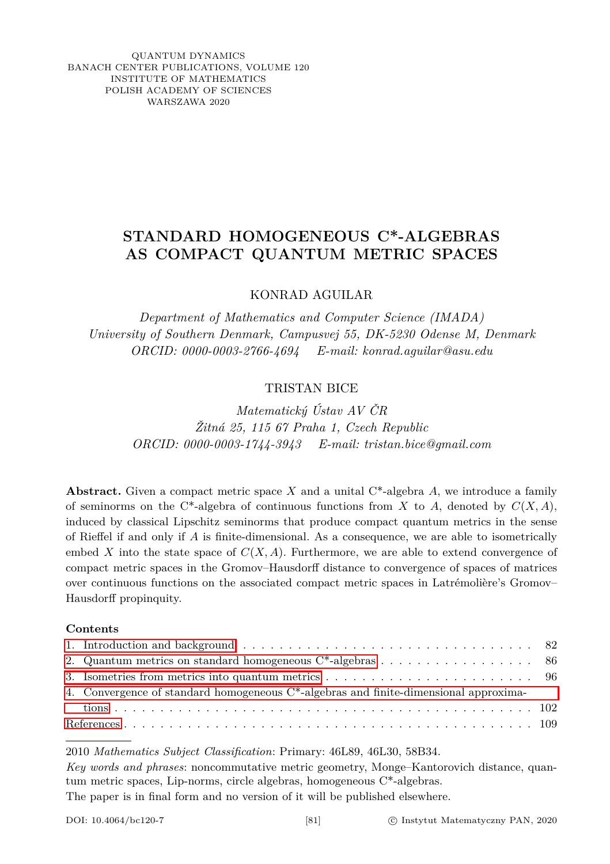QUANTUM DYNAMICS BANACH CENTER PUBLICATIONS, VOLUME 120 INSTITUTE OF MATHEMATICS POLISH ACADEMY OF SCIENCES WARSZAWA 2020

## **STANDARD HOMOGENEOUS C\*-ALGEBRAS AS COMPACT QUANTUM METRIC SPACES**

KONRAD AGUILAR

*Department of Mathematics and Computer Science (IMADA) University of Southern Denmark, Campusvej 55, DK-5230 Odense M, Denmark ORCID: 0000-0003-2766-4694 E-mail: konrad.aguilar@asu.edu*

## TRISTAN BICE

*Matematický Ústav AV ČR Žitná 25, 115 67 Praha 1, Czech Republic ORCID: 0000-0003-1744-3943 E-mail: tristan.bice@gmail.com*

**Abstract.** Given a compact metric space *X* and a unital C\*-algebra *A*, we introduce a family of seminorms on the C<sup>\*</sup>-algebra of continuous functions from *X* to *A*, denoted by  $C(X, A)$ , induced by classical Lipschitz seminorms that produce compact quantum metrics in the sense of Rieffel if and only if *A* is finite-dimensional. As a consequence, we are able to isometrically embed *X* into the state space of  $C(X, A)$ . Furthermore, we are able to extend convergence of compact metric spaces in the Gromov–Hausdorff distance to convergence of spaces of matrices over continuous functions on the associated compact metric spaces in Latrémolière's Gromov– Hausdorff propinquity.

## **Contents**

| 1. Introduction and background $\ldots \ldots \ldots \ldots \ldots \ldots \ldots \ldots \ldots \ldots \ldots$ 82 |  |
|------------------------------------------------------------------------------------------------------------------|--|
| 2. Quantum metrics on standard homogeneous $C^*$ -algebras 86                                                    |  |
|                                                                                                                  |  |
| 4. Convergence of standard homogeneous C*-algebras and finite-dimensional approxima-                             |  |
|                                                                                                                  |  |
|                                                                                                                  |  |

2010 *Mathematics Subject Classification*: Primary: 46L89, 46L30, 58B34.

*Key words and phrases*: noncommutative metric geometry, Monge–Kantorovich distance, quantum metric spaces, Lip-norms, circle algebras, homogeneous C\*-algebras. The paper is in final form and no version of it will be published elsewhere.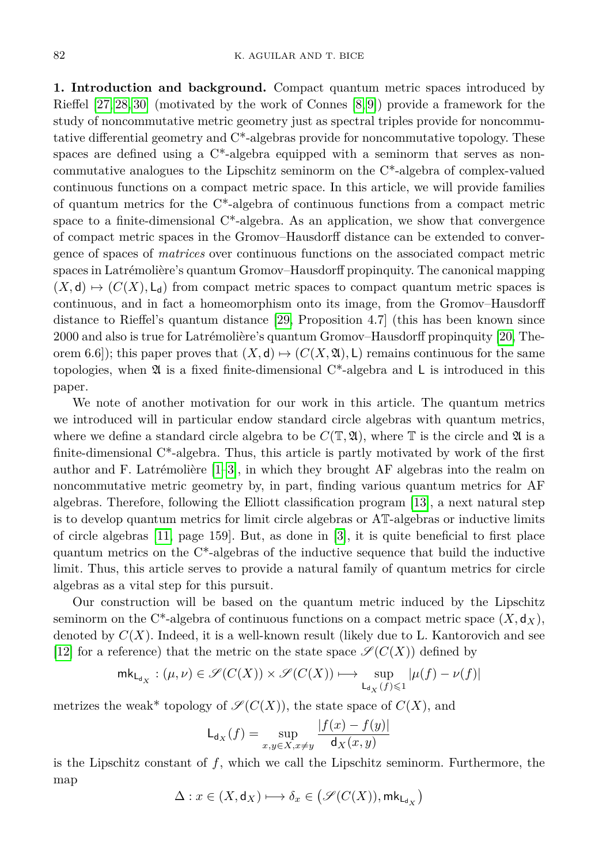<span id="page-1-0"></span>**1. Introduction and background.** Compact quantum metric spaces introduced by Rieffel [\[27,](#page-29-0) [28,](#page-29-1) [30\]](#page-29-2) (motivated by the work of Connes [\[8,](#page-28-0) [9\]](#page-28-1)) provide a framework for the study of noncommutative metric geometry just as spectral triples provide for noncommutative differential geometry and C\*-algebras provide for noncommutative topology. These spaces are defined using a  $C^*$ -algebra equipped with a seminorm that serves as noncommutative analogues to the Lipschitz seminorm on the C\*-algebra of complex-valued continuous functions on a compact metric space. In this article, we will provide families of quantum metrics for the C\*-algebra of continuous functions from a compact metric space to a finite-dimensional  $C^*$ -algebra. As an application, we show that convergence of compact metric spaces in the Gromov–Hausdorff distance can be extended to convergence of spaces of *matrices* over continuous functions on the associated compact metric spaces in Latrémolière's quantum Gromov–Hausdorff propinquity. The canonical mapping  $(X, \mathsf{d}) \mapsto (C(X), \mathsf{L}_{\mathsf{d}})$  from compact metric spaces to compact quantum metric spaces is continuous, and in fact a homeomorphism onto its image, from the Gromov–Hausdorff distance to Rieffel's quantum distance [\[29,](#page-29-3) Proposition 4.7] (this has been known since 2000 and also is true for Latrémolière's quantum Gromov–Hausdorff propinquity [\[20,](#page-29-4) Theorem 6.6]); this paper proves that  $(X, d) \mapsto (C(X, \mathfrak{A}), L)$  remains continuous for the same topologies, when  $\mathfrak A$  is a fixed finite-dimensional C<sup>\*</sup>-algebra and L is introduced in this paper.

We note of another motivation for our work in this article. The quantum metrics we introduced will in particular endow standard circle algebras with quantum metrics, where we define a standard circle algebra to be  $C(\mathbb{T}, \mathfrak{A})$ , where  $\mathbb T$  is the circle and  $\mathfrak A$  is a finite-dimensional C\*-algebra. Thus, this article is partly motivated by work of the first author and F. Latrémolière [\[1–](#page-28-2)[3\]](#page-28-3), in which they brought AF algebras into the realm on noncommutative metric geometry by, in part, finding various quantum metrics for AF algebras. Therefore, following the Elliott classification program [\[13\]](#page-29-5), a next natural step is to develop quantum metrics for limit circle algebras or AT-algebras or inductive limits of circle algebras [\[11,](#page-28-4) page 159]. But, as done in [\[3\]](#page-28-3), it is quite beneficial to first place quantum metrics on the  $C^*$ -algebras of the inductive sequence that build the inductive limit. Thus, this article serves to provide a natural family of quantum metrics for circle algebras as a vital step for this pursuit.

Our construction will be based on the quantum metric induced by the Lipschitz seminorm on the C<sup>\*</sup>-algebra of continuous functions on a compact metric space  $(X, \mathsf{d}_X)$ , denoted by *C*(*X*). Indeed, it is a well-known result (likely due to L. Kantorovich and see [\[12\]](#page-28-5) for a reference) that the metric on the state space  $\mathscr{S}(C(X))$  defined by

$$
\mathsf{mk}_{\mathsf{L}_{\mathsf{d}_X}} : (\mu,\nu) \in \mathscr{S}(C(X)) \times \mathscr{S}(C(X)) \longmapsto \sup_{\mathsf{L}_{\mathsf{d}_X}(f) \leqslant 1} |\mu(f)-\nu(f)|
$$

metrizes the weak\* topology of  $\mathcal{S}(C(X))$ , the state space of  $C(X)$ , and

$$
\mathsf{L}_{\mathsf{d}_X}(f) = \sup_{x,y \in X, x \neq y} \frac{|f(x) - f(y)|}{\mathsf{d}_X(x,y)}
$$

is the Lipschitz constant of *f*, which we call the Lipschitz seminorm. Furthermore, the map

$$
\Delta: x \in (X,\mathsf{d}_X) \longmapsto \delta_x \in \big(\mathscr{S}(C(X)),\mathsf{mk}_{\mathsf{L}_{\mathsf{d}_X}}\big)
$$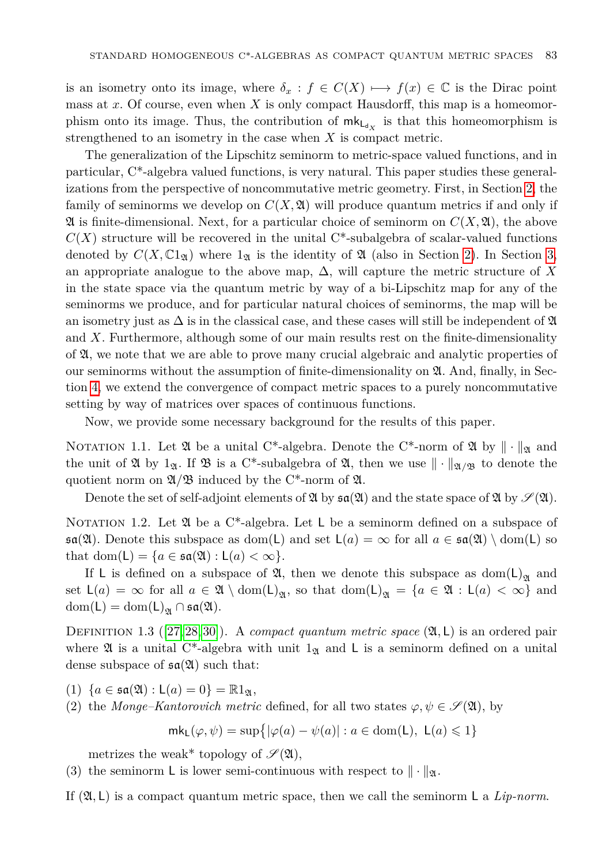is an isometry onto its image, where  $\delta_x : f \in C(X) \longrightarrow f(x) \in \mathbb{C}$  is the Dirac point mass at *x*. Of course, even when *X* is only compact Hausdorff, this map is a homeomorphism onto its image. Thus, the contribution of  $\mathsf{mk}_{\mathsf{L}_{d_X}}$  is that this homeomorphism is strengthened to an isometry in the case when *X* is compact metric.

The generalization of the Lipschitz seminorm to metric-space valued functions, and in particular, C\*-algebra valued functions, is very natural. This paper studies these generalizations from the perspective of noncommutative metric geometry. First, in Section [2,](#page-5-0) the family of seminorms we develop on  $C(X, \mathfrak{A})$  will produce quantum metrics if and only if  $\mathfrak A$  is finite-dimensional. Next, for a particular choice of seminorm on  $C(X, \mathfrak A)$ , the above  $C(X)$  structure will be recovered in the unital  $C^*$ -subalgebra of scalar-valued functions denoted by  $C(X, \mathbb{C}1_{\mathfrak{A}})$  where  $1_{\mathfrak{A}}$  is the identity of  $\mathfrak{A}$  (also in Section [2\)](#page-5-0). In Section [3,](#page-15-0) an appropriate analogue to the above map,  $\Delta$ , will capture the metric structure of X in the state space via the quantum metric by way of a bi-Lipschitz map for any of the seminorms we produce, and for particular natural choices of seminorms, the map will be an isometry just as  $\Delta$  is in the classical case, and these cases will still be independent of  $\mathfrak A$ and *X*. Furthermore, although some of our main results rest on the finite-dimensionality of A, we note that we are able to prove many crucial algebraic and analytic properties of our seminorms without the assumption of finite-dimensionality on A. And, finally, in Section [4,](#page-21-0) we extend the convergence of compact metric spaces to a purely noncommutative setting by way of matrices over spaces of continuous functions.

Now, we provide some necessary background for the results of this paper.

NOTATION 1.1. Let  $\mathfrak A$  be a unital C<sup>\*</sup>-algebra. Denote the C<sup>\*</sup>-norm of  $\mathfrak A$  by  $\|\cdot\|_{\mathfrak A}$  and the unit of  $\mathfrak A$  by 1<sub>2</sub>. If  $\mathfrak B$  is a C<sup>\*</sup>-subalgebra of  $\mathfrak A$ , then we use  $\|\cdot\|_{\mathfrak A/\mathfrak B}$  to denote the quotient norm on  $\mathfrak{A}/\mathfrak{B}$  induced by the C<sup>\*</sup>-norm of  $\mathfrak{A}$ .

Denote the set of self-adjoint elements of  $\mathfrak{A}$  by  $\mathfrak{sa}(\mathfrak{A})$  and the state space of  $\mathfrak{A}$  by  $\mathscr{S}(\mathfrak{A})$ .

NOTATION 1.2. Let  $\mathfrak A$  be a C<sup>\*</sup>-algebra. Let L be a seminorm defined on a subspace of  $\mathfrak{sa}(\mathfrak{A})$ . Denote this subspace as dom(L) and set  $\mathsf{L}(a) = \infty$  for all  $a \in \mathfrak{sa}(\mathfrak{A}) \setminus \text{dom}(\mathsf{L})$  so that dom(L) =  ${a \in \mathfrak{sa}(\mathfrak{A}) : \mathsf{L}(a) < \infty}.$ 

If L is defined on a subspace of  $\mathfrak{A}$ , then we denote this subspace as  $\text{dom}(\mathsf{L})_{\mathfrak{A}}$  and set  $L(a) = \infty$  for all  $a \in \mathfrak{A} \setminus \text{dom}(L)_{\mathfrak{A}}$ , so that  $\text{dom}(L)_{\mathfrak{A}} = \{a \in \mathfrak{A} : L(a) < \infty\}$  and  $dom(L) = dom(L)_{\mathfrak{A}} \cap \mathfrak{sa}(\mathfrak{A}).$ 

<span id="page-2-0"></span>DEFINITION 1.3 ([\[27,](#page-29-0) [28,](#page-29-1) [30\]](#page-29-2)). A *compact quantum metric space*  $(\mathfrak{A}, L)$  is an ordered pair where  $\mathfrak A$  is a unital C<sup>\*</sup>-algebra with unit 1<sub> $\mathfrak A$ </sub> and L is a seminorm defined on a unital dense subspace of  $\mathfrak{sa}(\mathfrak{A})$  such that:

(1)  $\{a \in \mathfrak{sa}(\mathfrak{A}) : \mathsf{L}(a) = 0\} = \mathbb{R}1_{\mathfrak{A}},$ 

(2) the *Monge–Kantorovich metric* defined, for all two states  $\varphi, \psi \in \mathscr{S}(\mathfrak{A})$ , by

$$
mk_{\mathsf{L}}(\varphi,\psi)=\sup\{|\varphi(a)-\psi(a)| : a\in \text{dom}(\mathsf{L}), \ \mathsf{L}(a)\leqslant 1\}
$$

metrizes the weak\* topology of  $\mathscr{S}(\mathfrak{A}),$ 

(3) the seminorm L is lower semi-continuous with respect to  $\|\cdot\|_2$ .

<span id="page-2-1"></span>If  $(\mathfrak{A}, L)$  is a compact quantum metric space, then we call the seminorm L a *Lip-norm*.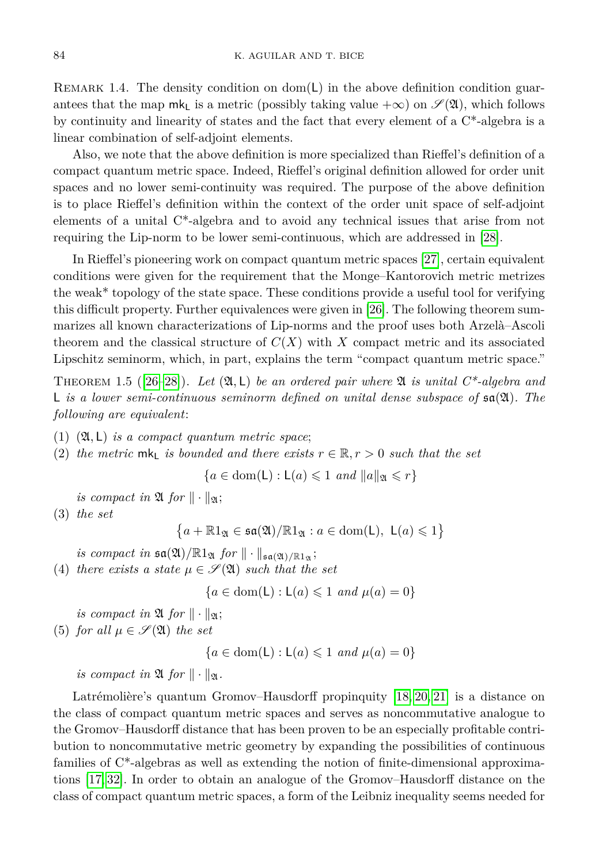REMARK 1.4. The density condition on dom( $\mathsf{L}$ ) in the above definition condition guarantees that the map mk<sub>L</sub> is a metric (possibly taking value  $+\infty$ ) on  $\mathscr{S}(\mathfrak{A})$ , which follows by continuity and linearity of states and the fact that every element of a C\*-algebra is a linear combination of self-adjoint elements.

Also, we note that the above definition is more specialized than Rieffel's definition of a compact quantum metric space. Indeed, Rieffel's original definition allowed for order unit spaces and no lower semi-continuity was required. The purpose of the above definition is to place Rieffel's definition within the context of the order unit space of self-adjoint elements of a unital C\*-algebra and to avoid any technical issues that arise from not requiring the Lip-norm to be lower semi-continuous, which are addressed in [\[28\]](#page-29-1).

In Rieffel's pioneering work on compact quantum metric spaces [\[27\]](#page-29-0), certain equivalent conditions were given for the requirement that the Monge–Kantorovich metric metrizes the weak\* topology of the state space. These conditions provide a useful tool for verifying this difficult property. Further equivalences were given in [\[26\]](#page-29-6). The following theorem summarizes all known characterizations of Lip-norms and the proof uses both Arzelà–Ascoli theorem and the classical structure of *C*(*X*) with *X* compact metric and its associated Lipschitz seminorm, which, in part, explains the term "compact quantum metric space."

<span id="page-3-0"></span>THEOREM 1.5 ([26-[28\]](#page-29-1)). Let  $(\mathfrak{A}, L)$  be an ordered pair where  $\mathfrak{A}$  is unital  $C^*$ -algebra and L *is a lower semi-continuous seminorm defined on unital dense subspace of* sa(A)*. The following are equivalent*:

- (1) (A*,* L) *is a compact quantum metric space*;
- (2) the metric  $mk_l$  *is bounded and there exists*  $r \in \mathbb{R}, r > 0$  *such that the set*

$$
\{a \in \text{dom}(\mathsf{L}): \mathsf{L}(a) \leq 1 \text{ and } ||a||_{\mathfrak{A}} \leq r\}
$$

*is compact in*  $\mathfrak{A}$  *for*  $\|\cdot\|_{\mathfrak{A}}$ ;

(3) *the set*

 ${a + \mathbb{R}1_{\mathfrak{A}} \in \mathfrak{sa}(\mathfrak{A})/\mathbb{R}1_{\mathfrak{A}} : a \in \text{dom}(\mathsf{L}), \ \mathsf{L}(a) \leqslant 1}$ 

*is compact in*  $\mathfrak{sa}( \mathfrak{A}) / \mathbb{R} 1_{\mathfrak{A}}$  *for*  $\| \cdot \|_{\mathfrak{sa}( \mathfrak{A}) / \mathbb{R} 1_{\mathfrak{A}}}$ ;

(4) *there exists a state*  $\mu \in \mathscr{S}(\mathfrak{A})$  *such that the set* 

$$
\{a \in \text{dom}(\mathsf{L}): \mathsf{L}(a) \leq 1 \text{ and } \mu(a) = 0\}
$$

*is compact in*  $\mathfrak{A}$  *for*  $\|\cdot\|_{\mathfrak{A}}$ ; (5) *for all*  $\mu \in \mathscr{S}(\mathfrak{A})$  *the set* 

$$
\{a \in \text{dom}(\mathsf{L}): \mathsf{L}(a) \leq 1 \text{ and } \mu(a) = 0\}
$$

*is compact in*  $\mathfrak{A}$  *for*  $\|\cdot\|_{\mathfrak{A}}$ *.* 

Latrémolière's quantum Gromov–Hausdorff propinquity [\[18,](#page-29-7) [20,](#page-29-4) [21\]](#page-29-8) is a distance on the class of compact quantum metric spaces and serves as noncommutative analogue to the Gromov–Hausdorff distance that has been proven to be an especially profitable contribution to noncommutative metric geometry by expanding the possibilities of continuous families of  $C^*$ -algebras as well as extending the notion of finite-dimensional approximations [\[17,](#page-29-9) [32\]](#page-29-10). In order to obtain an analogue of the Gromov–Hausdorff distance on the class of compact quantum metric spaces, a form of the Leibniz inequality seems needed for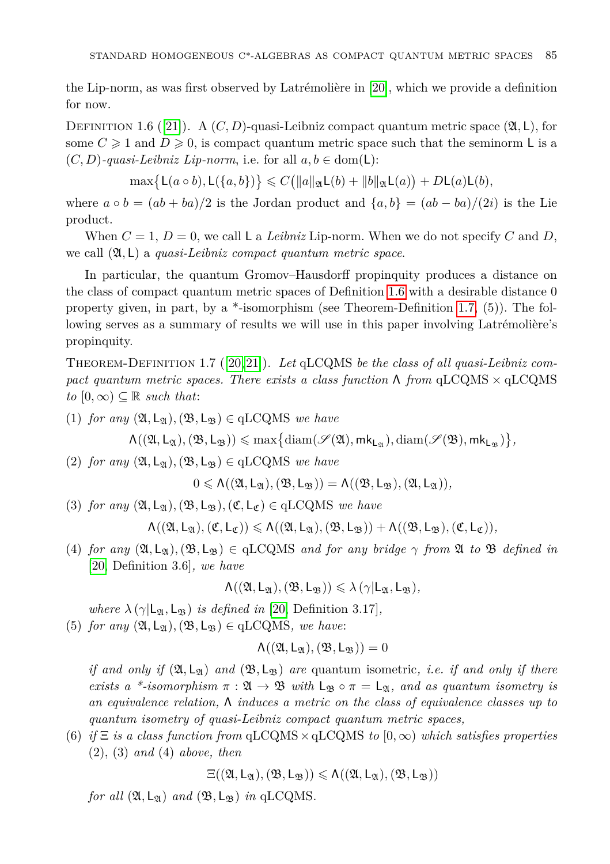the Lip-norm, as was first observed by Latrémolière in [\[20\]](#page-29-4), which we provide a definition for now.

<span id="page-4-0"></span>DEFINITION 1.6 ([\[21\]](#page-29-8)). A  $(C, D)$ -quasi-Leibniz compact quantum metric space  $(\mathfrak{A}, L)$ , for some  $C \geq 1$  and  $D \geq 0$ , is compact quantum metric space such that the seminorm L is a  $(C, D)$ *-quasi-Leibniz Lip-norm*, i.e. for all  $a, b \in \text{dom}(\mathsf{L})$ :

 $\max\{L(a \circ b), L(\{a, b\})\} \leq C(\|a\|_{\mathfrak{A}}L(b) + \|b\|_{\mathfrak{A}}L(a)) + DL(a)L(b),$ 

where  $a \circ b = (ab + ba)/2$  is the Jordan product and  $\{a, b\} = (ab - ba)/(2i)$  is the Lie product.

When  $C = 1$ ,  $D = 0$ , we call L a *Leibniz* Lip-norm. When we do not specify  $C$  and  $D$ , we call (A*,* L) a *quasi-Leibniz compact quantum metric space*.

In particular, the quantum Gromov–Hausdorff propinquity produces a distance on the class of compact quantum metric spaces of Definition [1.6](#page-4-0) with a desirable distance 0 property given, in part, by a \*-isomorphism (see Theorem-Definition [1.7,](#page-4-1) (5)). The following serves as a summary of results we will use in this paper involving Latrémolière's propinquity.

<span id="page-4-1"></span>Theorem-Definition 1.7 ([\[20,](#page-29-4) [21\]](#page-29-8)). *Let* qLCQMS *be the class of all quasi-Leibniz compact quantum metric spaces. There exists a class function* Λ *from* qLCQMS × qLCQMS  $to [0, \infty) \subseteq \mathbb{R}$  *such that*:

 $(1)$  *for any*  $(\mathfrak{A}, \mathsf{L}_{\mathfrak{A}}), (\mathfrak{B}, \mathsf{L}_{\mathfrak{B}}) \in \mathrm{qLCQMS}$  *we have* 

 $\Lambda((\mathfrak{A}, \mathsf{L}_\mathfrak{A}), (\mathfrak{B}, \mathsf{L}_\mathfrak{B})) \leqslant \max\bigl\{ \mathrm{diam}(\mathscr{S}(\mathfrak{A}), \mathsf{mk}_{\mathsf{L}_\mathfrak{A}}), \mathrm{diam}(\mathscr{S}(\mathfrak{B}), \mathsf{mk}_{\mathsf{L}_\mathfrak{B}}) \bigr\},$ 

 $(2)$  *for any*  $(\mathfrak{A}, \mathsf{L}_{\mathfrak{A}}), (\mathfrak{B}, \mathsf{L}_{\mathfrak{B}}) \in \mathrm{qLCQMS}$  *we have* 

 $0 \leq \Lambda((\mathfrak{A}, \mathsf{L}_{\mathfrak{A}}), (\mathfrak{B}, \mathsf{L}_{\mathfrak{B}})) = \Lambda((\mathfrak{B}, \mathsf{L}_{\mathfrak{B}}), (\mathfrak{A}, \mathsf{L}_{\mathfrak{A}})).$ 

(3) *for any*  $(\mathfrak{A}, \mathsf{L}_{\mathfrak{A}}), (\mathfrak{B}, \mathsf{L}_{\mathfrak{B}}), (\mathfrak{C}, \mathsf{L}_{\mathfrak{C}}) \in \mathrm{qLCQMS}$  *we have* 

 $\Lambda((\mathfrak{A}, L_{\mathfrak{A}}), (\mathfrak{C}, L_{\mathfrak{C}})) \leqslant \Lambda((\mathfrak{A}, L_{\mathfrak{A}}), (\mathfrak{B}, L_{\mathfrak{B}})) + \Lambda((\mathfrak{B}, L_{\mathfrak{B}}), (\mathfrak{C}, L_{\mathfrak{C}})),$ 

(4) *for any*  $(\mathfrak{A}, \mathsf{L}_{\mathfrak{A}}), (\mathfrak{B}, \mathsf{L}_{\mathfrak{B}}) \in \mathrm{qLCQMS}$  *and for any bridge*  $\gamma$  *from*  $\mathfrak{A}$  *to*  $\mathfrak{B}$  *defined in* [\[20,](#page-29-4) Definition 3.6]*, we have*

$$
\Lambda((\mathfrak{A},L_{\mathfrak{A}}),(\mathfrak{B},L_{\mathfrak{B}}))\leqslant\lambda\,(\gamma|L_{\mathfrak{A}},L_{\mathfrak{B}}),
$$

*where*  $\lambda(\gamma | \mathsf{L}_{\mathfrak{A}}, \mathsf{L}_{\mathfrak{B}})$  *is defined in* [\[20,](#page-29-4) Definition 3.17]*,* 

(5) *for any*  $(\mathfrak{A}, \mathsf{L}_{\mathfrak{A}}), (\mathfrak{B}, \mathsf{L}_{\mathfrak{B}}) \in \text{qLCQMS},$  we have:

$$
\Lambda((\mathfrak{A},L_{\mathfrak{A}}),(\mathfrak{B},L_{\mathfrak{B}}))=0
$$

*if and only if*  $(\mathfrak{A}, \mathsf{L}_{\mathfrak{A}})$  *and*  $(\mathfrak{B}, \mathsf{L}_{\mathfrak{B}})$  *are* quantum isometric, *i.e. if and only if there exists a \*-isomorphism*  $\pi : \mathfrak{A} \to \mathfrak{B}$  *with*  $L_{\mathfrak{B}} \circ \pi = L_{\mathfrak{A}}$ *, and as quantum isometry is an equivalence relation,* Λ *induces a metric on the class of equivalence classes up to quantum isometry of quasi-Leibniz compact quantum metric spaces,*

(6) *if*  $\Xi$  *is a class function from*  $qLCQMS \times qLCQMS$  *to*  $(0, \infty)$  *which satisfies properties* (2), (3) *and* (4) *above, then*

 $\Xi((\mathfrak{A}, L_{\mathfrak{A}}), (\mathfrak{B}, L_{\mathfrak{B}})) \leqslant \Lambda((\mathfrak{A}, L_{\mathfrak{A}}), (\mathfrak{B}, L_{\mathfrak{B}}))$ 

*for all*  $(\mathfrak{A}, \mathsf{L}_{\mathfrak{A}})$  *and*  $(\mathfrak{B}, \mathsf{L}_{\mathfrak{B}})$  *in* qLCQMS.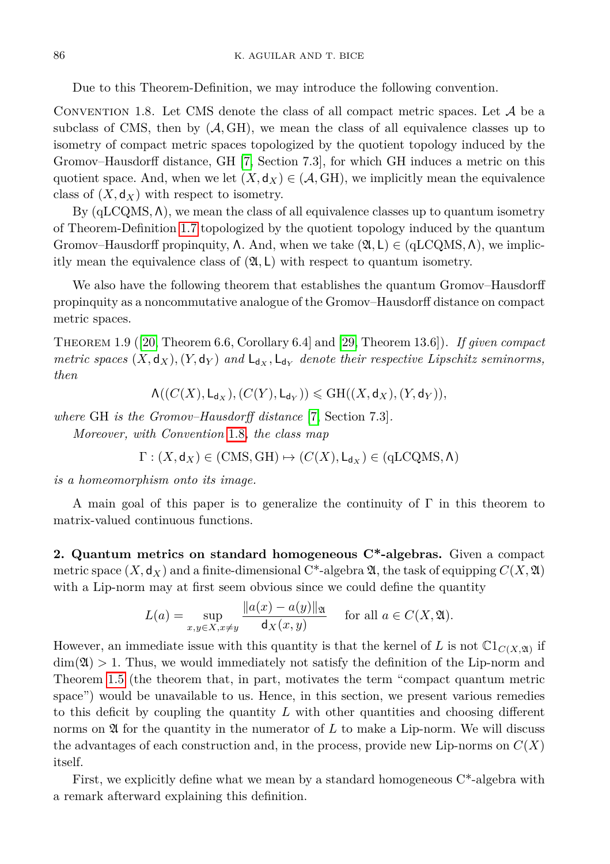Due to this Theorem-Definition, we may introduce the following convention.

<span id="page-5-1"></span>CONVENTION 1.8. Let CMS denote the class of all compact metric spaces. Let  $A$  be a subclass of CMS, then by  $(A, GH)$ , we mean the class of all equivalence classes up to isometry of compact metric spaces topologized by the quotient topology induced by the Gromov–Hausdorff distance, GH [\[7,](#page-28-6) Section 7.3], for which GH induces a metric on this quotient space. And, when we let  $(X, \mathsf{d}_X) \in (\mathcal{A}, \mathrm{GH})$ , we implicitly mean the equivalence class of  $(X, \mathsf{d}_X)$  with respect to isometry.

By (qLCQMS*,* Λ), we mean the class of all equivalence classes up to quantum isometry of Theorem-Definition [1.7](#page-4-1) topologized by the quotient topology induced by the quantum Gromov–Hausdorff propinquity,  $\Lambda$ . And, when we take  $(\mathfrak{A}, L) \in (\text{qLCQMS}, \Lambda)$ , we implicitly mean the equivalence class of  $(2I, L)$  with respect to quantum isometry.

We also have the following theorem that establishes the quantum Gromov–Hausdorff propinquity as a noncommutative analogue of the Gromov–Hausdorff distance on compact metric spaces.

<span id="page-5-3"></span>Theorem 1.9 ([\[20,](#page-29-4) Theorem 6.6, Corollary 6.4] and [\[29,](#page-29-3) Theorem 13.6]). *If given compact metric spaces*  $(X, \mathsf{d}_X)$ ,  $(Y, \mathsf{d}_Y)$  and  $\mathsf{L}_{\mathsf{d}_X}$ ,  $\mathsf{L}_{\mathsf{d}_Y}$  denote their respective Lipschitz seminorms, *then*

 $\Lambda((C(X), \mathsf{L}_{\mathsf{d}_X}), (C(Y), \mathsf{L}_{\mathsf{d}_Y})) \leqslant \mathrm{GH}((X, \mathsf{d}_X), (Y, \mathsf{d}_Y)),$ 

*where* GH *is the Gromov–Hausdorff distance* [\[7,](#page-28-6) Section 7.3]*. Moreover, with Convention* [1.8](#page-5-1)*, the class map*

 $\Gamma$  :  $(X, d_X) \in (CMS, GH) \mapsto (C(X), L_{d_X}) \in (qLCQMS, \Lambda)$ 

*is a homeomorphism onto its image.*

A main goal of this paper is to generalize the continuity of Γ in this theorem to matrix-valued continuous functions.

<span id="page-5-0"></span>**2. Quantum metrics on standard homogeneous C\*-algebras.** Given a compact metric space  $(X, \mathsf{d}_X)$  and a finite-dimensional C<sup>\*</sup>-algebra  $\mathfrak{A}$ , the task of equipping  $C(X, \mathfrak{A})$ with a Lip-norm may at first seem obvious since we could define the quantity

$$
L(a) = \sup_{x,y \in X, x \neq y} \frac{\|a(x) - a(y)\|_{\mathfrak{A}}}{\mathrm{d}_X(x,y)} \quad \text{ for all } a \in C(X, \mathfrak{A}).
$$

However, an immediate issue with this quantity is that the kernel of *L* is not  $\mathbb{C}1_{C(X,\mathfrak{A})}$  if  $\dim(\mathfrak{A}) > 1$ . Thus, we would immediately not satisfy the definition of the Lip-norm and Theorem [1.5](#page-3-0) (the theorem that, in part, motivates the term "compact quantum metric space") would be unavailable to us. Hence, in this section, we present various remedies to this deficit by coupling the quantity *L* with other quantities and choosing different norms on  $\mathfrak A$  for the quantity in the numerator of  $L$  to make a Lip-norm. We will discuss the advantages of each construction and, in the process, provide new Lip-norms on  $C(X)$ itself.

<span id="page-5-2"></span>First, we explicitly define what we mean by a standard homogeneous  $C^*$ -algebra with a remark afterward explaining this definition.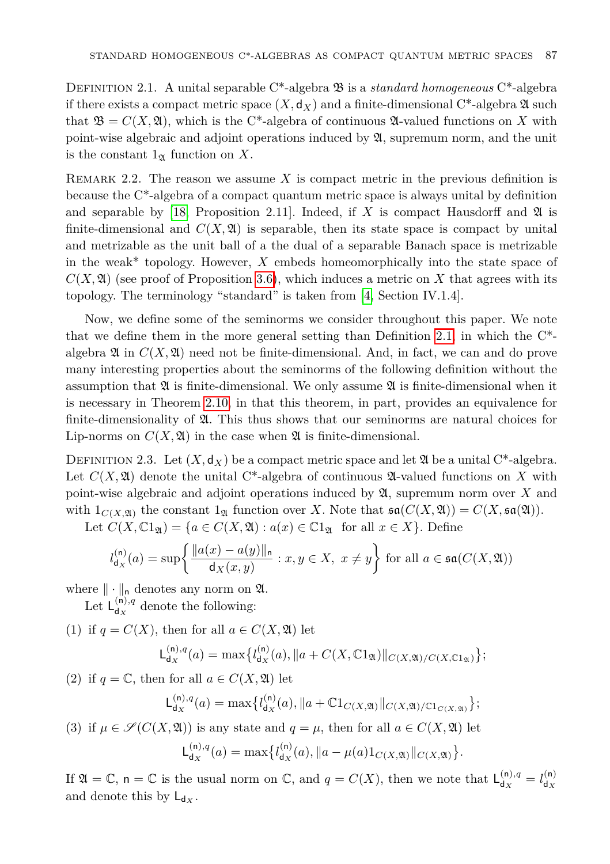Definition 2.1. A unital separable C\*-algebra B is a *standard homogeneous* C\*-algebra if there exists a compact metric space  $(X, d_X)$  and a finite-dimensional C<sup>\*</sup>-algebra  $\mathfrak A$  such that  $\mathfrak{B} = C(X, \mathfrak{A})$ , which is the C<sup>\*</sup>-algebra of continuous  $\mathfrak{A}$ -valued functions on X with point-wise algebraic and adjoint operations induced by A, supremum norm, and the unit is the constant  $1_{\mathfrak{A}}$  function on X.

Remark 2.2. The reason we assume *X* is compact metric in the previous definition is because the C\*-algebra of a compact quantum metric space is always unital by definition and separable by [\[18,](#page-29-7) Proposition 2.11]. Indeed, if  $X$  is compact Hausdorff and  $\mathfrak A$  is finite-dimensional and  $C(X, \mathfrak{A})$  is separable, then its state space is compact by unital and metrizable as the unit ball of a the dual of a separable Banach space is metrizable in the weak\* topology. However, *X* embeds homeomorphically into the state space of  $C(X, \mathfrak{A})$  (see proof of Proposition [3.6\)](#page-17-0), which induces a metric on X that agrees with its topology. The terminology "standard" is taken from [\[4,](#page-28-7) Section IV.1.4].

Now, we define some of the seminorms we consider throughout this paper. We note that we define them in the more general setting than Definition [2.1,](#page-5-2) in which the C\* algebra  $\mathfrak{A}$  in  $C(X, \mathfrak{A})$  need not be finite-dimensional. And, in fact, we can and do prove many interesting properties about the seminorms of the following definition without the assumption that  $\mathfrak A$  is finite-dimensional. We only assume  $\mathfrak A$  is finite-dimensional when it is necessary in Theorem [2.10,](#page-12-0) in that this theorem, in part, provides an equivalence for finite-dimensionality of A. This thus shows that our seminorms are natural choices for Lip-norms on  $C(X, \mathfrak{A})$  in the case when  $\mathfrak A$  is finite-dimensional.

<span id="page-6-0"></span>DEFINITION 2.3. Let  $(X, \mathsf{d}_X)$  be a compact metric space and let  $\mathfrak A$  be a unital C<sup>\*</sup>-algebra. Let  $C(X, \mathfrak{A})$  denote the unital C\*-algebra of continuous  $\mathfrak{A}$ -valued functions on X with point-wise algebraic and adjoint operations induced by A, supremum norm over *X* and with  $1_{C(X, \mathfrak{A})}$  the constant  $1_{\mathfrak{A}}$  function over *X*. Note that  $\mathfrak{sa}(C(X, \mathfrak{A})) = C(X, \mathfrak{sa}(\mathfrak{A}))$ .

Let  $C(X, \mathbb{C}1_{\mathfrak{A}}) = \{a \in C(X, \mathfrak{A}) : a(x) \in \mathbb{C}1_{\mathfrak{A}} \text{ for all } x \in X\}.$  Define

$$
l_{\mathsf{d}_X}^{(\mathsf{n})}(a) = \sup \left\{ \frac{\|a(x) - a(y)\|_{\mathsf{n}}}{\mathsf{d}_X(x, y)} : x, y \in X, \ x \neq y \right\} \text{ for all } a \in \mathfrak{sa}(C(X, \mathfrak{A}))
$$

where  $\|\cdot\|_{\mathsf{n}}$  denotes any norm on  $\mathfrak{A}$ .

Let  $L_{d_{\infty}}^{(n),q}$  $d_X^{(n),q}$  denote the following:

(1) if  $q = C(X)$ , then for all  $a \in C(X, \mathfrak{A})$  let

$$
\mathsf{L}_{\mathsf{d}_X}^{(\mathsf{n}),q}(a) = \max\{l_{\mathsf{d}_X}^{(\mathsf{n})}(a), \|a + C(X,\mathbb{C}1_{\mathfrak{A}})\|_{C(X,\mathfrak{A})/C(X,\mathbb{C}1_{\mathfrak{A}})}\};
$$

(2) if  $q = \mathbb{C}$ , then for all  $a \in C(X, \mathfrak{A})$  let

$$
L_{d_X}^{(n),q}(a) = \max \{ l_{d_X}^{(n)}(a), \|a + \mathbb{C}1_{C(X,\mathfrak{A})}\|_{C(X,\mathfrak{A})/C1_{C(X,\mathfrak{A})}} \};
$$

(3) if  $\mu \in \mathcal{S}(C(X, \mathfrak{A}))$  is any state and  $q = \mu$ , then for all  $a \in C(X, \mathfrak{A})$  let

$$
L_{d_X}^{(n),q}(a) = \max \{ l_{d_X}^{(n)}(a), \|a - \mu(a)1_{C(X,\mathfrak{A})}\|_{C(X,\mathfrak{A})}\}.
$$

If  $\mathfrak{A} = \mathbb{C}$ ,  $\mathsf{n} = \mathbb{C}$  is the usual norm on  $\mathbb{C}$ , and  $q = C(X)$ , then we note that  $\mathsf{L}^{(\mathsf{n}),q}_{d_{X}}$  $\frac{f_{\mathsf{d}}(\mathsf{n}), q}{\mathsf{d}_X} = l_{\mathsf{d}_X}^{(\mathsf{n})}$ d*<sup>X</sup>* and denote this by  $L_{d_x}$ .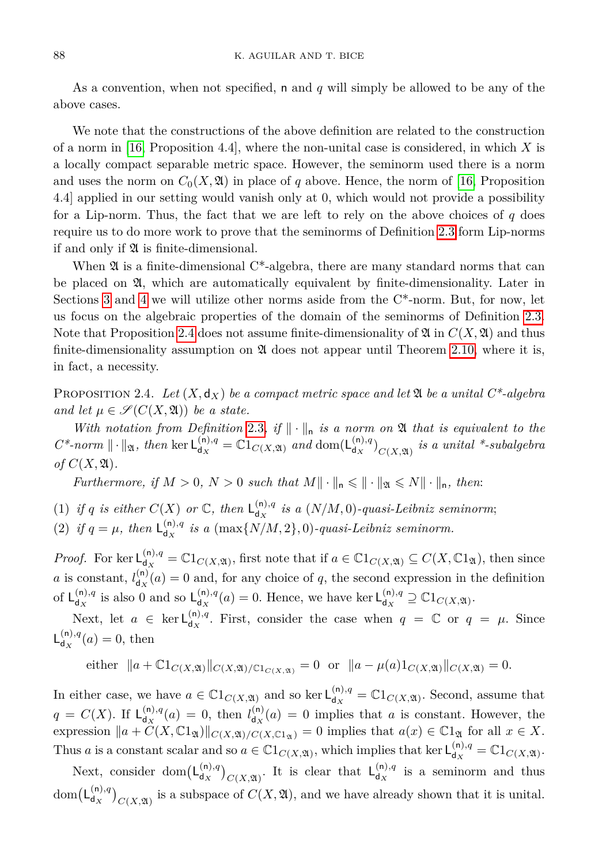As a convention, when not specified, n and *q* will simply be allowed to be any of the above cases.

We note that the constructions of the above definition are related to the construction of a norm in [\[16,](#page-29-11) Proposition 4.4], where the non-unital case is considered, in which *X* is a locally compact separable metric space. However, the seminorm used there is a norm and uses the norm on  $C_0(X, \mathfrak{A})$  in place of q above. Hence, the norm of [\[16,](#page-29-11) Proposition 4.4] applied in our setting would vanish only at 0, which would not provide a possibility for a Lip-norm. Thus, the fact that we are left to rely on the above choices of *q* does require us to do more work to prove that the seminorms of Definition [2.3](#page-6-0) form Lip-norms if and only if A is finite-dimensional.

When  $\mathfrak A$  is a finite-dimensional C<sup>\*</sup>-algebra, there are many standard norms that can be placed on  $\mathfrak{A}$ , which are automatically equivalent by finite-dimensionality. Later in Sections [3](#page-15-0) and [4](#page-21-0) we will utilize other norms aside from the  $C^*$ -norm. But, for now, let us focus on the algebraic properties of the domain of the seminorms of Definition [2.3.](#page-6-0) Note that Proposition [2.4](#page-7-0) does not assume finite-dimensionality of  $\mathfrak{A}$  in  $C(X, \mathfrak{A})$  and thus finite-dimensionality assumption on  $\mathfrak A$  does not appear until Theorem [2.10,](#page-12-0) where it is, in fact, a necessity.

<span id="page-7-0"></span>PROPOSITION 2.4. Let  $(X, \mathsf{d}_X)$  be a compact metric space and let  $\mathfrak A$  be a unital  $C^*$ -algebra *and let*  $\mu \in \mathcal{S}(C(X, \mathfrak{A}))$  *be a state.* 

*With notation from Definition* [2.3](#page-6-0), if  $\|\cdot\|_n$  *is a norm on*  $\mathfrak A$  *that is equivalent to the*  $C^*$ *-norm*  $\|\cdot\|_{\mathfrak{A}}$ *, then* ker  $\mathsf{L}_{\mathsf{d}_X}^{(\mathsf{n}),q}$  $\mathbf{d}_X^{(\mathsf{n}),q} = \mathbb{C}1_{C(X,\mathfrak{A})}$  *and* dom $(\mathsf{L}_{\mathsf{d}_X}^{(\mathsf{n}),q})$  $\int_{d_X}^{(n),q}$  *c*(*X,x*<sub>1</sub>) *is a unital \*-subalgebra*  $of C(X, \mathfrak{A})$ .

*Furthermore, if*  $M > 0$ ,  $N > 0$  *such that*  $M \|\cdot\|_{n} \leq \|\cdot\|_{\mathfrak{A}} \leq N \|\cdot\|_{n}$ , then:

- (1) if *q* is either  $C(X)$  or  $\mathbb{C}$ , then  $L_{d_{X}}^{(n),q}$  $d_{\mathbf{x}}^{(n),q}$  is a  $(N/M,0)$ -quasi-Leibniz seminorm;
- (2) if  $q = \mu$ , then  $\mathsf{L}_{d_{\mathbf{y}}}^{(n),q}$  $\int_{d_X}^{(n),q}$  *is a* (max $\{N/M,2\},0$ )-quasi-Leibniz seminorm.

*Proof.* For ker  $L_{dx}^{(n),q}$  $d_X^{(n),q} = \mathbb{C}1_{C(X,\mathfrak{A})}$ , first note that if  $a \in \mathbb{C}1_{C(X,\mathfrak{A})} \subseteq C(X,\mathbb{C}1_{\mathfrak{A}})$ , then since *a* is constant,  $l_{\text{dx}}^{(n)}$  $d_{\mathbf{x}}^{(n)}(a) = 0$  and, for any choice of *q*, the second expression in the definition of  $L_{dx}^{(n),q}$  $\frac{d^{(n),q}}{dx}$  is also 0 and so  $\mathsf{L}_{\mathsf{d}_X}^{(n),q}$  $\int_{d_X}^{(n),q} (a) = 0$ . Hence, we have ker  $L_{d_X}^{(n),q}$  $\mathbb{C}^{(n),q}_{d_X} \supseteq \mathbb{C}1_{C(X,\mathfrak{A})}.$ 

Next, let  $a \in \ker L_{d_{\mathbf{x}}}^{(n),q}$  $d_{\mathbf{x}}^{(n),q}$ . First, consider the case when  $q = \mathbb{C}$  or  $q = \mu$ . Since  $L_{d_{\infty}}^{(n),q}$  $d_X^{(n),q}(a) = 0$ , then

either 
$$
||a + \mathbb{C}1_{C(X, \mathfrak{A})}||_{C(X, \mathfrak{A})/\mathbb{C}1_{C(X, \mathfrak{A})}} = 0
$$
 or  $||a - \mu(a)1_{C(X, \mathfrak{A})}||_{C(X, \mathfrak{A})} = 0$ .

In either case, we have  $a \in \mathbb{C}1_{C(X,\mathfrak{A})}$  and so ker  $\mathsf{L}_{d_x}^{(n),q}$  $d_X^{(n),q} = \mathbb{C}1_{C(X, \mathfrak{A})}$ . Second, assume that  $q = C(X)$ . If  $L_{d_X}^{(n),q}$  $d_X^{(n),q}(a) = 0$ , then  $l_{d_X}^{(n)}$  $d_{\mathbf{x}}^{(n)}(a) = 0$  implies that *a* is constant. However, the expression  $\|a + C(X, \mathbb{C}1_{\mathfrak{A}})\|_{C(X, \mathfrak{A})/C(X, \mathbb{C}1_{\mathfrak{A}})} = 0$  implies that  $a(x) \in \mathbb{C}1_{\mathfrak{A}}$  for all  $x \in X$ . Thus *a* is a constant scalar and so  $a \in \mathbb{C}1_{C(X, \mathfrak{A})}$ , which implies that ker  $\mathsf{L}^{(n),q}_{d_x}$  $\mathcal{L}_{d_X}^{(n),q} = \mathbb{C}1_{C(X,\mathfrak{A})}.$ 

Next, consider dom $(L_{d_x}^{(n),q})$  $\binom{\binom{n}{q}}{c(X, \mathfrak{A})}$ . It is clear that  $\mathsf{L}_{d_X}^{(n), q}$  $d_X^{(n),q}$  is a seminorm and thus  $dom(L_{dx}^{(n),q})$  $\binom{(n),q}{d_X}$  is a subspace of  $C(X, \mathfrak{A})$ , and we have already shown that it is unital.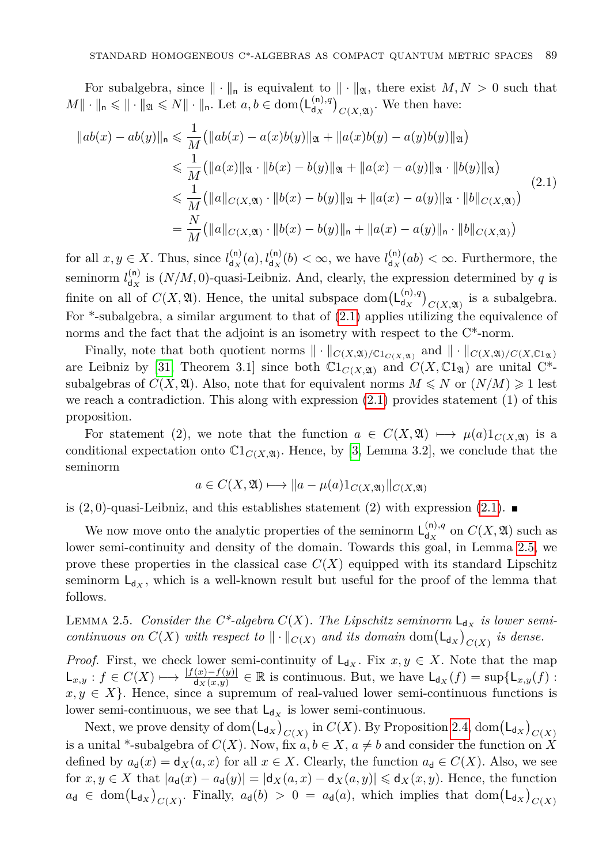For subalgebra, since  $\|\cdot\|_{n}$  is equivalent to  $\|\cdot\|_{\mathfrak{A}}$ , there exist  $M, N > 0$  such that  $M \|\cdot\|_{\mathsf{n}} \leqslant \|\cdot\|_{\mathfrak{A}} \leqslant N \|\cdot\|_{\mathsf{n}}$ . Let  $a, b \in \text{dom}(\mathsf{L}_{\mathsf{d}_X}^{(\mathsf{n}),q})$  $\binom{\binom{n}{q}}{c(X, \mathfrak{A})}$ . We then have:

<span id="page-8-0"></span>
$$
||ab(x) - ab(y)||_{n} \le \frac{1}{M} (||ab(x) - a(x)b(y)||_{\mathfrak{A}} + ||a(x)b(y) - a(y)b(y)||_{\mathfrak{A}})
$$
  
\n
$$
\le \frac{1}{M} (||a(x)||_{\mathfrak{A}} \cdot ||b(x) - b(y)||_{\mathfrak{A}} + ||a(x) - a(y)||_{\mathfrak{A}} \cdot ||b(y)||_{\mathfrak{A}})
$$
  
\n
$$
\le \frac{1}{M} (||a||_{C(X, \mathfrak{A})} \cdot ||b(x) - b(y)||_{\mathfrak{A}} + ||a(x) - a(y)||_{\mathfrak{A}} \cdot ||b||_{C(X, \mathfrak{A})})
$$
  
\n
$$
= \frac{N}{M} (||a||_{C(X, \mathfrak{A})} \cdot ||b(x) - b(y)||_{n} + ||a(x) - a(y)||_{n} \cdot ||b||_{C(X, \mathfrak{A})})
$$
\n(2.1)

for all  $x, y \in X$ . Thus, since  $l_{d, x}^{(n)}$  $d_X^{(n)}(a)$ ,  $l_{d_X}^{(n)}(b) < \infty$ , we have  $l_{d_X}^{(n)}$  $d_{\mathcal{X}}^{(n)}(ab) < \infty$ . Furthermore, the seminorm  $l_{d_{x}}^{(n)}$  $d_{\mathbf{x}}^{(n)}$  is  $(N/M, 0)$ -quasi-Leibniz. And, clearly, the expression determined by *q* is finite on all of  $C(X, \mathfrak{A})$ . Hence, the unital subspace dom $(L_{d_x}^{(n),q})$  $\int_{C(X,\mathfrak{A})}^{\mathfrak{h},q}$  is a subalgebra. For \*-subalgebra, a similar argument to that of [\(2.1\)](#page-8-0) applies utilizing the equivalence of norms and the fact that the adjoint is an isometry with respect to the C\*-norm.

Finally, note that both quotient norms  $\|\cdot\|_{C(X,\mathfrak{A})/C1_{C(X,\mathfrak{A})}}$  and  $\|\cdot\|_{C(X,\mathfrak{A})/C(X,\mathbb{C}1_{\mathfrak{A}})}$ are Leibniz by [\[31,](#page-29-12) Theorem 3.1] since both  $\mathbb{C}1_{C(X,\mathfrak{A})}$  and  $C(X,\mathbb{C}1_{\mathfrak{A}})$  are unital C<sup>\*</sup>subalgebras of  $C(X, \mathfrak{A})$ . Also, note that for equivalent norms  $M \leq N$  or  $(N/M) \geq 1$  lest we reach a contradiction. This along with expression  $(2.1)$  provides statement  $(1)$  of this proposition.

For statement (2), we note that the function  $a \in C(X, \mathfrak{A}) \mapsto \mu(a)1_{C(X, \mathfrak{A})}$  is a conditional expectation onto  $\mathbb{C}1_{C(X,\mathfrak{A})}$ . Hence, by [\[3,](#page-28-3) Lemma 3.2], we conclude that the seminorm

$$
a \in C(X, \mathfrak{A}) \longmapsto \|a - \mu(a)\mathbb{1}_{C(X, \mathfrak{A})}\|_{C(X, \mathfrak{A})}
$$

is  $(2,0)$ -quasi-Leibniz, and this establishes statement  $(2)$  with expression  $(2.1)$ .

We now move onto the analytic properties of the seminorm  $L_{dx}^{(n),q}$  $\int_{d_X}^{(n),q}$  on  $C(X, \mathfrak{A})$  such as lower semi-continuity and density of the domain. Towards this goal, in Lemma [2.5,](#page-8-1) we prove these properties in the classical case  $C(X)$  equipped with its standard Lipschitz seminorm  $L_{dx}$ , which is a well-known result but useful for the proof of the lemma that follows.

<span id="page-8-1"></span>LEMMA 2.5. *Consider the C\*-algebra*  $C(X)$ *. The Lipschitz seminorm*  $L_{d_X}$  *is lower semicontinuous on*  $C(X)$  *with respect to*  $\|\cdot\|_{C(X)}$  *and its domain* dom $(L_{d_X})_{C(X)}$  *is dense.* 

*Proof.* First, we check lower semi-continuity of  $L_{d_X}$ . Fix  $x, y \in X$ . Note that the map  $\mathsf{L}_{x,y}: f \in C(X) \longmapsto \frac{|f(x)-f(y)|}{\mathsf{d}_X(x,y)} \in \mathbb{R}$  is continuous. But, we have  $\mathsf{L}_{\mathsf{d}_X}(f) = \sup\{\mathsf{L}_{x,y}(f):$  $x, y \in X$ . Hence, since a supremum of real-valued lower semi-continuous functions is lower semi-continuous, we see that  $L_{d_X}$  is lower semi-continuous.

Next, we prove density of  $\text{dom}\big(\mathsf{L}_{\mathsf{d}_X}\big)_{C(X)}$  in  $C(X)$ . By Proposition [2.4,](#page-7-0)  $\text{dom}\big(\mathsf{L}_{\mathsf{d}_X}\big)_{C(X)}$ is a unital \*-subalgebra of  $C(X)$ . Now, fix  $a, b \in X$ ,  $a \neq b$  and consider the function on X defined by  $a_d(x) = d_X(a, x)$  for all  $x \in X$ . Clearly, the function  $a_d \in C(X)$ . Also, we see for  $x, y \in X$  that  $|a_d(x) - a_d(y)| = |d_X(a, x) - d_X(a, y)| \leq d_X(x, y)$ . Hence, the function  $a_{d} \in \text{dom}(\mathsf{L}_{d_{X}})_{C(X)}$ . Finally,  $a_{d}(b) > 0 = a_{d}(a)$ , which implies that  $\text{dom}(\mathsf{L}_{d_{X}})_{C(X)}$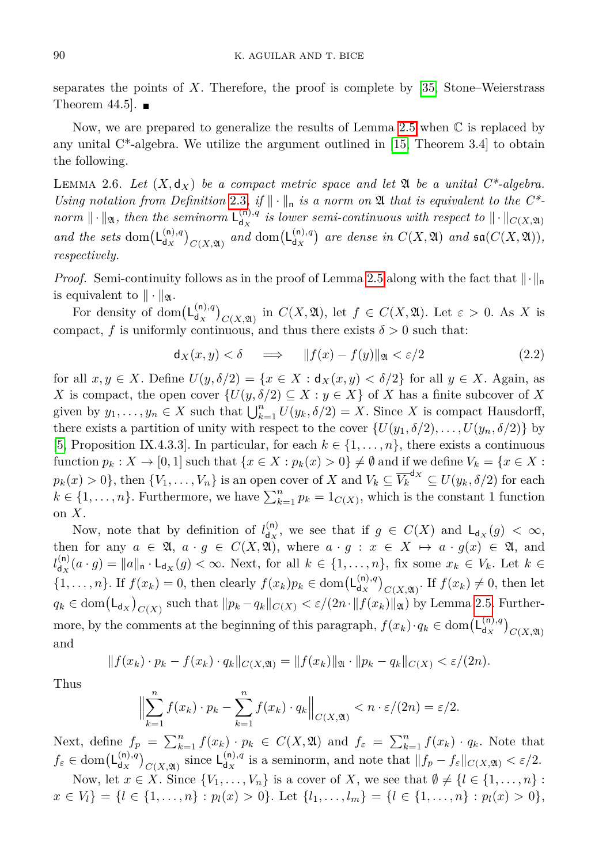separates the points of *X*. Therefore, the proof is complete by [\[35,](#page-29-13) Stone–Weierstrass Theorem 44.5.  $\blacksquare$ 

Now, we are prepared to generalize the results of Lemma [2.5](#page-8-1) when  $\mathbb C$  is replaced by any unital  $C^*$ -algebra. We utilize the argument outlined in [\[15,](#page-29-14) Theorem 3.4] to obtain the following.

<span id="page-9-1"></span>LEMMA 2.6. Let  $(X, d_X)$  be a compact metric space and let  $\mathfrak A$  be a unital  $C^*$ -algebra. *Using notation from Definition* [2.3](#page-6-0), if  $\|\cdot\|_n$  is a norm on  $\mathfrak A$  that is equivalent to the C<sup>\*</sup>*norm*  $\|\cdot\|_{\mathfrak{A}}$ *, then the seminorm*  $\mathsf{L}_{\mathsf{d}_x}^{(\mathsf{n}),q}$  $\int_{\mathsf{d}_X}^{(n),q}$  *is lower semi-continuous with respect to*  $\|\cdot\|_{C(X,\mathfrak{A})}$ *and the sets* dom $(L_{dx}^{(n),q})$  $\binom{n}{d_X}$ <sub>C(*X*, $\mathfrak{A}$ )</sub> and dom $\left(\mathsf{L}_{d_X}^{(n),q}\right)$  $\begin{bmatrix} \n\mathfrak{a}_X^{(n),q} \end{bmatrix}$  are dense in  $C(X, \mathfrak{A})$  and  $\mathfrak{sa}(C(X, \mathfrak{A})),$ *respectively.*

*Proof.* Semi-continuity follows as in the proof of Lemma [2.5](#page-8-1) along with the fact that  $\|\cdot\|_n$ is equivalent to  $\|\cdot\|_{\mathfrak{A}}$ .

For density of dom $(L_{d,r}^{(n),q})$  $\binom{(n),q}{d_X}$  (*X*,  $\mathfrak{A}$ ), let  $f \in C(X, \mathfrak{A})$ . Let  $\varepsilon > 0$ . As *X* is compact, *f* is uniformly continuous, and thus there exists  $\delta > 0$  such that:

<span id="page-9-0"></span>
$$
\mathsf{d}_X(x,y) < \delta \quad \implies \quad \|f(x) - f(y)\|_{\mathfrak{A}} < \varepsilon/2 \tag{2.2}
$$

for all  $x, y \in X$ . Define  $U(y, \delta/2) = \{x \in X : d_X(x, y) < \delta/2\}$  for all  $y \in X$ . Again, as *X* is compact, the open cover  $\{U(y, \delta/2) \subseteq X : y \in X\}$  of *X* has a finite subcover of *X* given by  $y_1, \ldots, y_n \in X$  such that  $\bigcup_{k=1}^n U(y_k, \delta/2) = X$ . Since X is compact Hausdorff, there exists a partition of unity with respect to the cover  $\{U(y_1, \delta/2), \ldots, U(y_n, \delta/2)\}\$  by [\[5,](#page-28-8) Proposition IX.4.3.3]. In particular, for each  $k \in \{1, \ldots, n\}$ , there exists a continuous function  $p_k: X \to [0,1]$  such that  $\{x \in X : p_k(x) > 0\} \neq \emptyset$  and if we define  $V_k = \{x \in X : p_k(x) > 0\}$  $p_k(x) > 0$ }, then  $\{V_1, \ldots, V_n\}$  is an open cover of *X* and  $V_k \subseteq \overline{V_k}^{d_X} \subseteq U(y_k, \delta/2)$  for each  $k \in \{1, \ldots, n\}$ . Furthermore, we have  $\sum_{k=1}^{n} p_k = 1_{C(X)}$ , which is the constant 1 function on *X*.

Now, note that by definition of  $l_{dx}^{(n)}$  $d_X^{(n)}$ , we see that if  $g \in C(X)$  and  $L_{d_X}(g) < \infty$ , then for any  $a \in \mathfrak{A}, a \cdot g \in C(X, \mathfrak{A})$ , where  $a \cdot g : x \in X \mapsto a \cdot g(x) \in \mathfrak{A}$ , and  $l_{\rm div}^{(n)}$  $\mathcal{A}_{\mathbf{d}_X}(a \cdot g) = \|a\|_{\mathbf{n}} \cdot \mathsf{L}_{\mathbf{d}_X}(g) < \infty$ . Next, for all  $k \in \{1, \ldots, n\}$ , fix some  $x_k \in V_k$ . Let  $k \in \mathbb{Z}$  $\{1,\ldots,n\}$ . If  $f(x_k) = 0$ , then clearly  $f(x_k)p_k \in \text{dom}(\mathsf{L}_{\mathsf{d}_X}^{(n),q})$  $\int_{dX}^{(n),q} C(X,\mathfrak{A})$ . If  $f(x_k) \neq 0$ , then let  $q_k \in \text{dom}(\mathsf{L}_{\mathsf{d}_X})_{C(X)}$  such that  $\|p_k - q_k\|_{C(X)} < \varepsilon/(2n \cdot \|f(x_k)\|_{\mathfrak{A}})$  by Lemma [2.5.](#page-8-1) Furthermore, by the comments at the beginning of this paragraph,  $f(x_k) \cdot q_k \in \text{dom}(\mathsf{L}_{\mathsf{d}_X}^{(n),q})$  $\binom{(\mathsf{n}),q}{d_X}_{C(X,\mathfrak{A})}$ and

$$
|| f (x_k) \cdot p_k - f (x_k) \cdot q_k ||_{C(X, \mathfrak{A})} = || f (x_k) ||_{\mathfrak{A}} \cdot || p_k - q_k ||_{C(X)} < \varepsilon / (2n).
$$

Thus

$$
\Big\|\sum_{k=1}^n f(x_k)\cdot p_k - \sum_{k=1}^n f(x_k)\cdot q_k\Big\|_{C(X,\mathfrak{A})} < n \cdot \varepsilon/(2n) = \varepsilon/2.
$$

Next, define  $f_p = \sum_{k=1}^n f(x_k) \cdot p_k \in C(X, \mathfrak{A})$  and  $f_{\varepsilon} = \sum_{k=1}^n f(x_k) \cdot q_k$ . Note that  $f_{\varepsilon} \in \text{dom}(\mathsf{L}_{\mathsf{d}\mathbf{x}}^{(\mathsf{n}),q})$  $\binom{n}{d_X}$ <sub>*C*(*X*, $\mathfrak{A}$ )</sub> since  $\mathsf{L}_{d_X}^{(n),q}$  $\int_{d_X}^{(n),q}$  is a seminorm, and note that  $||f_p - f_{\varepsilon}||_{C(X,\mathfrak{A})} < \varepsilon/2$ .

Now, let  $x \in X$ . Since  $\{V_1, \ldots, V_n\}$  is a cover of X, we see that  $\emptyset \neq \{l \in \{1, \ldots, n\}$ :  $x \in V_l$  = { $l \in \{1, ..., n\} : p_l(x) > 0$ }. Let  $\{l_1, ..., l_m\} = \{l \in \{1, ..., n\} : p_l(x) > 0\},$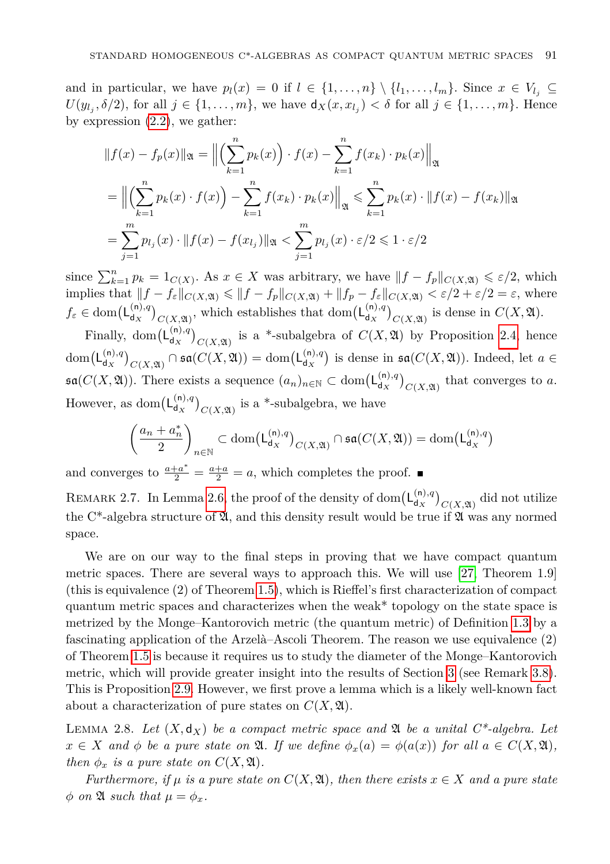and in particular, we have  $p_l(x) = 0$  if  $l \in \{1, \ldots, n\} \setminus \{l_1, \ldots, l_m\}$ . Since  $x \in V_{l_i} \subseteq$  $U(y_{l_j}, \delta/2)$ , for all  $j \in \{1, \ldots, m\}$ , we have  $\mathsf{d}_X(x, x_{l_j}) < \delta$  for all  $j \in \{1, \ldots, m\}$ . Hence by expression [\(2.2\)](#page-9-0), we gather:

$$
||f(x) - f_p(x)||_{\mathfrak{A}} = ||\left(\sum_{k=1}^n p_k(x)\right) \cdot f(x) - \sum_{k=1}^n f(x_k) \cdot p_k(x)||_{\mathfrak{A}}
$$
  
= 
$$
||\left(\sum_{k=1}^n p_k(x) \cdot f(x)\right) - \sum_{k=1}^n f(x_k) \cdot p_k(x)||_{\mathfrak{A}} \le \sum_{k=1}^n p_k(x) \cdot ||f(x) - f(x_k)||_{\mathfrak{A}}
$$
  
= 
$$
\sum_{j=1}^m p_{l_j}(x) \cdot ||f(x) - f(x_{l_j})||_{\mathfrak{A}} < \sum_{j=1}^m p_{l_j}(x) \cdot \varepsilon/2 \le 1 \cdot \varepsilon/2
$$

since  $\sum_{k=1}^{n} p_k = 1_{C(X)}$ . As  $x \in X$  was arbitrary, we have  $||f - f_p||_{C(X, \mathfrak{A})} \leq \varepsilon/2$ , which implies that  $||f - f_{\varepsilon}||_{C(X, \mathfrak{A})} \le ||f - f_{p}||_{C(X, \mathfrak{A})} + ||f_{p} - f_{\varepsilon}||_{C(X, \mathfrak{A})} < \varepsilon/2 + \varepsilon/2 = \varepsilon$ , where  $f_{\varepsilon} \in \text{dom}(\mathsf{L}_{\mathsf{d}\mathbf{x}}^{(\mathsf{n}),q})$  $\binom{(n),q}{d_X}$  *C*(*X*, $\alpha$ ), which establishes that dom $\left(\mathsf{L}_{d_X}^{(n),q}\right)$  $\binom{\binom{n}{q}}{d_X}$  *C*(*X,* 2) is dense in *C*(*X,* 2).

Finally, dom $(L_{d_x}^{(n),q})$  $\binom{(n),q}{d_X}$  is a \*-subalgebra of  $C(X, \mathfrak{A})$  by Proposition [2.4,](#page-7-0) hence  $dom(L_{dx}^{(n),q})$  $\binom{\binom{\mathsf(n),q}{\mathsf d_X}}{C(X, \mathfrak{A})} \cap \mathfrak{sa}(C(X, \mathfrak{A})) = \mathrm{dom}\big(\mathsf{L}^{(\mathsf{n}),q}_{\mathsf d_X}\big)$  $d_X^{(n),q}$  is dense in  $\mathfrak{sa}(C(X,\mathfrak{A}))$ . Indeed, let  $a \in$  $\mathfrak{sa}(C(X, \mathfrak{A}))$ . There exists a sequence  $(a_n)_{n \in \mathbb{N}} \subset \text{dom}(\mathsf{L}_{\mathsf{d}_X}^{(n),q})$  $\binom{\binom{n}{q}}{C(X, \mathfrak{A})}$  that converges to *a*. However, as dom $(L_{d,r}^{(n),q})$  $\binom{\binom{n}{q}}{C(X, \mathfrak{A})}$  is a \*-subalgebra, we have

$$
\left(\frac{a_n + a_n^*}{2}\right)_{n \in \mathbb{N}} \subset \text{dom}\big(\mathsf{L}_{\mathsf{d}_X}^{(\mathsf{n}),q}\big)_{C(X, \mathfrak{A})} \cap \mathfrak{sa}(C(X, \mathfrak{A})) = \text{dom}\big(\mathsf{L}_{\mathsf{d}_X}^{(\mathsf{n}),q}\big)
$$

and converges to  $\frac{a+a^*}{2} = \frac{a+a}{2} = a$ , which completes the proof.

REMARK 2.7. In Lemma [2.6,](#page-9-1) the proof of the density of dom $(L_{d_x}^{(n),q})$  $\left(\begin{smallmatrix} (n),q \\ d_X \end{smallmatrix}\right)_{C(X,{\mathfrak{A}})}$  did not utilize the C<sup>\*</sup>-algebra structure of  $\mathfrak{A}$ , and this density result would be true if  $\mathfrak{A}$  was any normed space.

We are on our way to the final steps in proving that we have compact quantum metric spaces. There are several ways to approach this. We will use [\[27,](#page-29-0) Theorem 1.9] (this is equivalence (2) of Theorem [1.5\)](#page-3-0), which is Rieffel's first characterization of compact quantum metric spaces and characterizes when the weak\* topology on the state space is metrized by the Monge–Kantorovich metric (the quantum metric) of Definition [1.3](#page-2-0) by a fascinating application of the Arzelà–Ascoli Theorem. The reason we use equivalence (2) of Theorem [1.5](#page-3-0) is because it requires us to study the diameter of the Monge–Kantorovich metric, which will provide greater insight into the results of Section [3](#page-15-0) (see Remark [3.8\)](#page-20-0). This is Proposition [2.9.](#page-11-0) However, we first prove a lemma which is a likely well-known fact about a characterization of pure states on  $C(X, \mathfrak{A})$ .

<span id="page-10-0"></span>LEMMA 2.8. Let  $(X, d_X)$  be a compact metric space and  $\mathfrak A$  be a unital  $C^*$ -algebra. Let  $x \in X$  *and*  $\phi$  *be a pure state on*  $\mathfrak{A}$ *. If we define*  $\phi_x(a) = \phi(a(x))$  *for all*  $a \in C(X, \mathfrak{A})$ *, then*  $\phi_x$  *is a pure state on*  $C(X, \mathfrak{A})$ *.* 

*Furthermore, if*  $\mu$  *is a pure state on*  $C(X, \mathfrak{A})$ *, then there exists*  $x \in X$  *and a pure state*  $\phi$  *on*  $\mathfrak{A}$  *such that*  $\mu = \phi_x$ *.*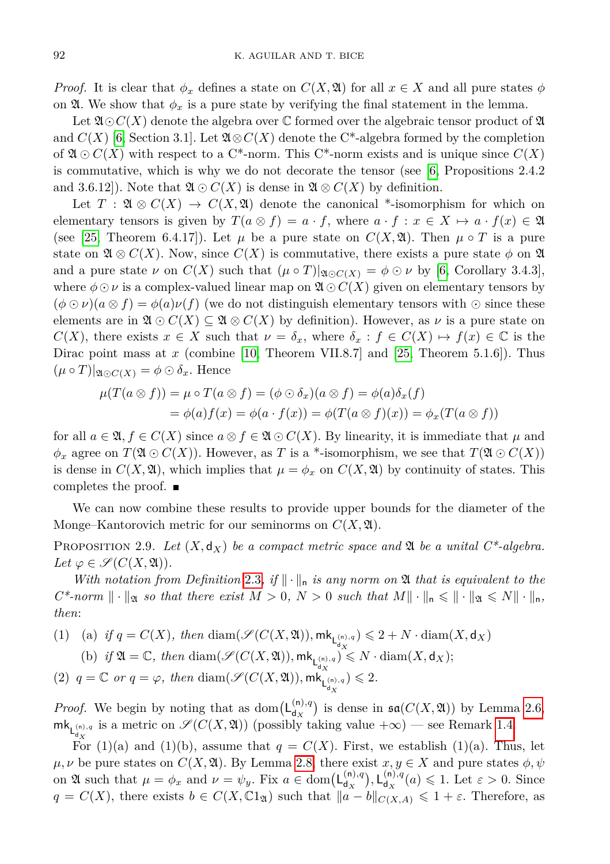*Proof.* It is clear that  $\phi_x$  defines a state on  $C(X, \mathfrak{A})$  for all  $x \in X$  and all pure states  $\phi$ on  $\mathfrak{A}$ . We show that  $\phi_x$  is a pure state by verifying the final statement in the lemma.

Let  $\mathfrak{A}\odot C(X)$  denote the algebra over C formed over the algebraic tensor product of  $\mathfrak A$ and  $C(X)$  [\[6,](#page-28-9) Section 3.1]. Let  $\mathfrak{A} \otimes C(X)$  denote the C<sup>\*</sup>-algebra formed by the completion of  $\mathfrak{A} \odot C(X)$  with respect to a C<sup>\*</sup>-norm. This C<sup>\*</sup>-norm exists and is unique since  $C(X)$ is commutative, which is why we do not decorate the tensor (see [\[6,](#page-28-9) Propositions 2.4.2 and 3.6.12). Note that  $\mathfrak{A} \odot C(X)$  is dense in  $\mathfrak{A} \otimes C(X)$  by definition.

Let  $T : \mathfrak{A} \otimes C(X) \to C(X, \mathfrak{A})$  denote the canonical \*-isomorphism for which on elementary tensors is given by  $T(a \otimes f) = a \cdot f$ , where  $a \cdot f : x \in X \mapsto a \cdot f(x) \in \mathfrak{A}$ (see [\[25,](#page-29-15) Theorem 6.4.17]). Let  $\mu$  be a pure state on  $C(X, \mathfrak{A})$ . Then  $\mu \circ T$  is a pure state on  $\mathfrak{A} \otimes C(X)$ . Now, since  $C(X)$  is commutative, there exists a pure state  $\phi$  on  $\mathfrak{A}$ and a pure state  $\nu$  on  $C(X)$  such that  $(\mu \circ T)|_{\mathfrak{A} \cap C(X)} = \phi \odot \nu$  by [\[6,](#page-28-9) Corollary 3.4.3], where  $\phi \odot \nu$  is a complex-valued linear map on  $\mathfrak{A} \odot C(X)$  given on elementary tensors by  $(\phi \odot \nu)(a \otimes f) = \phi(a)\nu(f)$  (we do not distinguish elementary tensors with  $\odot$  since these elements are in  $\mathfrak{A} \odot C(X) \subseteq \mathfrak{A} \otimes C(X)$  by definition). However, as  $\nu$  is a pure state on *C*(*X*), there exists  $x \in X$  such that  $\nu = \delta_x$ , where  $\delta_x : f \in C(X) \mapsto f(x) \in \mathbb{C}$  is the Dirac point mass at *x* (combine [\[10,](#page-28-10) Theorem VII.8.7] and [\[25,](#page-29-15) Theorem 5.1.6]). Thus  $(\mu \circ T)|_{\mathfrak{A} \odot C(X)} = \phi \odot \delta_x$ . Hence

$$
\mu(T(a \otimes f)) = \mu \circ T(a \otimes f) = (\phi \odot \delta_x)(a \otimes f) = \phi(a)\delta_x(f)
$$
  
=  $\phi(a)f(x) = \phi(a \cdot f(x)) = \phi(T(a \otimes f)(x)) = \phi_x(T(a \otimes f))$ 

for all  $a \in \mathfrak{A}, f \in C(X)$  since  $a \otimes f \in \mathfrak{A} \odot C(X)$ . By linearity, it is immediate that  $\mu$  and  $\phi_x$  agree on  $T(\mathfrak{A} \odot C(X))$ . However, as *T* is a \*-isomorphism, we see that  $T(\mathfrak{A} \odot C(X))$ is dense in  $C(X, \mathfrak{A})$ , which implies that  $\mu = \phi_x$  on  $C(X, \mathfrak{A})$  by continuity of states. This completes the proof.

We can now combine these results to provide upper bounds for the diameter of the Monge–Kantorovich metric for our seminorms on  $C(X, \mathfrak{A})$ .

<span id="page-11-0"></span>PROPOSITION 2.9. Let  $(X, d_X)$  be a compact metric space and  $\mathfrak A$  be a unital  $C^*$ -algebra.  $Let \varphi \in \mathscr{S}(C(X,\mathfrak{A})).$ 

*With notation from Definition* [2.3](#page-6-0), if  $\|\cdot\|_n$  *is any norm on*  $\mathfrak A$  *that is equivalent to the*  $C^*$ -norm  $\|\cdot\|_{\mathfrak{A}}$  so that there exist  $M > 0$ ,  $N > 0$  such that  $M\|\cdot\|_{\mathfrak{n}} \leq \|\cdot\|_{\mathfrak{A}} \leq N\|\cdot\|_{\mathfrak{n}}$ , *then*:

\n- (1) (a) if 
$$
q = C(X)
$$
, then  $\text{diam}(\mathcal{S}(C(X, \mathfrak{A})), \mathsf{mk}_{\mathsf{L}_{dX}^{(n),q}}) \leq 2 + N \cdot \text{diam}(X, \mathsf{d}_X)$
\n- (b) if  $\mathfrak{A} = \mathbb{C}$ , then  $\text{diam}(\mathcal{S}(C(X, \mathfrak{A})), \mathsf{mk}_{\mathsf{L}_{dX}^{(n),q}}) \leq N \cdot \text{diam}(X, \mathsf{d}_X);$
\n- (2)  $q = \mathbb{C}$  or  $q = \varphi$ , then  $\text{diam}(\mathcal{S}(C(X, \mathfrak{A})), \mathsf{mk}_{\mathsf{L}_{dX}^{(n),q}}) \leq 2$ .
\n

*Proof.* We begin by noting that as dom $(L_{d_x}^{(n),q})$  $d_X^{(n),q}$  is dense in  $\mathfrak{sa}(C(X, \mathfrak{A}))$  by Lemma [2.6,](#page-9-1)  $\mathsf{mk}_{\mathsf{L}^{(n),q}_{d_X}}$  is a metric on  $\mathscr{S}(C(X, \mathfrak{A}))$  (possibly taking value  $+\infty$ ) — see Remark [1.4.](#page-2-1)

For (1)(a) and (1)(b), assume that  $q = C(X)$ . First, we establish (1)(a). Thus, let  $\mu, \nu$  be pure states on  $C(X, \mathfrak{A})$ . By Lemma [2.8,](#page-10-0) there exist  $x, y \in X$  and pure states  $\phi, \psi$ on  $\mathfrak{A}$  such that  $\mu = \phi_x$  and  $\nu = \psi_y$ . Fix  $a \in \text{dom}(\mathsf{L}_{\mathsf{d}_x}^{(n),q})$  $\begin{pmatrix} \mathsf{a},q \\ \mathsf{d}_X \end{pmatrix}$ ,  $\mathsf{L}_{\mathsf{d}_X}^{(\mathsf{n}),q}$  $\frac{d^{(n),q}}{d^2}$  (*a*)  $\leq 1$ . Let  $\varepsilon > 0$ . Since *q* = *C*(*X*), there exists *b* ∈ *C*(*X*, C<sub>1</sub><sub> $\alpha$ </sub>) such that  $||a - b||_{C(X,A)} \le 1 + \varepsilon$ . Therefore, as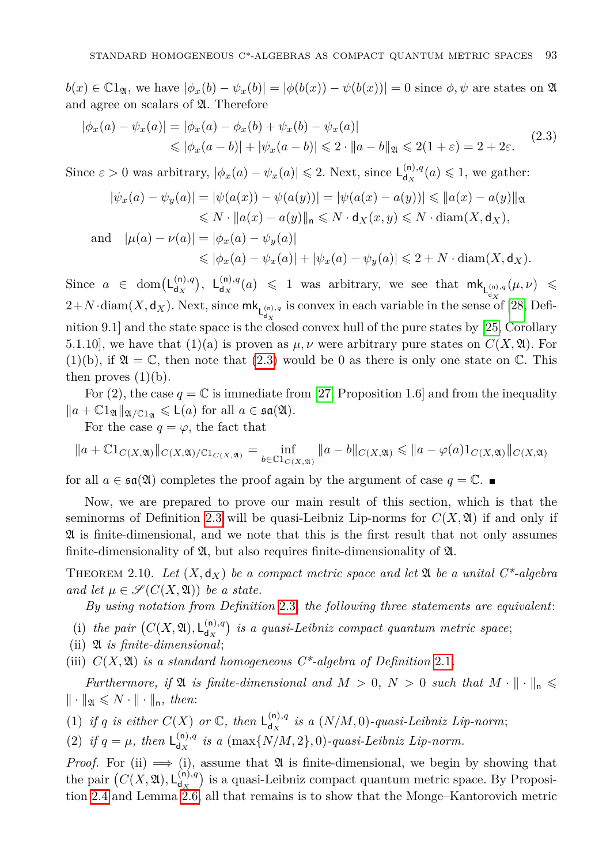$b(x) \in \mathbb{C}1_{\mathfrak{A}}$ , we have  $|\phi_x(b) - \psi_x(b)| = |\phi(b(x)) - \psi(b(x))| = 0$  since  $\phi, \psi$  are states on  $\mathfrak{A}$ and agree on scalars of  $\mathfrak{A}$ . Therefore

<span id="page-12-1"></span>
$$
|\phi_x(a) - \psi_x(a)| = |\phi_x(a) - \phi_x(b) + \psi_x(b) - \psi_x(a)|
$$
  
\$\leq | \phi\_x(a - b) | + | \psi\_x(a - b) | \leq 2 \cdot ||a - b|| \leq 2(1 + \varepsilon) = 2 + 2\varepsilon. (2.3)

Since  $\varepsilon > 0$  was arbitrary,  $|\phi_x(a) - \psi_x(a)| \leq 2$ . Next, since  $\mathsf{L}_{d_x}^{(n),q}$  $d_{\mathbf{x}}^{(\mathsf{n}),q}(a) \leqslant 1$ , we gather:

$$
|\psi_x(a) - \psi_y(a)| = |\psi(a(x)) - \psi(a(y))| = |\psi(a(x) - a(y))| \le ||a(x) - a(y)||_{\mathfrak{A}}\le N \cdot ||a(x) - a(y)||_{\mathfrak{n}} \le N \cdot d_X(x, y) \le N \cdot \text{diam}(X, d_X),
$$

and 
$$
|\mu(a) - \nu(a)| = |\phi_x(a) - \psi_y(a)|
$$
  
\n $\le |\phi_x(a) - \psi_x(a)| + |\psi_x(a) - \psi_y(a)| \le 2 + N \cdot \text{diam}(X, \mathsf{d}_X).$ 

Since  $a \in \text{dom}(\mathsf{L}_{d,r}^{(n),q})$  $\begin{pmatrix} (n), q \\ d_X \end{pmatrix}$ ,  $\begin{pmatrix} (n), q \\ d_X \end{pmatrix}$  $\mathsf{d}_\mathsf{d}_\mathsf{d}_\mathsf{d}$  (*a*)  $\leqslant$  1 was arbitrary, we see that  $\mathsf{m}\mathsf{k}_{\mathsf{L}^{(n),q}_{\mathsf{d},\mathsf{d}}}(\mu,\nu)$   $\leqslant$  $2+N \cdot \text{diam}(X,\mathsf{d}_X)$ . Next, since  $\mathsf{mk}_{\mathsf{L}^{(n),q}_\mathsf{d}}$  is convex in each variable in the sense of [\[28,](#page-29-1) Defi-nition 9.1] and the state space is the closed convex hull of the pure states by [\[25,](#page-29-15) Corollary 5.1.10], we have that (1)(a) is proven as  $\mu, \nu$  were arbitrary pure states on  $C(X, \mathfrak{A})$ . For  $(1)(b)$ , if  $\mathfrak{A} = \mathbb{C}$ , then note that  $(2.3)$  would be 0 as there is only one state on  $\mathbb{C}$ . This then proves  $(1)(b)$ .

For (2), the case  $q = \mathbb{C}$  is immediate from [\[27,](#page-29-0) Proposition 1.6] and from the inequality  $\|a + \mathbb{C}1_{\mathfrak{A}}\|_{\mathfrak{A}/\mathbb{C}1_{\mathfrak{A}}} \leqslant L(a)$  for all  $a \in \mathfrak{sa}(\mathfrak{A})$ .

For the case  $q = \varphi$ , the fact that

$$
||a + \mathbb{C}1_{C(X,\mathfrak{A})}||_{C(X,\mathfrak{A})/ \mathbb{C}1_{C(X,\mathfrak{A})}} = \inf_{b \in \mathbb{C}1_{C(X,\mathfrak{A})}} ||a - b||_{C(X,\mathfrak{A})} \le ||a - \varphi(a)1_{C(X,\mathfrak{A})}||_{C(X,\mathfrak{A})}
$$

for all  $a \in \mathfrak{sa}(\mathfrak{A})$  completes the proof again by the argument of case  $q = \mathbb{C}$ .

Now, we are prepared to prove our main result of this section, which is that the seminorms of Definition [2.3](#page-6-0) will be quasi-Leibniz Lip-norms for  $C(X, \mathfrak{A})$  if and only if A is finite-dimensional, and we note that this is the first result that not only assumes finite-dimensionality of  $\mathfrak{A}$ , but also requires finite-dimensionality of  $\mathfrak{A}$ .

<span id="page-12-0"></span>THEOREM 2.10. Let  $(X, d_X)$  be a compact metric space and let  $\mathfrak A$  be a unital C<sup>\*</sup>-algebra *and let*  $\mu \in \mathcal{S}(C(X, \mathfrak{A}))$  *be a state.* 

*By using notation from Definition* [2.3](#page-6-0)*, the following three statements are equivalent*:

- (i) the pair  $(C(X, \mathfrak{A}), L_{d_X}^{(n),q})$  $\binom{n}{d_X}$  is a quasi-Leibniz compact quantum metric space;
- (ii) A *is finite-dimensional*;

(iii)  $C(X, \mathfrak{A})$  *is a standard homogeneous*  $C^*$ -algebra of Definition [2.1](#page-5-2).

*Furthermore, if*  $\mathfrak{A}$  *is finite-dimensional and*  $M > 0$ ,  $N > 0$  *such that*  $M \cdot \|\cdot\|_{n} \leq$  $\| \cdot \|_{\mathfrak{A}} \leqslant N \cdot \| \cdot \|_{\mathsf{n}}, \text{ then: }$ 

(1) *if q is either*  $C(X)$  *or*  $\mathbb{C}$ *, then*  $L_{d_{X}}^{(n),q}$  $d_{\mathcal{X}}^{(n),q}$  is a  $(N/M,0)$ -quasi-Leibniz Lip-norm;

(2) *if*  $q = \mu$ *, then*  $\mathsf{L}_{d_{\mathbf{y}}}^{(n),q}$  $\int_{d_X}^{(n),q}$  *is a* (max $\{N/M, 2\}$ , 0)*-quasi-Leibniz Lip-norm.* 

*Proof.* For (ii)  $\implies$  (i), assume that  $\mathfrak A$  is finite-dimensional, we begin by showing that the pair  $(C(X, \mathfrak{A}), \mathsf{L}_{d_X}^{(n),q})$  $\begin{bmatrix} (n), q \\ d_X \end{bmatrix}$  is a quasi-Leibniz compact quantum metric space. By Proposition [2.4](#page-7-0) and Lemma [2.6,](#page-9-1) all that remains is to show that the Monge–Kantorovich metric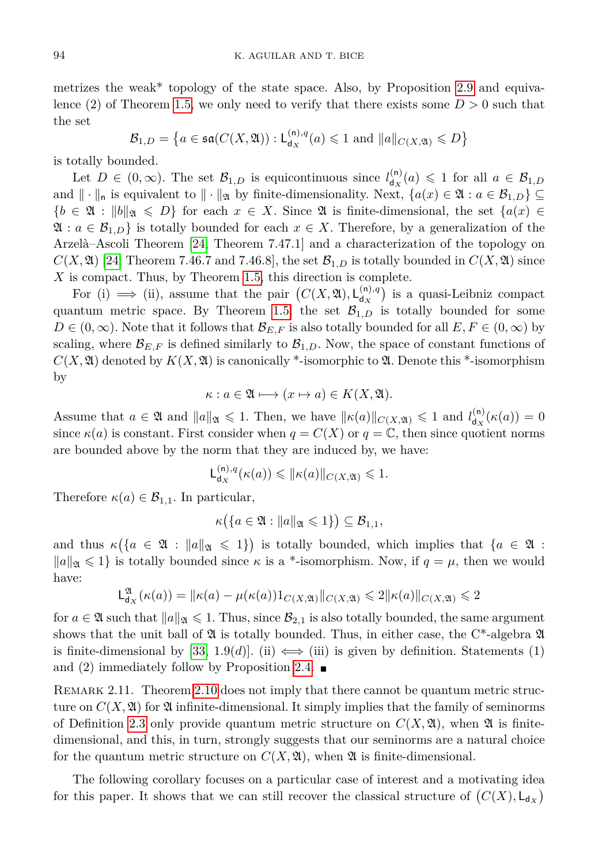metrizes the weak\* topology of the state space. Also, by Proposition [2.9](#page-11-0) and equiva-lence (2) of Theorem [1.5,](#page-3-0) we only need to verify that there exists some  $D > 0$  such that the set

$$
\mathcal{B}_{1,D} = \left\{ a \in \mathfrak{sa}(C(X, \mathfrak{A})) : \mathsf{L}_{\mathsf{d}_X}^{(\mathsf{n}),q}(a) \leq 1 \text{ and } \|a\|_{C(X, \mathfrak{A})} \leq D \right\}
$$

is totally bounded.

Let  $D \in (0,\infty)$ . The set  $\mathcal{B}_{1,D}$  is equicontinuous since  $l_{d_{\mathbf{x}}}^{(n)}$  $d_{\mathbf{x}}^{(\mathsf{n})}(a) \leqslant 1$  for all  $a \in \mathcal{B}_{1,D}$ and  $\|\cdot\|_n$  is equivalent to  $\|\cdot\|_n$  by finite-dimensionality. Next,  $\{a(x) \in \mathfrak{A} : a \in \mathcal{B}_{1,D}\}\subseteq$  ${b \in \mathfrak{A} : \|b\|_{\mathfrak{A}} \leqslant D}$  for each  $x \in X$ . Since  $\mathfrak{A}$  is finite-dimensional, the set  ${a(x) \in \mathfrak{A}}$  $\mathfrak{A}: a \in \mathcal{B}_{1,D}$  is totally bounded for each  $x \in X$ . Therefore, by a generalization of the Arzelà–Ascoli Theorem [\[24,](#page-29-16) Theorem 7.47.1] and a characterization of the topology on  $C(X, \mathfrak{A})$  [\[24,](#page-29-16) Theorem 7.46.7 and 7.46.8], the set  $\mathcal{B}_{1,D}$  is totally bounded in  $C(X, \mathfrak{A})$  since *X* is compact. Thus, by Theorem [1.5,](#page-3-0) this direction is complete.

For (i)  $\implies$  (ii), assume that the pair  $(C(X, \mathfrak{A}), L_{d_x}^{(n),q})$  $\binom{\binom{n}{q}}{\binom{q}{k}}$  is a quasi-Leibniz compact quantum metric space. By Theorem [1.5,](#page-3-0) the set  $\mathcal{B}_{1,D}$  is totally bounded for some  $D \in (0, \infty)$ . Note that it follows that  $\mathcal{B}_{E,F}$  is also totally bounded for all  $E, F \in (0, \infty)$  by scaling, where  $\mathcal{B}_{E,F}$  is defined similarly to  $\mathcal{B}_{1,D}$ . Now, the space of constant functions of  $C(X, \mathfrak{A})$  denoted by  $K(X, \mathfrak{A})$  is canonically \*-isomorphic to  $\mathfrak{A}$ . Denote this \*-isomorphism by

$$
\kappa: a \in \mathfrak{A} \longmapsto (x \mapsto a) \in K(X, \mathfrak{A}).
$$

Assume that  $a \in \mathfrak{A}$  and  $||a||_{\mathfrak{A}} \leq 1$ . Then, we have  $||\kappa(a)||_{C(X,\mathfrak{A})} \leq 1$  and  $l_{d_X}^{(n)}$  $\int_{d_X}^{d_H} (\kappa(a)) = 0$ since  $\kappa(a)$  is constant. First consider when  $q = C(X)$  or  $q = \mathbb{C}$ , then since quotient norms are bounded above by the norm that they are induced by, we have:

$$
\mathsf{L}_{\mathsf{d}_X}^{(\mathsf{n}),q}(\kappa(a)) \leq \|\kappa(a)\|_{C(X,\mathfrak{A})} \leq 1.
$$

Therefore  $\kappa(a) \in \mathcal{B}_{1,1}$ . In particular,

$$
\kappa\big(\{a\in\mathfrak{A}:\|a\|_{\mathfrak{A}}\leqslant 1\}\big)\subseteq\mathcal{B}_{1,1},
$$

and thus  $\kappa(\{a \in \mathfrak{A} : \|a\|_{\mathfrak{A}} \leq 1\})$  is totally bounded, which implies that  $\{a \in \mathfrak{A} : \|a\|_{\mathfrak{A}} \leq 1\}$  $\|a\|_{\mathfrak{A}} \leq 1$  is totally bounded since  $\kappa$  is a \*-isomorphism. Now, if  $q = \mu$ , then we would have:

$$
\mathsf{L}^\mathfrak{A}_{\mathsf{d}_X}(\kappa(a)) = \|\kappa(a) - \mu(\kappa(a))\mathbf{1}_{C(X, \mathfrak{A})}\|_{C(X, \mathfrak{A})} \leqslant 2\|\kappa(a)\|_{C(X, \mathfrak{A})} \leqslant 2
$$

for  $a \in \mathfrak{A}$  such that  $\|a\|_{\mathfrak{A}} \leq 1$ . Thus, since  $\mathcal{B}_{2,1}$  is also totally bounded, the same argument shows that the unit ball of  $\mathfrak A$  is totally bounded. Thus, in either case, the C<sup>\*</sup>-algebra  $\mathfrak A$ is finite-dimensional by [\[33,](#page-29-17) 1.9(*d*)]. (ii)  $\iff$  (iii) is given by definition. Statements (1) and (2) immediately follow by Proposition [2.4.](#page-7-0)  $\blacksquare$ 

REMARK 2.11. Theorem [2.10](#page-12-0) does not imply that there cannot be quantum metric structure on  $C(X, \mathfrak{A})$  for  $\mathfrak{A}$  infinite-dimensional. It simply implies that the family of seminorms of Definition [2.3](#page-6-0) only provide quantum metric structure on  $C(X, \mathfrak{A})$ , when  $\mathfrak A$  is finitedimensional, and this, in turn, strongly suggests that our seminorms are a natural choice for the quantum metric structure on  $C(X, \mathfrak{A})$ , when  $\mathfrak A$  is finite-dimensional.

The following corollary focuses on a particular case of interest and a motivating idea for this paper. It shows that we can still recover the classical structure of  $(C(X), \mathsf{L}_{d_X})$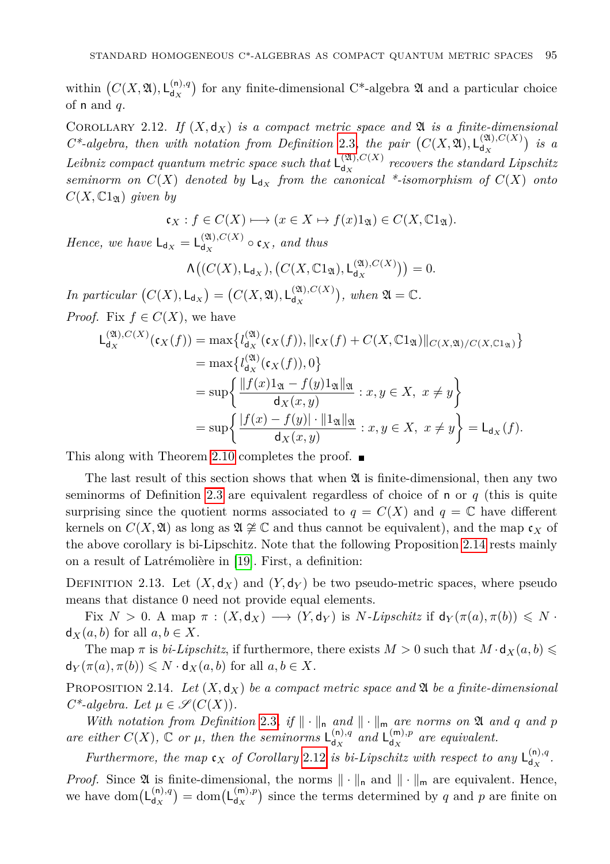within  $(C(X, \mathfrak{A}), L_{d_X}^{(n),q})$  $\frac{d^{(n)}(n)}{dx}$  for any finite-dimensional C<sup>\*</sup>-algebra  $\mathfrak A$  and a particular choice of n and *q*.

<span id="page-14-1"></span>COROLLARY 2.12. If  $(X, d_X)$  *is a compact metric space and*  $\mathfrak{A}$  *is a finite-dimensional*  $C^*$ -algebra, then with notation from Definition [2.3](#page-6-0), the pair  $(C(X, \mathfrak{A}), L_{d_X}^{(\mathfrak{A}), C(X)})$  $\begin{pmatrix} (24), C(X) \\ d_X \end{pmatrix}$  *is a* Leibniz compact quantum metric space such that  $\mathsf{L}^{(\mathfrak{A}),C(X)}_{d_X}$  $d_{\mathbf{x}}^{(\mathbf{a}),\mathbf{c}(\mathbf{A})}$  recovers the standard Lipschitz *seminorm on*  $C(X)$  *denoted by*  $L_{d_X}$  *from the canonical \*-isomorphism of*  $C(X)$  *onto*  $C(X,\mathbb{C}1_{\mathfrak{A}})$  *given by* 

$$
\mathfrak{c}_X : f \in C(X) \longmapsto (x \in X \mapsto f(x)1_{\mathfrak{A}}) \in C(X, \mathbb{C}1_{\mathfrak{A}}).
$$

*Hence, we have*  $L_{d_X} = L_{d_X}^{(2l), C(X)}$  $d_{X}^{(\mathcal{A}),\mathcal{C}(\mathcal{A})} \circ \mathfrak{c}_{X}, \text{ and thus}$ 

$$
\Lambda\big((C(X),\mathsf{L}_{\mathsf{d}_X}),\big(C(X,\mathbb{C}1_{\mathfrak{A}}),\mathsf{L}_{\mathsf{d}_X}^{(\mathfrak{A}),C(X)}\big)\big)=0.
$$

*In particular*  $(C(X), L_{d_X}) = (C(X, \mathfrak{A}), L_{d_X}^{(\mathfrak{A}), C(X)}$  $\mathcal{A}_{\mathsf{d}_X}^{(2\mathsf{U},C(X)}$ , when  $\mathfrak{A}=\mathbb{C}$ .

*Proof.* Fix  $f \in C(X)$ , we have

$$
L_{d_X}^{(2l),C(X)}(\mathfrak{c}_X(f)) = \max \left\{ l_{d_X}^{(2l)}(\mathfrak{c}_X(f)), \|\mathfrak{c}_X(f) + C(X,\mathbb{C}1_{\mathfrak{A}})\|_{C(X,\mathfrak{A})/C(X,\mathbb{C}1_{\mathfrak{A}})} \right\}
$$
  
\n
$$
= \max \left\{ l_{d_X}^{(2l)}(\mathfrak{c}_X(f)), 0 \right\}
$$
  
\n
$$
= \sup \left\{ \frac{\|f(x)1_{\mathfrak{A}} - f(y)1_{\mathfrak{A}}\|_{\mathfrak{A}}}{d_X(x,y)} : x, y \in X, x \neq y \right\}
$$
  
\n
$$
= \sup \left\{ \frac{|f(x) - f(y)| \cdot \|1_{\mathfrak{A}}\|_{\mathfrak{A}}}{d_X(x,y)} : x, y \in X, x \neq y \right\} = L_{d_X}(f).
$$

This along with Theorem [2.10](#page-12-0) completes the proof.  $\blacksquare$ 

The last result of this section shows that when  $\mathfrak A$  is finite-dimensional, then any two seminorms of Definition [2.3](#page-6-0) are equivalent regardless of choice of n or *q* (this is quite surprising since the quotient norms associated to  $q = C(X)$  and  $q = \mathbb{C}$  have different kernels on  $C(X, \mathfrak{A})$  as long as  $\mathfrak{A} \not\cong \mathbb{C}$  and thus cannot be equivalent), and the map  $\mathfrak{c}_X$  of the above corollary is bi-Lipschitz. Note that the following Proposition [2.14](#page-14-0) rests mainly on a result of Latrémolière in [\[19\]](#page-29-18). First, a definition:

DEFINITION 2.13. Let  $(X, \mathsf{d}_X)$  and  $(Y, \mathsf{d}_Y)$  be two pseudo-metric spaces, where pseudo means that distance 0 need not provide equal elements.

Fix  $N > 0$ . A map  $\pi : (X, d_X) \longrightarrow (Y, d_Y)$  is *N-Lipschitz* if  $d_Y(\pi(a), \pi(b)) \leq N$ .  $d_X(a, b)$  for all  $a, b \in X$ .

The map  $\pi$  is *bi-Lipschitz*, if furthermore, there exists  $M > 0$  such that  $M \cdot d_X(a, b) \leq$  $d_Y(\pi(a), \pi(b)) \leq N \cdot d_X(a, b)$  for all  $a, b \in X$ .

<span id="page-14-0"></span>PROPOSITION 2.14. Let  $(X, \mathsf{d}_X)$  be a compact metric space and  $\mathfrak A$  be a finite-dimensional  $C^*$ -algebra. Let  $\mu \in \mathscr{S}(C(X))$ .

*With notation from Definition* [2.3](#page-6-0), if  $\|\cdot\|_n$  *and*  $\|\cdot\|_m$  *are norms on*  $\mathfrak A$  *and q and p* are either  $C(X)$ ,  $\mathbb C$  or  $\mu$ , then the seminorms  $L_{d_{\mathbf x}}^{(n),q}$  $\int_{dX}^{(n),q}$  *and*  $\mathsf{L}_{dX}^{(m),p}$  $\int_{dX}^{(m),p}$  are equivalent.

*Furthermore, the map*  $c_X$  *of Corollary* [2.12](#page-14-1) *is bi-Lipschitz with respect to any*  $L_{d_X}^{(n),q}$  $d_X$ <sup>.</sup>

*Proof.* Since  $\mathfrak A$  is finite-dimensional, the norms  $\|\cdot\|_{\mathsf n}$  and  $\|\cdot\|_{\mathsf m}$  are equivalent. Hence, we have dom $(L_{d,x}^{(n),q})$  $\binom{\binom{n}{q}}{\binom{d}{X}} = \text{dom}(\mathsf{L}_{\mathsf{d}_X}^{(\mathsf{m}),p})$  $\binom{m}{d_X}$  since the terms determined by *q* and *p* are finite on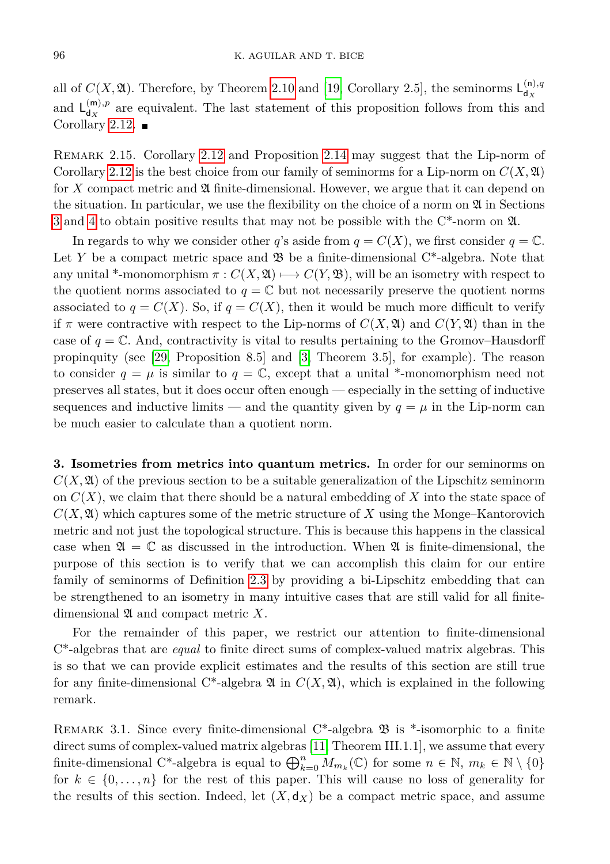all of  $C(X, \mathfrak{A})$ . Therefore, by Theorem [2.10](#page-12-0) and [\[19,](#page-29-18) Corollary 2.5], the seminorms  $\mathsf{L}^{(n),q}_{d_{\infty}}$ d*<sup>X</sup>* and  $L_{d_{\infty}}^{(m),p}$  $d_X^{(m),p}$  are equivalent. The last statement of this proposition follows from this and Corollary [2.12.](#page-14-1)  $\blacksquare$ 

Remark 2.15. Corollary [2.12](#page-14-1) and Proposition [2.14](#page-14-0) may suggest that the Lip-norm of Corollary [2.12](#page-14-1) is the best choice from our family of seminorms for a Lip-norm on  $C(X, \mathfrak{A})$ for X compact metric and  $\mathfrak A$  finite-dimensional. However, we argue that it can depend on the situation. In particular, we use the flexibility on the choice of a norm on  $\mathfrak A$  in Sections [3](#page-15-0) and [4](#page-21-0) to obtain positive results that may not be possible with the C\*-norm on A.

In regards to why we consider other *q*'s aside from  $q = C(X)$ , we first consider  $q = \mathbb{C}$ . Let *Y* be a compact metric space and  $\mathfrak{B}$  be a finite-dimensional C<sup>\*</sup>-algebra. Note that any unital \*-monomorphism  $\pi$  :  $C(X, \mathfrak{A}) \longrightarrow C(Y, \mathfrak{B})$ , will be an isometry with respect to the quotient norms associated to  $q = \mathbb{C}$  but not necessarily preserve the quotient norms associated to  $q = C(X)$ . So, if  $q = C(X)$ , then it would be much more difficult to verify if  $\pi$  were contractive with respect to the Lip-norms of  $C(X, \mathfrak{A})$  and  $C(Y, \mathfrak{A})$  than in the case of  $q = \mathbb{C}$ . And, contractivity is vital to results pertaining to the Gromov–Hausdorff propinquity (see [\[29,](#page-29-3) Proposition 8.5] and [\[3,](#page-28-3) Theorem 3.5], for example). The reason to consider  $q = \mu$  is similar to  $q = \mathbb{C}$ , except that a unital \*-monomorphism need not preserves all states, but it does occur often enough — especially in the setting of inductive sequences and inductive limits — and the quantity given by  $q = \mu$  in the Lip-norm can be much easier to calculate than a quotient norm.

<span id="page-15-0"></span>**3. Isometries from metrics into quantum metrics.** In order for our seminorms on  $C(X, \mathfrak{A})$  of the previous section to be a suitable generalization of the Lipschitz seminorm on *C*(*X*), we claim that there should be a natural embedding of *X* into the state space of  $C(X, \mathfrak{A})$  which captures some of the metric structure of X using the Monge–Kantorovich metric and not just the topological structure. This is because this happens in the classical case when  $\mathfrak{A} = \mathbb{C}$  as discussed in the introduction. When  $\mathfrak{A}$  is finite-dimensional, the purpose of this section is to verify that we can accomplish this claim for our entire family of seminorms of Definition [2.3](#page-6-0) by providing a bi-Lipschitz embedding that can be strengthened to an isometry in many intuitive cases that are still valid for all finitedimensional A and compact metric *X*.

For the remainder of this paper, we restrict our attention to finite-dimensional C\*-algebras that are *equal* to finite direct sums of complex-valued matrix algebras. This is so that we can provide explicit estimates and the results of this section are still true for any finite-dimensional  $C^*$ -algebra  $\mathfrak{A}$  in  $C(X, \mathfrak{A})$ , which is explained in the following remark.

REMARK 3.1. Since every finite-dimensional  $C^*$ -algebra  $\mathfrak{B}$  is \*-isomorphic to a finite direct sums of complex-valued matrix algebras [\[11,](#page-28-4) Theorem III.1.1], we assume that every finite-dimensional C<sup>\*</sup>-algebra is equal to  $\bigoplus_{k=0}^{n} M_{m_k}(\mathbb{C})$  for some  $n \in \mathbb{N}$ ,  $m_k \in \mathbb{N} \setminus \{0\}$ for  $k \in \{0, \ldots, n\}$  for the rest of this paper. This will cause no loss of generality for the results of this section. Indeed, let  $(X, \mathsf{d}_X)$  be a compact metric space, and assume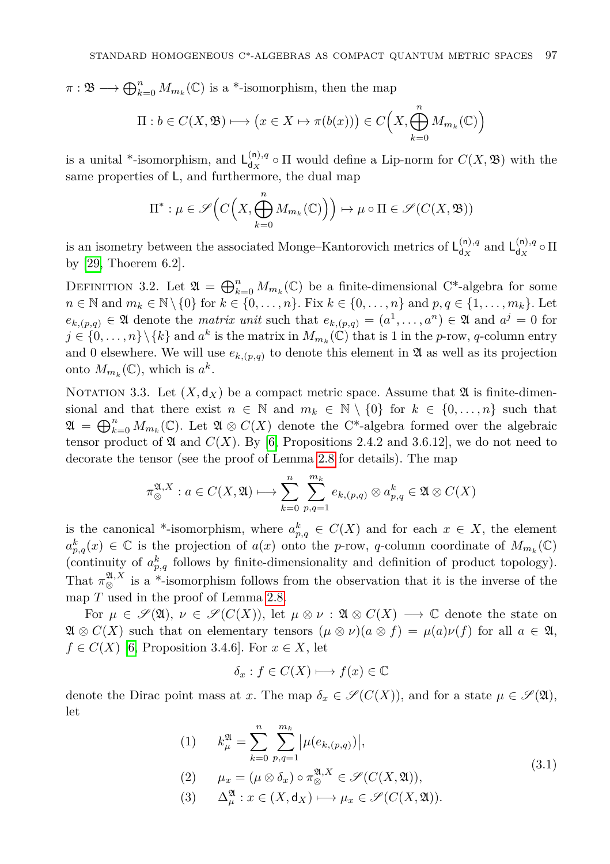$\pi : \mathfrak{B} \longrightarrow \bigoplus_{k=0}^n M_{m_k}(\mathbb{C})$  is a \*-isomorphism, then the map

$$
\Pi: b \in C(X, \mathfrak{B}) \longmapsto \left(x \in X \mapsto \pi(b(x))\right) \in C\Big(X, \bigoplus_{k=0}^{n} M_{m_k}(\mathbb{C})\Big)
$$

is a unital \*-isomorphism, and  $L_{d,r}^{(n),q}$  $d_X^{(n),q}$  o  $\Pi$  would define a Lip-norm for  $C(X, \mathfrak{B})$  with the same properties of L, and furthermore, the dual map

$$
\Pi^* : \mu \in \mathscr{S}\Big(C\Big(X,\bigoplus_{k=0}^n M_{m_k}(\mathbb{C})\Big)\Big) \mapsto \mu \circ \Pi \in \mathscr{S}(C(X, \mathfrak{B}))
$$

is an isometry between the associated Monge–Kantorovich metrics of  $L_{dx}^{(n),q}$  $\int_{d_X}^{(n),q}$  and  $\int_{d_X}^{(n),q}$  $\mathbf{d}_x^{(0),q} \circ \Pi$ by [\[29,](#page-29-3) Thoerem 6.2].

<span id="page-16-0"></span>DEFINITION 3.2. Let  $\mathfrak{A} = \bigoplus_{k=0}^n M_{m_k}(\mathbb{C})$  be a finite-dimensional C\*-algebra for some *n* ∈ N and  $m_k$  ∈ N \{0} for  $k$  ∈ {0, . . . , *n*}. Fix  $k$  ∈ {0, . . . , *n*} and  $p, q$  ∈ {1, . . . , *m<sub>k</sub>*}. Let  $e_{k,(p,q)} \in \mathfrak{A}$  denote the *matrix unit* such that  $e_{k,(p,q)} = (a^1, \ldots, a^n) \in \mathfrak{A}$  and  $a^j = 0$  for  $j \in \{0, \ldots, n\} \setminus \{k\}$  and  $a^k$  is the matrix in  $M_{m_k}(\mathbb{C})$  that is 1 in the *p*-row, *q*-column entry and 0 elsewhere. We will use  $e_{k,(p,q)}$  to denote this element in  $\mathfrak{A}$  as well as its projection onto  $M_{m_k}(\mathbb{C})$ , which is  $a^k$ .

<span id="page-16-2"></span>NOTATION 3.3. Let  $(X, d_X)$  be a compact metric space. Assume that  $\mathfrak A$  is finite-dimensional and that there exist  $n \in \mathbb{N}$  and  $m_k \in \mathbb{N} \setminus \{0\}$  for  $k \in \{0, ..., n\}$  such that  $\mathfrak{A} = \bigoplus_{k=0}^n M_{m_k}(\mathbb{C})$ . Let  $\mathfrak{A} \otimes C(X)$  denote the C<sup>\*</sup>-algebra formed over the algebraic tensor product of  $\mathfrak A$  and  $C(X)$ . By [\[6,](#page-28-9) Propositions 2.4.2 and 3.6.12], we do not need to decorate the tensor (see the proof of Lemma [2.8](#page-10-0) for details). The map

$$
\pi_{\otimes}^{\mathfrak{A},X}: a \in C(X,\mathfrak{A}) \longmapsto \sum_{k=0}^{n} \sum_{p,q=1}^{m_k} e_{k,(p,q)} \otimes a_{p,q}^k \in \mathfrak{A} \otimes C(X)
$$

is the canonical \*-isomorphism, where  $a_{p,q}^k \in C(X)$  and for each  $x \in X$ , the element  $a_{p,q}^k(x) \in \mathbb{C}$  is the projection of  $a(x)$  onto the *p*-row, *q*-column coordinate of  $M_{m_k}(\mathbb{C})$ (continuity of  $a_{p,q}^k$  follows by finite-dimensionality and definition of product topology). That  $\pi_{\otimes}^{\mathfrak{A},X}$  is a \*-isomorphism follows from the observation that it is the inverse of the map *T* used in the proof of Lemma [2.8.](#page-10-0)

For  $\mu \in \mathscr{S}(\mathfrak{A}), \nu \in \mathscr{S}(C(X)),$  let  $\mu \otimes \nu : \mathfrak{A} \otimes C(X) \longrightarrow \mathbb{C}$  denote the state on  $\mathfrak{A} \otimes C(X)$  such that on elementary tensors  $(\mu \otimes \nu)(a \otimes f) = \mu(a)\nu(f)$  for all  $a \in \mathfrak{A}$ ,  $f \in C(X)$  [\[6,](#page-28-9) Proposition 3.4.6]. For  $x \in X$ , let

$$
\delta_x: f \in C(X) \longmapsto f(x) \in \mathbb{C}
$$

<span id="page-16-1"></span>denote the Dirac point mass at *x*. The map  $\delta_x \in \mathscr{S}(C(X))$ , and for a state  $\mu \in \mathscr{S}(\mathfrak{A})$ , let

(1) 
$$
k_{\mu}^{\mathfrak{A}} = \sum_{k=0}^{n} \sum_{p,q=1}^{m_k} |\mu(e_{k,(p,q)})|,
$$
  
\n(2) 
$$
\mu_x = (\mu \otimes \delta_x) \circ \pi_{\otimes}^{\mathfrak{A}, X} \in \mathcal{S}(C(X, \mathfrak{A})),
$$
\n(3.1)

(3) 
$$
\Delta^{\mathfrak{A}}_{\mu}: x \in (X, \mathsf{d}_X) \longmapsto \mu_x \in \mathscr{S}(C(X, \mathfrak{A})).
$$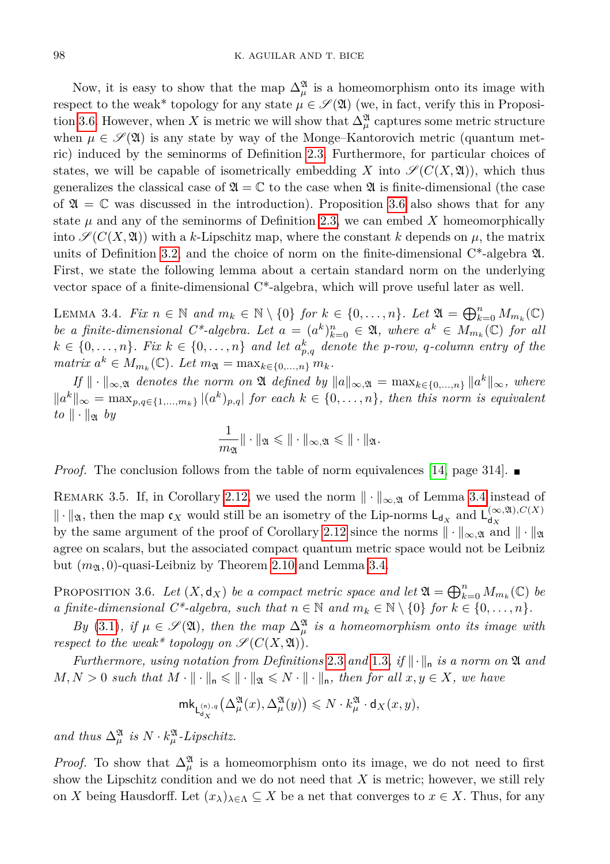Now, it is easy to show that the map  $\Delta^{\mathfrak{A}}_{\mu}$  is a homeomorphism onto its image with respect to the weak<sup>\*</sup> topology for any state  $\mu \in \mathscr{S}(\mathfrak{A})$  (we, in fact, verify this in Proposi-tion [3.6.](#page-17-0) However, when *X* is metric we will show that  $\Delta^{\mathfrak{A}}_{\mu}$  captures some metric structure when  $\mu \in \mathscr{S}(\mathfrak{A})$  is any state by way of the Monge–Kantorovich metric (quantum metric) induced by the seminorms of Definition [2.3.](#page-6-0) Furthermore, for particular choices of states, we will be capable of isometrically embedding *X* into  $\mathscr{S}(C(X, \mathfrak{A}))$ , which thus generalizes the classical case of  $\mathfrak{A} = \mathbb{C}$  to the case when  $\mathfrak{A}$  is finite-dimensional (the case of  $\mathfrak{A} = \mathbb{C}$  was discussed in the introduction). Proposition [3.6](#page-17-0) also shows that for any state  $\mu$  and any of the seminorms of Definition [2.3,](#page-6-0) we can embed  $X$  homeomorphically into  $\mathscr{S}(C(X,\mathfrak{A}))$  with a *k*-Lipschitz map, where the constant *k* depends on  $\mu$ , the matrix units of Definition [3.2,](#page-16-0) and the choice of norm on the finite-dimensional  $C^*$ -algebra  $\mathfrak{A}$ . First, we state the following lemma about a certain standard norm on the underlying vector space of a finite-dimensional C\*-algebra, which will prove useful later as well.

<span id="page-17-1"></span>LEMMA 3.4. *Fix*  $n \in \mathbb{N}$  and  $m_k \in \mathbb{N} \setminus \{0\}$  for  $k \in \{0, ..., n\}$ . Let  $\mathfrak{A} = \bigoplus_{k=0}^n M_{m_k}(\mathbb{C})$ *be a finite-dimensional C\*-algebra. Let*  $a = (a^k)_{k=0}^n \in \mathfrak{A}$ , where  $a^k \in M_{m_k}(\mathbb{C})$  for all  $k \in \{0, \ldots, n\}$ . Fix  $k \in \{0, \ldots, n\}$  and let  $a_{p,q}^k$  denote the *p*-row, *q*-column entry of the  $matrix \ a^k \in M_{m_k}(\mathbb{C})$ *. Let*  $m_{\mathfrak{A}} = \max_{k \in \{0, ..., n\}} m_k$ *.* 

 $I_f \|\cdot\|_{\infty,\mathfrak{A}}$  *denotes the norm on*  $\mathfrak{A}$  *defined by*  $\|a\|_{\infty,\mathfrak{A}} = \max_{k \in \{0,\ldots,n\}} \|a^k\|_{\infty}$ *, where*  $||a^k||_{\infty} = \max_{p,q \in \{1,...,m_k\}} |(a^k)_{p,q}|$  for each  $k \in \{0,...,n\}$ , then this norm is equivalent  $to \|\cdot\|_{\mathfrak{A}}$  *by* 

$$
\frac{1}{m_{\mathfrak{A}}} \|\cdot\|_{\mathfrak{A}} \leqslant \|\cdot\|_{\infty, \mathfrak{A}} \leqslant \|\cdot\|_{\mathfrak{A}}.
$$

*Proof.* The conclusion follows from the table of norm equivalences [\[14,](#page-29-19) page 314].

REMARK 3.5. If, in Corollary [2.12,](#page-14-1) we used the norm  $\|\cdot\|_{\infty,\mathfrak{A}}$  of Lemma [3.4](#page-17-1) instead of  $\|\cdot\|_{\mathfrak{A}}$ , then the map  $\mathfrak{c}_X$  would still be an isometry of the Lip-norms  $\mathsf{L}_{d_X}$  and  $\mathsf{L}_{d_X}^{(\infty,\mathfrak{A}),C(X)}$ d*<sup>X</sup>* by the same argument of the proof of Corollary [2.12](#page-14-1) since the norms  $\|\cdot\|_{\infty,\mathfrak{A}}$  and  $\|\cdot\|_{\mathfrak{A}}$ agree on scalars, but the associated compact quantum metric space would not be Leibniz but  $(m_{\mathfrak{A}}, 0)$ -quasi-Leibniz by Theorem [2.10](#page-12-0) and Lemma [3.4.](#page-17-1)

<span id="page-17-0"></span>PROPOSITION 3.6. Let  $(X, \mathsf{d}_X)$  be a compact metric space and let  $\mathfrak{A} = \bigoplus_{k=0}^n M_{m_k}(\mathbb{C})$  be *a finite-dimensional*  $C^*$ -*algebra, such that*  $n \in \mathbb{N}$  *and*  $m_k \in \mathbb{N} \setminus \{0\}$  *for*  $k \in \{0, ..., n\}$ *.* 

*By* [\(3.1\)](#page-16-1)*, if*  $\mu \in \mathcal{S}(\mathfrak{A})$ *, then the map*  $\Delta^{\mathfrak{A}}_{\mu}$  *is a homeomorphism onto its image with respect to the weak\* topology on*  $\mathscr{S}(C(X, \mathfrak{A}))$ .

*Furthermore, using notation from Definitions* [2.3](#page-6-0) *and* [1.3](#page-2-0), *if*  $\|\cdot\|_n$  *is a norm on*  $\mathfrak A$  *and*  $M, N > 0$  *such that*  $M \cdot \| \cdot \|_{n} \leq \| \cdot \|_{\mathfrak{A}} \leq N \cdot \| \cdot \|_{n}$ , then for all  $x, y \in X$ , we have

$$
\mathrm{mk}_{\mathsf{L}^{(\mathsf{n}),q}_{\mathsf{d}_X}}\big(\Delta_\mu^\mathfrak{A}(x),\Delta_\mu^\mathfrak{A}(y)\big)\leqslant N\cdot k_\mu^\mathfrak{A}\cdot \mathsf{d}_X(x,y),
$$

and thus  $\Delta^{\mathfrak{A}}_{\mu}$  is  $N \cdot k^{\mathfrak{A}}_{\mu}$ -Lipschitz.

*Proof.* To show that  $\Delta^{\mathfrak{A}}_{\mu}$  is a homeomorphism onto its image, we do not need to first show the Lipschitz condition and we do not need that *X* is metric; however, we still rely on *X* being Hausdorff. Let  $(x_{\lambda})_{\lambda \in \Lambda} \subseteq X$  be a net that converges to  $x \in X$ . Thus, for any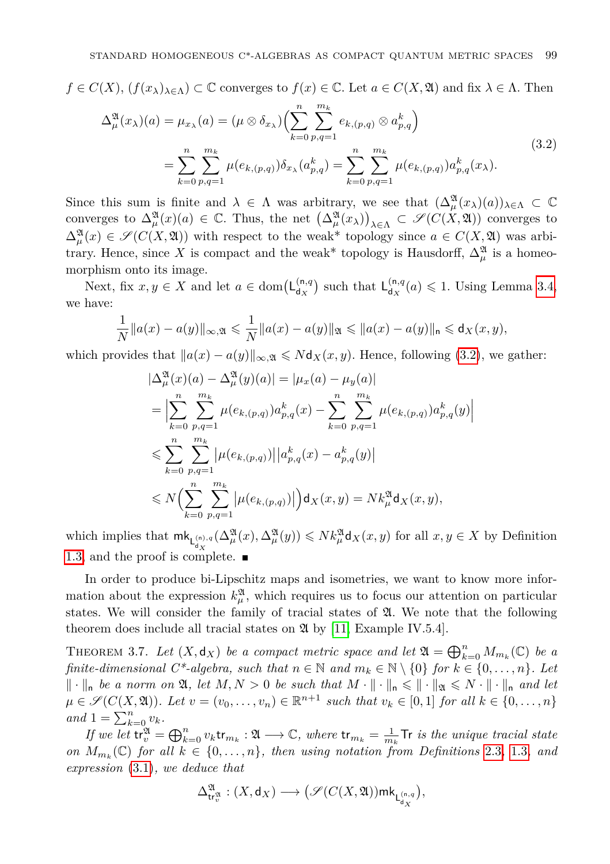$f \in C(X)$ ,  $(f(x_{\lambda})_{\lambda \in \Lambda}) \subset \mathbb{C}$  converges to  $f(x) \in \mathbb{C}$ . Let  $a \in C(X, \mathfrak{A})$  and fix  $\lambda \in \Lambda$ . Then

<span id="page-18-0"></span>
$$
\Delta_{\mu}^{\mathfrak{A}}(x_{\lambda})(a) = \mu_{x_{\lambda}}(a) = (\mu \otimes \delta_{x_{\lambda}}) \Biggl( \sum_{k=0}^{n} \sum_{p,q=1}^{m_k} e_{k,(p,q)} \otimes a_{p,q}^{k} \Biggr)
$$
  
= 
$$
\sum_{k=0}^{n} \sum_{p,q=1}^{m_k} \mu(e_{k,(p,q)}) \delta_{x_{\lambda}}(a_{p,q}^{k}) = \sum_{k=0}^{n} \sum_{p,q=1}^{m_k} \mu(e_{k,(p,q)}) a_{p,q}^{k}(x_{\lambda}).
$$
 (3.2)

Since this sum is finite and  $\lambda \in \Lambda$  was arbitrary, we see that  $(\Delta^{\mathfrak{A}}_{\mu}(x_{\lambda})(a))_{\lambda \in \Lambda} \subset \mathbb{C}$ converges to  $\Delta^{\mathfrak{A}}_{\mu}(x)(a) \in \mathbb{C}$ . Thus, the net  $(\Delta^{\mathfrak{A}}_{\mu}(x_{\lambda}))_{\lambda \in \Lambda} \subset \mathscr{S}(C(X,\mathfrak{A}))$  converges to  $\Delta^{\mathfrak{A}}_{\mu}(x) \in \mathscr{S}(C(X,\mathfrak{A}))$  with respect to the weak\* topology since  $a \in C(X,\mathfrak{A})$  was arbitrary. Hence, since X is compact and the weak<sup>\*</sup> topology is Hausdorff,  $\Delta^{\mathfrak{A}}_{\mu}$  is a homeomorphism onto its image.

Next, fix  $x, y \in X$  and let  $a \in \text{dom}(\mathsf{L}_{\mathsf{d}_{\mathbf{Y}}}^{(n,q)})$  $\binom{\binom{n}{q}}{\text{d}_X}$  such that  $\mathsf{L}_{\mathsf{d}_X}^{(n,q)}$  $d_{\mathbf{x}}^{(\mathsf{n},q}(a) \leq 1$ . Using Lemma [3.4,](#page-17-1) we have:

$$
\frac{1}{N}||a(x) - a(y)||_{\infty, \mathfrak{A}} \leq \frac{1}{N}||a(x) - a(y)||_{\mathfrak{A}} \leq ||a(x) - a(y)||_{\mathfrak{n}} \leq d_X(x, y),
$$

which provides that  $\|a(x) - a(y)\|_{\infty, \mathfrak{A}} \le N \mathsf{d}_X(x, y)$ . Hence, following [\(3.2\)](#page-18-0), we gather:

$$
\begin{split}\n|\Delta_{\mu}^{\mathfrak{A}}(x)(a) - \Delta_{\mu}^{\mathfrak{A}}(y)(a)| &= |\mu_{x}(a) - \mu_{y}(a)| \\
&= \Big| \sum_{k=0}^{n} \sum_{p,q=1}^{m_{k}} \mu(e_{k,(p,q)}) a_{p,q}^{k}(x) - \sum_{k=0}^{n} \sum_{p,q=1}^{m_{k}} \mu(e_{k,(p,q)}) a_{p,q}^{k}(y) \Big| \\
&\leqslant \sum_{k=0}^{n} \sum_{p,q=1}^{m_{k}} |\mu(e_{k,(p,q)})| |a_{p,q}^{k}(x) - a_{p,q}^{k}(y)| \\
&\leqslant N \Big( \sum_{k=0}^{n} \sum_{p,q=1}^{m_{k}} |\mu(e_{k,(p,q)})| \Big) \mathsf{d}_{X}(x,y) = N k_{\mu}^{\mathfrak{A}} \mathsf{d}_{X}(x,y),\n\end{split}
$$

which implies that  $\mathrm{mk}_{L_{d_X}^{(n),q}}(\Delta_\mu^{\mathfrak{A}}(x), \Delta_\mu^{\mathfrak{A}}(y)) \leqslant N k_\mu^{\mathfrak{A}} \mathsf{d}_X(x,y)$  for all  $x, y \in X$  by Definition [1.3,](#page-2-0) and the proof is complete.

In order to produce bi-Lipschitz maps and isometries, we want to know more information about the expression  $k^{\mathfrak{A}}_{\mu}$ , which requires us to focus our attention on particular states. We will consider the family of tracial states of  $\mathfrak{A}$ . We note that the following theorem does include all tracial states on  $\mathfrak{A}$  by [\[11,](#page-28-4) Example IV.5.4].

<span id="page-18-1"></span>THEOREM 3.7. Let  $(X, \mathsf{d}_X)$  be a compact metric space and let  $\mathfrak{A} = \bigoplus_{k=0}^n M_{m_k}(\mathbb{C})$  be a *finite-dimensional*  $C^*$ -algebra, such that  $n \in \mathbb{N}$  and  $m_k \in \mathbb{N} \setminus \{0\}$  for  $k \in \{0, ..., n\}$ . Let  $\|\cdot\|_{\mathsf{n}}$  *be a norm on*  $\mathfrak{A}, \text{ let } M, N > 0$  *be such that*  $M \cdot \|\cdot\|_{\mathsf{n}} \leq \|\cdot\|_{\mathfrak{A}} \leq N \cdot \|\cdot\|_{\mathsf{n}}$  and let  $\mu \in \mathscr{S}(C(X, \mathfrak{A}))$ *. Let*  $v = (v_0, \ldots, v_n) \in \mathbb{R}^{n+1}$  such that  $v_k \in [0, 1]$  for all  $k \in \{0, \ldots, n\}$  $and$  1 =  $\sum_{k=0}^{n} v_k$ *.* 

*If we let*  $\mathbf{tr}_{v}^{\mathfrak{A}} = \bigoplus_{k=0}^{n} v_{k} \mathbf{tr}_{m_{k}} : \mathfrak{A} \longrightarrow \mathbb{C}$ , where  $\mathbf{tr}_{m_{k}} = \frac{1}{m_{k}} \mathsf{Tr}$  *is the unique tracial state on*  $M_{m_k}(\mathbb{C})$  *for all*  $k \in \{0, \ldots, n\}$ *, then using notation from Definitions* [2.3](#page-6-0)*,* [1.3](#page-2-0)*, and expression* [\(3.1\)](#page-16-1)*, we deduce that*

$$
\Delta^{\mathfrak{A}}_{\mathsf{tr}^{\mathfrak{A}}_{v}}:(X,\mathsf{d}_X)\longrightarrow \big(\mathscr{S}(C(X,\mathfrak{A}))\mathrm{mk}_{\mathsf{L}^{(\mathsf{n},q}_X}\big),
$$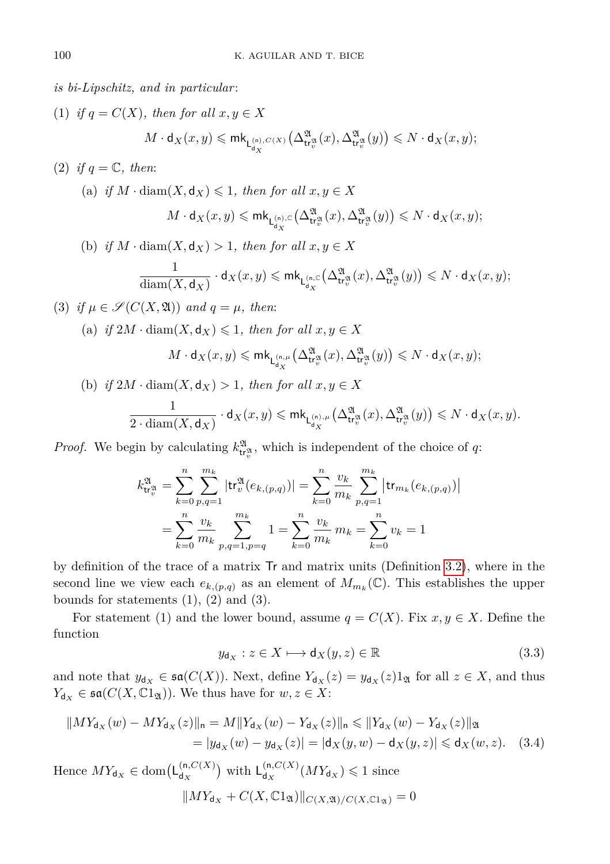*is bi-Lipschitz, and in particular* :

- (1) *if*  $q = C(X)$ *, then for all*  $x, y \in X$  $M \cdot \mathsf{d}_X(x,y) \leqslant \mathsf{mk}_{\mathsf{L}^{(\mathsf{n}), C(X)}_{\mathsf{d}_X}}$  $\left(\Delta_{\mathsf{tr}_v^{\mathfrak{A}}}^{\mathfrak{A}}(x),\Delta_{\mathsf{tr}_v^{\mathfrak{A}}}^{\mathfrak{A}}(y)\right)\leqslant N\cdot \mathsf{d}_X(x,y);$
- (2) *if*  $q = \mathbb{C}$ *, then:*

(a) if 
$$
M \cdot \text{diam}(X, \mathbf{d}_X) \leq 1
$$
, then for all  $x, y \in X$   
\n $M \cdot \mathbf{d}_X(x, y) \leq m k_{\mathsf{L}_{\mathbf{d}_X}^{(n)}, c}(\Delta_{\mathsf{tr}_v^{\mathfrak{A}}}^{\mathfrak{A}}(x), \Delta_{\mathsf{tr}_v^{\mathfrak{A}}}^{\mathfrak{A}}(y)) \leq N \cdot \mathbf{d}_X(x, y);$ 

(b) *if*  $M \cdot \text{diam}(X, \mathbf{d}_X) > 1$ *, then for all*  $x, y \in X$ 

$$
\frac{1}{\text{diam}(X,\mathsf{d}_X)}\cdot \mathsf{d}_X(x,y) \leqslant \mathsf{mk}_{\mathsf{L}^{(\mathsf{n},\mathbb{C}}_{\mathsf{d}_X}}\big(\Delta_{\mathsf{tr}^\mathfrak{A}_v}^{\mathfrak{A}}(x),\Delta_{\mathsf{tr}^\mathfrak{A}_v}^{\mathfrak{A}}(y)\big) \leqslant N\cdot \mathsf{d}_X(x,y);
$$

(3) *if*  $\mu \in \mathcal{S}(C(X, \mathfrak{A}))$  *and*  $q = \mu$ *, then:* 

(a) if 
$$
2M \cdot \text{diam}(X, \mathsf{d}_X) \leq 1
$$
, then for all  $x, y \in X$ 

$$
M \cdot \mathsf{d}_X(x,y) \leqslant \mathsf{mk}_{\mathsf{L}^{(\mathsf{n},\mu]}_{\mathsf{d}_X}}\big(\Delta_{\mathsf{tr}^\mathfrak{A}_v}^\mathfrak{A}(x),\Delta_{\mathsf{tr}^\mathfrak{A}_v}^\mathfrak{A}(y)\big) \leqslant N \cdot \mathsf{d}_X(x,y);
$$

(b) *if*  $2M \cdot \text{diam}(X, \mathsf{d}_X) > 1$ *, then for all*  $x, y \in X$ 

$$
\frac{1}{2 \cdot \operatorname{diam}(X,\mathsf{d}_X)} \cdot \mathsf{d}_X(x,y) \leqslant \mathsf{mk}_{\mathsf{L}^{(\mathsf{n}),\mu}_{\mathsf{d}_X}}\big(\Delta^{\mathfrak{A}}_{\mathsf{tr}^{\mathfrak{A}}_v}(x),\Delta^{\mathfrak{A}}_{\mathsf{tr}^{\mathfrak{A}}_v}(y)\big) \leqslant N \cdot \mathsf{d}_X(x,y).
$$

*Proof.* We begin by calculating  $k_{\mathbf{t}^{\mathfrak{A}}_{\mathbf{t}}}^{\mathfrak{A}}$ , which is independent of the choice of *q*:

$$
k_{\text{tr}_v^{\mathfrak{A}}}^{\mathfrak{A}} = \sum_{k=0}^{n} \sum_{p,q=1}^{m_k} |\text{tr}_v^{\mathfrak{A}}(e_{k,(p,q)})| = \sum_{k=0}^{n} \frac{v_k}{m_k} \sum_{p,q=1}^{m_k} |\text{tr}_{m_k}(e_{k,(p,q)})|
$$
  
= 
$$
\sum_{k=0}^{n} \frac{v_k}{m_k} \sum_{p,q=1,p=q}^{m_k} 1 = \sum_{k=0}^{n} \frac{v_k}{m_k} m_k = \sum_{k=0}^{n} v_k = 1
$$

by definition of the trace of a matrix Tr and matrix units (Definition [3.2\)](#page-16-0), where in the second line we view each  $e_{k,(p,q)}$  as an element of  $M_{m_k}(\mathbb{C})$ . This establishes the upper bounds for statements  $(1)$ ,  $(2)$  and  $(3)$ .

For statement (1) and the lower bound, assume  $q = C(X)$ . Fix  $x, y \in X$ . Define the function

<span id="page-19-0"></span>
$$
y_{\mathsf{d}_X} : z \in X \longmapsto \mathsf{d}_X(y, z) \in \mathbb{R} \tag{3.3}
$$

and note that  $y_{d_X} \in \mathfrak{sa}(C(X))$ . Next, define  $Y_{d_X}(z) = y_{d_X}(z)1_{\mathfrak{A}}$  for all  $z \in X$ , and thus  $Y_{\mathbf{d}_X} \in \mathfrak{sa}(C(X, \mathbb{C}1_{\mathfrak{A}}))$ . We thus have for  $w, z \in X$ :

$$
||MY_{d_X}(w) - MY_{d_X}(z)||_n = M||Y_{d_X}(w) - Y_{d_X}(z)||_n \le ||Y_{d_X}(w) - Y_{d_X}(z)||_n
$$
  
=  $|y_{d_X}(w) - y_{d_X}(z)| = |d_X(y, w) - d_X(y, z)| \le d_X(w, z).$  (3.4)

Hence  $MY_{d_X} \in \text{dom}(\mathsf{L}_{d_X}^{(n,C(X))})$  $\binom{\mathsf{(n,}C(X)}{\mathsf{d}_X}$  with  $\mathsf{L}_{\mathsf{d}_X}^{(\mathsf{n,}C(X))}$  $\frac{(\mathsf{n}, C(X)}{\mathsf{d}_X} (MY_{\mathsf{d}_X}) \leq 1$  since  $\|MY_{\mathsf{d}_X} + C(X, \mathbb{C}1_{\mathfrak{A}})\|_{C(X, \mathfrak{A})/C(X, \mathbb{C}1_{\mathfrak{A}})} = 0$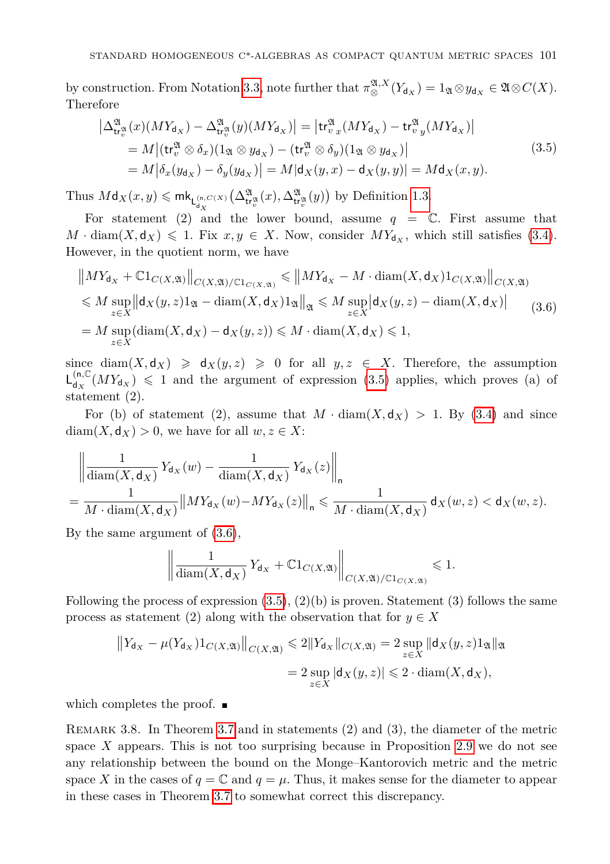by construction. From Notation [3.3,](#page-16-2) note further that  $\pi_{\otimes}^{\mathfrak{A},X}(Y_{d_X}) = 1_{\mathfrak{A}} \otimes y_{d_X} \in \mathfrak{A} \otimes C(X)$ . Therefore

<span id="page-20-1"></span>
$$
\left| \Delta_{\mathsf{tr}^{\mathfrak{A}}_{v}}^{\mathfrak{A}}(x)(MY_{\mathsf{d}_{X}}) - \Delta_{\mathsf{tr}^{\mathfrak{A}}_{v}}^{\mathfrak{A}}(y)(MY_{\mathsf{d}_{X}}) \right| = \left| \mathsf{tr}^{\mathfrak{A}}_{v} (MY_{\mathsf{d}_{X}}) - \mathsf{tr}^{\mathfrak{A}}_{v} (MY_{\mathsf{d}_{X}}) \right|
$$
\n
$$
= M \left| (\mathsf{tr}^{\mathfrak{A}}_{v} \otimes \delta_{x})(1_{\mathfrak{A}} \otimes y_{\mathsf{d}_{X}}) - (\mathsf{tr}^{\mathfrak{A}}_{v} \otimes \delta_{y})(1_{\mathfrak{A}} \otimes y_{\mathsf{d}_{X}}) \right|
$$
\n
$$
= M \left| \delta_{x}(y_{\mathsf{d}_{X}}) - \delta_{y}(y_{\mathsf{d}_{X}}) \right| = M \left| \mathsf{d}_{X}(y,x) - \mathsf{d}_{X}(y,y) \right| = M \mathsf{d}_{X}(x,y).
$$
\n(3.5)

Thus  $M$ **d**<sub>*X*</sub> $(x, y) \le m$ **k**<sub>**L**<sup>(n,*C*</sup> $(X)$ </sup></sub>  $(\Delta^{\mathfrak{A}}_{\mathsf{tr}^{\mathfrak{A}}_v}(x), \Delta^{\mathfrak{A}}_{\mathsf{tr}^{\mathfrak{A}}_v}(y))$  by Definition [1.3.](#page-2-0)

For statement (2) and the lower bound, assume  $q = \mathbb{C}$ . First assume that  $M \cdot \text{diam}(X, \mathsf{d}_X) \leq 1$ . Fix  $x, y \in X$ . Now, consider  $MY_{\mathsf{d}_X}$ , which still satisfies [\(3.4\)](#page-19-0). However, in the quotient norm, we have

<span id="page-20-2"></span>
$$
\|MY_{d_X} + \mathbb{C}1_{C(X,\mathfrak{A})}\|_{C(X,\mathfrak{A})/ \mathbb{C}1_{C(X,\mathfrak{A})}} \le \|MY_{d_X} - M \cdot \text{diam}(X,d_X)1_{C(X,\mathfrak{A})}\|_{C(X,\mathfrak{A})}
$$
  
\n
$$
\le M \sup_{z \in X} \|d_X(y,z)1_{\mathfrak{A}} - \text{diam}(X,d_X)1_{\mathfrak{A}}\|_{\mathfrak{A}} \le M \sup_{z \in X} |d_X(y,z) - \text{diam}(X,d_X)|
$$
  
\n
$$
= M \sup_{z \in X} (\text{diam}(X,d_X) - d_X(y,z)) \le M \cdot \text{diam}(X,d_X) \le 1,
$$
 (3.6)

since  $\text{diam}(X, \text{d}_X) \geq \text{d}_X(y, z) \geq 0$  for all  $y, z \in X$ . Therefore, the assumption  $L_{dx}^{(n,\mathbb{C})}$  $\frac{d^{(n,\mathbb{C})}_{dX}}{dx^{(n)}} \leq 1$  and the argument of expression [\(3.5\)](#page-20-1) applies, which proves (a) of statement (2).

For (b) of statement (2), assume that  $M \cdot \text{diam}(X, \text{d}_X) > 1$ . By [\(3.4\)](#page-19-0) and since  $diam(X, \mathsf{d}_X) > 0$ , we have for all  $w, z \in X$ :

$$
\left\| \frac{1}{\text{diam}(X, \mathsf{d}_X)} Y_{\mathsf{d}_X}(w) - \frac{1}{\text{diam}(X, \mathsf{d}_X)} Y_{\mathsf{d}_X}(z) \right\|_{\mathsf{n}} \le \frac{1}{M \cdot \text{diam}(X, \mathsf{d}_X)} \mathsf{d}_X(w, z) < \mathsf{d}_X(w, z).
$$

By the same argument of [\(3.6\)](#page-20-2),

$$
\left\| \frac{1}{\text{diam}(X,\mathsf{d}_X)} Y_{\mathsf{d}_X} + \mathbb{C} 1_{C(X,\mathfrak{A})} \right\|_{C(X,\mathfrak{A})/\mathbb{C} 1_{C(X,\mathfrak{A})}} \leq 1.
$$

Following the process of expression  $(3.5), (2)(b)$  $(3.5), (2)(b)$  is proven. Statement  $(3)$  follows the same process as statement (2) along with the observation that for  $y \in X$ 

$$
||Y_{d_X} - \mu(Y_{d_X})1_{C(X, \mathfrak{A})}||_{C(X, \mathfrak{A})} \le 2||Y_{d_X}||_{C(X, \mathfrak{A})} = 2 \sup_{z \in X} ||d_X(y, z)1_{\mathfrak{A}}||_{\mathfrak{A}}
$$
  
= 2  $\sup_{z \in X} |d_X(y, z)| \le 2 \cdot \text{diam}(X, d_X),$ 

which completes the proof.  $\blacksquare$ 

<span id="page-20-0"></span>Remark 3.8. In Theorem [3.7](#page-18-1) and in statements (2) and (3), the diameter of the metric space *X* appears. This is not too surprising because in Proposition [2.9](#page-11-0) we do not see any relationship between the bound on the Monge–Kantorovich metric and the metric space *X* in the cases of  $q = \mathbb{C}$  and  $q = \mu$ . Thus, it makes sense for the diameter to appear in these cases in Theorem [3.7](#page-18-1) to somewhat correct this discrepancy.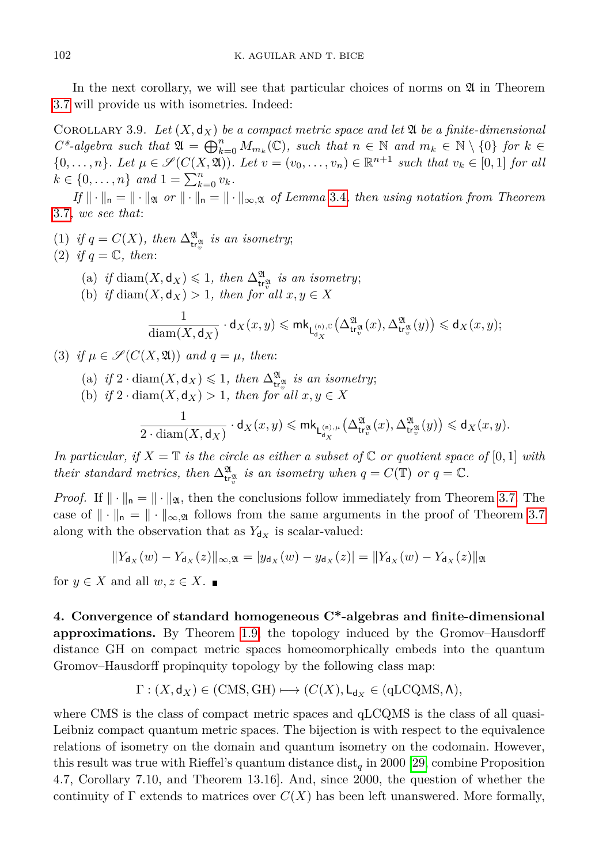In the next corollary, we will see that particular choices of norms on  $\mathfrak A$  in Theorem [3.7](#page-18-1) will provide us with isometries. Indeed:

COROLLARY 3.9. Let  $(X, d_X)$  be a compact metric space and let  $\mathfrak A$  be a finite-dimensional  $C^*$ -algebra such that  $\mathfrak{A} = \bigoplus_{k=0}^n M_{m_k}(\mathbb{C})$ , such that  $n \in \mathbb{N}$  and  $m_k \in \mathbb{N} \setminus \{0\}$  for  $k \in \mathbb{N}$  $\{0, \ldots, n\}$ *. Let*  $\mu \in \mathcal{S}(C(X, \mathfrak{A}))$ *. Let*  $v = (v_0, \ldots, v_n) \in \mathbb{R}^{n+1}$  such that  $v_k \in [0, 1]$  for all  $k \in \{0, \ldots, n\}$  *and*  $1 = \sum_{k=0}^{n} v_k$ *.* 

 $If \|\cdot\|_{\mathfrak{n}} = \|\cdot\|_{\mathfrak{A}}$  *or*  $\|\cdot\|_{\mathfrak{n}} = \|\cdot\|_{\infty,\mathfrak{A}}$  *of Lemma* [3.4](#page-17-1)*, then using notation from Theorem* [3.7](#page-18-1)*, we see that*:

(1) *if*  $q = C(X)$ , then  $\Delta_{tr^{\mathfrak{A}}_v}^{\mathfrak{A}}$  *is an isometry*; (2) *if*  $q = \mathbb{C}$ *, then:* 

- (a) *if* diam $(X, \mathsf{d}_X) \leq 1$ , then  $\Delta_{\mathsf{tr}_v^{\mathfrak{A}}}^{\mathfrak{A}}$  is an isometry;
- (b) *if* diam $(X, \mathsf{d}_X) > 1$ *, then for all*  $x, y \in X$

$$
\frac{1}{\text{diam}(X,\mathsf{d}_X)}\cdot \mathsf{d}_X(x,y) \leqslant \mathsf{mk}_{\mathsf{L}^{(\mathsf{n}),\mathbb{C}}_{\mathsf{d}_X}}\big(\Delta_{\mathsf{tr}^{\mathfrak{A}}_v}^{\mathfrak{A}}(x),\Delta_{\mathsf{tr}^{\mathfrak{A}}_v}^{\mathfrak{A}}(y)\big) \leqslant \mathsf{d}_X(x,y);
$$

- (3) if  $\mu \in \mathcal{S}(C(X, \mathfrak{A}))$  and  $q = \mu$ , then:
	- (a) *if*  $2 \cdot \text{diam}(X, \mathbf{d}_X) \leq 1$ *, then*  $\Delta_{\mathbf{tr}_v^3}^{\mathfrak{A}}$  *is an isometry*;
	- (b) *if*  $2 \cdot \text{diam}(X, \mathsf{d}_X) > 1$ *, then for all*  $x, y \in X$

$$
\frac{1}{2\cdot \mathrm{diam}(X,\mathsf{d}_X)}\cdot \mathsf{d}_X(x,y)\leqslant \mathsf{mk}_{\mathsf{L}^{(\mathsf{n}),\mu}_{\mathsf{d}_X}}\big(\Delta^{\mathfrak{A}}_{\mathsf{tr}^{\mathfrak{A}}_v}(x),\Delta^{\mathfrak{A}}_{\mathsf{tr}^{\mathfrak{A}}_v}(y)\big)\leqslant \mathsf{d}_X(x,y).
$$

*In particular, if*  $X = \mathbb{T}$  *is the circle as either a subset of*  $\mathbb{C}$  *or quotient space of*  $[0,1]$  *with their standard metrics, then*  $\Delta_{\mathsf{tr}^{\mathfrak{A}}_v}^{\mathfrak{A}}$  *is an isometry when*  $q = C(\mathbb{T})$  *or*  $q = \mathbb{C}$ *.* 

*Proof.* If  $\|\cdot\|_{\mathfrak{n}} = \|\cdot\|_{\mathfrak{A}}$ , then the conclusions follow immediately from Theorem [3.7.](#page-18-1) The case of  $\|\cdot\|_{\mathsf{n}} = \|\cdot\|_{\infty,\mathfrak{A}}$  follows from the same arguments in the proof of Theorem [3.7](#page-18-1) along with the observation that as  $Y_{d_X}$  is scalar-valued:

$$
||Y_{d_X}(w) - Y_{d_X}(z)||_{\infty, \mathfrak{A}} = |y_{d_X}(w) - y_{d_X}(z)| = ||Y_{d_X}(w) - Y_{d_X}(z)||_{\mathfrak{A}}
$$

for  $y \in X$  and all  $w, z \in X$ .

<span id="page-21-0"></span>**4. Convergence of standard homogeneous C\*-algebras and finite-dimensional approximations.** By Theorem [1.9,](#page-5-3) the topology induced by the Gromov–Hausdorff distance GH on compact metric spaces homeomorphically embeds into the quantum Gromov–Hausdorff propinquity topology by the following class map:

$$
\Gamma : (X, \mathsf{d}_X) \in (\text{CMS}, \text{GH}) \longmapsto (C(X), \mathsf{L}_{\mathsf{d}_X} \in (\text{qLCQMS}, \Lambda),
$$

where CMS is the class of compact metric spaces and qLCQMS is the class of all quasi-Leibniz compact quantum metric spaces. The bijection is with respect to the equivalence relations of isometry on the domain and quantum isometry on the codomain. However, this result was true with Rieffel's quantum distance  $dist_q$  in 2000 [\[29,](#page-29-3) combine Proposition 4.7, Corollary 7.10, and Theorem 13.16]. And, since 2000, the question of whether the continuity of  $\Gamma$  extends to matrices over  $C(X)$  has been left unanswered. More formally,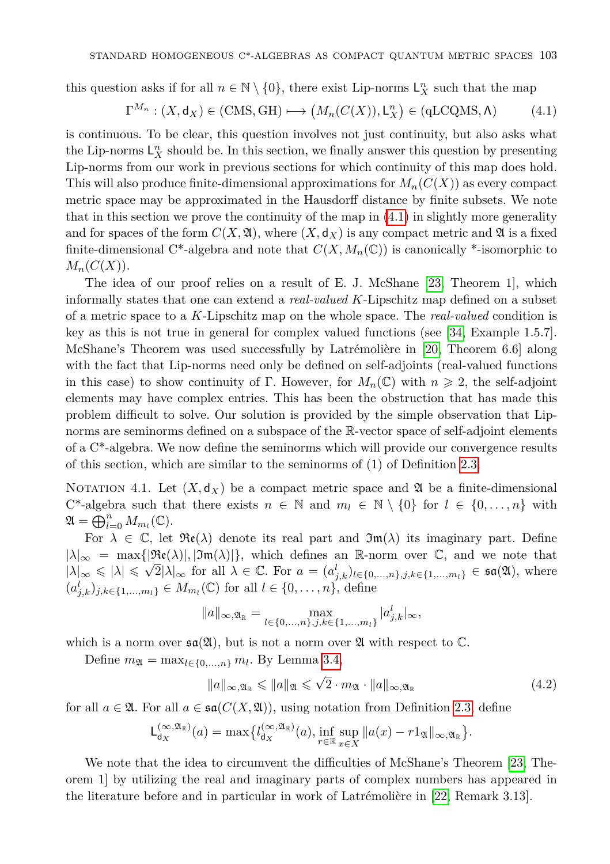this question asks if for all  $n \in \mathbb{N} \setminus \{0\}$ , there exist Lip-norms  $\mathsf{L}_X^n$  such that the map

<span id="page-22-0"></span>
$$
\Gamma^{M_n} : (X, \mathsf{d}_X) \in (\text{CMS}, \text{ GH}) \longmapsto \big(M_n(C(X)), \mathsf{L}_X^n\big) \in (\text{qLCQMS}, \Lambda) \tag{4.1}
$$

is continuous. To be clear, this question involves not just continuity, but also asks what the Lip-norms  $L_X^n$  should be. In this section, we finally answer this question by presenting Lip-norms from our work in previous sections for which continuity of this map does hold. This will also produce finite-dimensional approximations for *Mn*(*C*(*X*)) as every compact metric space may be approximated in the Hausdorff distance by finite subsets. We note that in this section we prove the continuity of the map in [\(4.1\)](#page-22-0) in slightly more generality and for spaces of the form  $C(X, \mathfrak{A})$ , where  $(X, d_X)$  is any compact metric and  $\mathfrak{A}$  is a fixed finite-dimensional C<sup>\*</sup>-algebra and note that  $C(X, M_n(\mathbb{C}))$  is canonically <sup>\*</sup>-isomorphic to  $M_n(C(X)).$ 

The idea of our proof relies on a result of E. J. McShane [\[23,](#page-29-20) Theorem 1], which informally states that one can extend a *real-valued K*-Lipschitz map defined on a subset of a metric space to a *K*-Lipschitz map on the whole space. The *real-valued* condition is key as this is not true in general for complex valued functions (see [\[34,](#page-29-21) Example 1.5.7]. McShane's Theorem was used successfully by Latrémolière in [\[20,](#page-29-4) Theorem 6.6] along with the fact that Lip-norms need only be defined on self-adjoints (real-valued functions in this case) to show continuity of Γ. However, for  $M_n(\mathbb{C})$  with  $n \geq 2$ , the self-adjoint elements may have complex entries. This has been the obstruction that has made this problem difficult to solve. Our solution is provided by the simple observation that Lipnorms are seminorms defined on a subspace of the R-vector space of self-adjoint elements of a C\*-algebra. We now define the seminorms which will provide our convergence results of this section, which are similar to the seminorms of (1) of Definition [2.3.](#page-6-0)

<span id="page-22-1"></span>NOTATION 4.1. Let  $(X, d_X)$  be a compact metric space and  $\mathfrak A$  be a finite-dimensional C<sup>\*</sup>-algebra such that there exists  $n \in \mathbb{N}$  and  $m_l \in \mathbb{N} \setminus \{0\}$  for  $l \in \{0, \ldots, n\}$  with  $\mathfrak{A} = \bigoplus_{l=0}^n M_{m_l}(\mathbb{C}).$ 

For  $\lambda \in \mathbb{C}$ , let  $\Re(\lambda)$  denote its real part and  $\Im(\lambda)$  its imaginary part. Define  $|\lambda|_{\infty} = \max\{|\Re(\lambda)|, |\Im(\lambda)|\},\$  which defines an R-norm over C, and we note that  $|\lambda|_{\infty} \leq \lambda \leq |\lambda| \leq \sqrt{2} |\lambda|_{\infty}$  for all  $\lambda \in \mathbb{C}$ . For  $a = (a_{j,k}^l)_{l \in \{0,\ldots,n\},j,k \in \{1,\ldots,m_l\}} \in \mathfrak{sa}(\mathfrak{A})$ , where  $(a_{j,k}^l)_{j,k \in \{1,...,m_l\}}$  ∈  $M_{m_l}$ (C) for all  $l \in \{0,...,n\}$ , define

$$
||a||_{\infty, \mathfrak{A}_{\mathbb{R}}} = \max_{l \in \{0, ..., n\}, j, k \in \{1, ..., m_l\}} |a_{j,k}^l|_{\infty},
$$

which is a norm over  $\mathfrak{sa}(\mathfrak{A})$ , but is not a norm over  $\mathfrak A$  with respect to  $\mathbb C$ .

Define  $m_{\mathfrak{A}} = \max_{l \in \{0, ..., n\}} m_l$ . By Lemma [3.4,](#page-17-1)

<span id="page-22-2"></span>
$$
||a||_{\infty,\mathfrak{A}_{\mathbb{R}}} \leq ||a||_{\mathfrak{A}} \leq \sqrt{2} \cdot m_{\mathfrak{A}} \cdot ||a||_{\infty,\mathfrak{A}_{\mathbb{R}}} \tag{4.2}
$$

for all  $a \in \mathfrak{A}$ . For all  $a \in \mathfrak{sa}(C(X, \mathfrak{A}))$ , using notation from Definition [2.3,](#page-6-0) define

$$
\mathsf{L}^{(\infty, \mathfrak{A}_{\mathbb{R}})}_{\mathsf{d}_X}(a) = \max \bigl\{ l_{\mathsf{d}_X}^{(\infty, \mathfrak{A}_{\mathbb{R}})}(a), \inf_{r \in \mathbb{R}} \sup_{x \in X} \|a(x) - r1_{\mathfrak{A}}\|_{\infty, \mathfrak{A}_{\mathbb{R}}} \bigr\}.
$$

We note that the idea to circumvent the difficulties of McShane's Theorem [\[23,](#page-29-20) Theorem 1] by utilizing the real and imaginary parts of complex numbers has appeared in the literature before and in particular in work of Latrémolière in [\[22,](#page-29-22) Remark 3.13].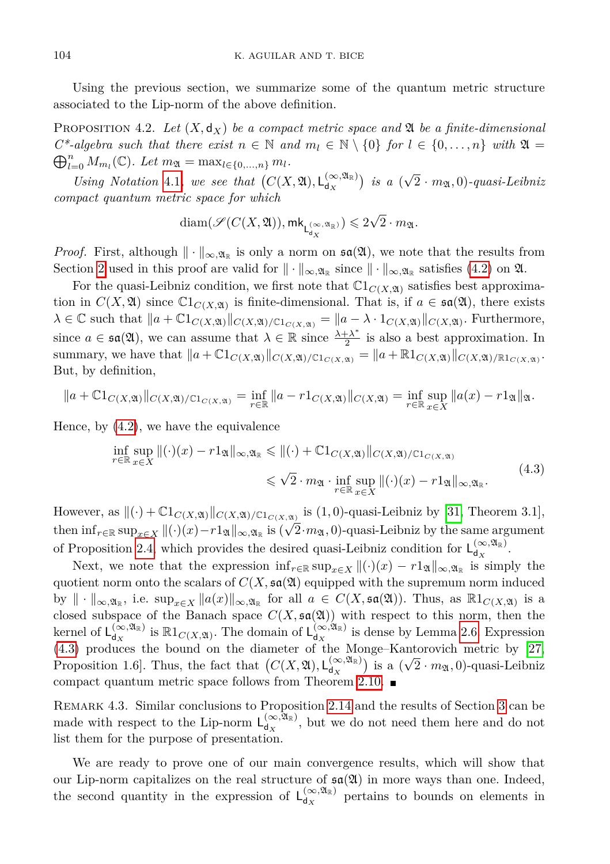Using the previous section, we summarize some of the quantum metric structure associated to the Lip-norm of the above definition.

<span id="page-23-1"></span>PROPOSITION 4.2. Let  $(X, \mathsf{d}_X)$  be a compact metric space and  $\mathfrak A$  be a finite-dimensional  $\bigoplus_{l=0}^{n} M_{m_l}(\mathbb{C})$ *. Let*  $m_{\mathfrak{A}} = \max_{l \in \{0, ..., n\}} m_l$ *.*  $C^*$ -algebra such that there exist  $n \in \mathbb{N}$  and  $m_l \in \mathbb{N} \setminus \{0\}$  for  $l \in \{0, \ldots, n\}$  with  $\mathfrak{A} =$ √

Using Notation [4.1](#page-22-1), we see that  $(C(X, \mathfrak{A}), L_{d_{\mathbf{v}}}^{(\infty, \mathfrak{A}_{\mathbb{R}})}$  $\binom{(\infty, 24)}{d_X}$  *is a* (  $(2 \cdot m_{\mathfrak{A}}, 0)$ -quasi-Leibniz *compact quantum metric space for which*

$$
\textnormal{diam}(\mathscr{S}(C(X,\mathfrak{A})),\mathsf{mk}_{\mathsf{L}^{(\infty,\mathfrak{A}_{\mathbb{R}})}_{\mathsf{d}_X}})\leqslant 2\sqrt{2}\cdot m_{\mathfrak{A}}.
$$

*Proof.* First, although  $\|\cdot\|_{\infty,\mathfrak{A}_{\mathbb{R}}}$  is only a norm on  $\mathfrak{sa}(\mathfrak{A})$ , we note that the results from Section [2](#page-5-0) used in this proof are valid for  $\|\cdot\|_{\infty,\mathfrak{A}_{\mathbb{R}}}$  since  $\|\cdot\|_{\infty,\mathfrak{A}_{\mathbb{R}}}$  satisfies [\(4.2\)](#page-22-2) on  $\mathfrak{A}$ .

For the quasi-Leibniz condition, we first note that  $\mathbb{C}1_{C(X,\mathfrak{A})}$  satisfies best approximation in  $C(X, \mathfrak{A})$  since  $\mathbb{C}1_{C(X, \mathfrak{A})}$  is finite-dimensional. That is, if  $a \in \mathfrak{sa}(\mathfrak{A})$ , there exists  $\lambda \in \mathbb{C}$  such that  $\|a + \mathbb{C}1_{C(X,\mathfrak{A})/C(X,\mathfrak{A})/C1_{C(X,\mathfrak{A})}} = \|a - \lambda \cdot 1_{C(X,\mathfrak{A})} \|_{C(X,\mathfrak{A})}$ . Furthermore, since  $a \in \mathfrak{sa}(\mathfrak{A})$ , we can assume that  $\lambda \in \mathbb{R}$  since  $\frac{\lambda + \lambda^*}{2}$  $\frac{+ \lambda^2}{2}$  is also a best approximation. In summary, we have that  $||a + \mathbb{C}1_{C(X, \mathfrak{A})/ \mathbb{C}1_{C(X, \mathfrak{A})}} = ||a + \mathbb{R}1_{C(X, \mathfrak{A})}||_{C(X, \mathfrak{A})/\mathbb{R}1_{C(X, \mathfrak{A})}}$ . But, by definition,

$$
||a + \mathbb{C}1_{C(X,\mathfrak{A})}||_{C(X,\mathfrak{A})/\mathbb{C}1_{C(X,\mathfrak{A})}} = \inf_{r \in \mathbb{R}} ||a - r1_{C(X,\mathfrak{A})}||_{C(X,\mathfrak{A})} = \inf_{r \in \mathbb{R}} \sup_{x \in X} ||a(x) - r1_{\mathfrak{A}}||_{\mathfrak{A}}.
$$

Hence, by [\(4.2\)](#page-22-2), we have the equivalence

<span id="page-23-0"></span>
$$
\inf_{r \in \mathbb{R}} \sup_{x \in X} \| (\cdot)(x) - r 1_{\mathfrak{A}} \|_{\infty, \mathfrak{A}_{\mathbb{R}}} \le \| (\cdot) + \mathbb{C} 1_{C(X, \mathfrak{A})} \|_{C(X, \mathfrak{A})/C1_{C(X, \mathfrak{A})}} \n\le \sqrt{2} \cdot m_{\mathfrak{A}} \cdot \inf_{r \in \mathbb{R}} \sup_{x \in X} \| (\cdot)(x) - r 1_{\mathfrak{A}} \|_{\infty, \mathfrak{A}_{\mathbb{R}}}.
$$
\n(4.3)

However, as  $\|(\cdot) + \mathbb{C}1_{C(X,\mathfrak{A})}\|_{C(X,\mathfrak{A})/C1_{C(X,\mathfrak{A})}}$  is  $(1,0)$ -quasi-Leibniz by [\[31,](#page-29-12) Theorem 3.1], then  $\inf_{r \in \mathbb{R}} \sup_{x \in X} ||(·)(x) - r1_{\mathfrak{A}}||_{\infty, \mathfrak{A}_{\mathbb{R}}}$  is  $(\sqrt{2} \cdot m_{\mathfrak{A}}, 0)$ -quasi-Leibniz by the same argument of Proposition [2.4,](#page-7-0) which provides the desired quasi-Leibniz condition for  $L_{d_{\infty}}^{(\infty, \mathfrak{A}_{\mathbb{R}})}$  $\frac{d}{dx}$ <sup>d</sup> $\frac{d}{dx}$ .

Next, we note that the expression  $\inf_{r \in \mathbb{R}} \sup_{x \in X} ||(\cdot)(x) - r1_{\mathfrak{A}}||_{\infty, \mathfrak{A}_{\mathbb{R}}}$  is simply the quotient norm onto the scalars of  $C(X, \mathfrak{sa}(\mathfrak{A}))$  equipped with the supremum norm induced by  $\|\cdot\|_{\infty,\mathfrak{A}_{\mathbb{R}}}$ , i.e.  $\sup_{x\in X}\|a(x)\|_{\infty,\mathfrak{A}_{\mathbb{R}}}$  for all  $a\in C(X,\mathfrak{sa}(\mathfrak{A}))$ . Thus, as  $\mathbb{R}1_{C(X,\mathfrak{A})}$  is a closed subspace of the Banach space  $C(X, \mathfrak{sa}(\mathfrak{A}))$  with respect to this norm, then the kernel of  $L_{dx}^{(\infty, \mathfrak{A}_{\mathbb{R}})}$  $\int_{d_X}^{(\infty, \mathfrak{A}_{\mathbb{R}})}$  is  $\mathbb{R}1_{C(X, \mathfrak{A})}$ . The domain of  $\mathsf{L}_{d_X}^{(\infty, \mathfrak{A}_{\mathbb{R}})}$  $\frac{d^{\infty}, 2\mathbb{R}}{d^{\infty}}$  is dense by Lemma [2.6.](#page-9-1) Expression [\(4.3\)](#page-23-0) produces the bound on the diameter of the Monge–Kantorovich metric by [\[27,](#page-29-0) Proposition 1.6. Thus, the fact that  $(C(X, \mathfrak{A}), \mathsf{L}_{d_{\infty}}^{(\infty, \mathfrak{A}_{\mathbb{R}})}$  $\binom{(\infty, \mathfrak{A}_{\mathbb{R}})}{d_X}$  is a ( √  $(2 \cdot m_{\mathfrak{A}}, 0)$ -quasi-Leibniz compact quantum metric space follows from Theorem [2.10.](#page-12-0)

Remark 4.3. Similar conclusions to Proposition [2.14](#page-14-0) and the results of Section [3](#page-15-0) can be made with respect to the Lip-norm  $L_{d_{\mathbf{x}}}^{(\infty,\overline{\mathfrak{A}}_{\mathbb{R}})}$  $\int_{d_X}^{(\infty, 2\mathbb{R})}$ , but we do not need them here and do not list them for the purpose of presentation.

We are ready to prove one of our main convergence results, which will show that our Lip-norm capitalizes on the real structure of  $\mathfrak{sa}(\mathfrak{A})$  in more ways than one. Indeed, the second quantity in the expression of  $L_{d_{\infty}}^{(\infty, \mathfrak{A}_{\mathbb{R}})}$  $\frac{d(x, a_{\mathbb{R}})}{d(x)}$  pertains to bounds on elements in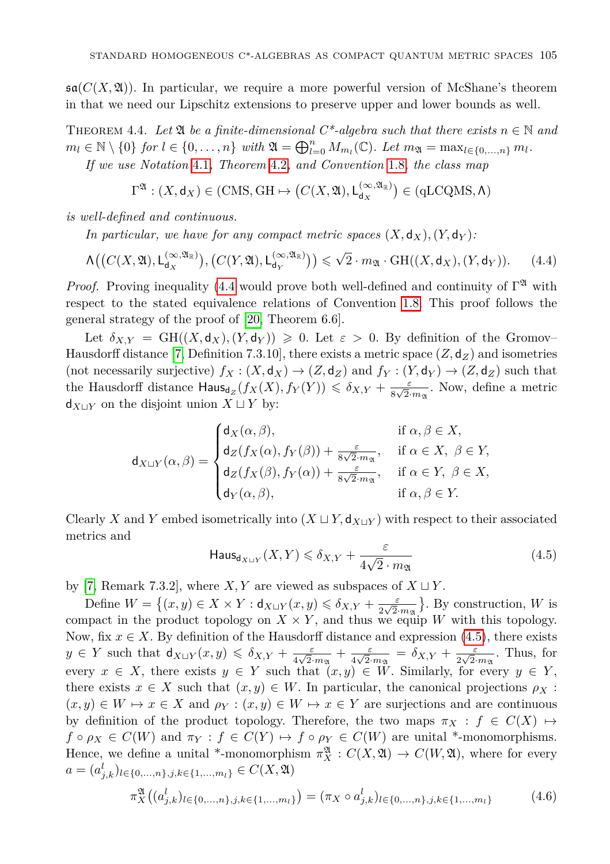$\mathfrak{sa}(C(X, \mathfrak{A}))$ . In particular, we require a more powerful version of McShane's theorem in that we need our Lipschitz extensions to preserve upper and lower bounds as well.

<span id="page-24-2"></span>THEOREM 4.4. Let  $\mathfrak{A}$  be a finite-dimensional  $C^*$ -algebra such that there exists  $n \in \mathbb{N}$  and  $m_l \in \mathbb{N} \setminus \{0\}$  *for*  $l \in \{0, ..., n\}$  *with*  $\mathfrak{A} = \bigoplus_{l=0}^n M_{m_l}(\mathbb{C})$ *. Let*  $m_{\mathfrak{A}} = \max_{l \in \{0, ..., n\}} m_l$ *. If we use Notation* [4.1](#page-22-1)*, Theorem* [4.2](#page-23-1)*, and Convention* [1.8](#page-5-1)*, the class map*

<span id="page-24-0"></span>
$$
\Gamma^{\mathfrak{A}} : (X, \mathsf{d}_X) \in (\text{CMS}, \text{GH} \mapsto \left(C(X, \mathfrak{A}), \mathsf{L}^{(\infty, \mathfrak{A}_{\mathbb{R}})}_{\mathsf{d}_X}\right) \in (\text{qLCQMS}, \Lambda)
$$

*is well-defined and continuous.*

*In particular, we have for any compact metric spaces*  $(X, \mathsf{d}_X)$ ,  $(Y, \mathsf{d}_Y)$ :

$$
\Lambda\big(\big(C(X,\mathfrak{A}),\mathsf{L}^{(\infty,\mathfrak{A}_{\mathbb{R}})}_{\mathsf{d}_X}\big),\big(C(Y,\mathfrak{A}),\mathsf{L}^{(\infty,\mathfrak{A}_{\mathbb{R}})}_{\mathsf{d}_Y}\big)\big) \leqslant \sqrt{2} \cdot m_{\mathfrak{A}} \cdot \mathrm{GH}((X,\mathsf{d}_X),(Y,\mathsf{d}_Y)).\tag{4.4}
$$

*Proof.* Proving inequality [\(4.4](#page-24-0) would prove both well-defined and continuity of  $\Gamma^{\mathfrak{A}}$  with respect to the stated equivalence relations of Convention [1.8.](#page-5-1) This proof follows the general strategy of the proof of [\[20,](#page-29-4) Theorem 6.6].

Let  $\delta_{X,Y} = \text{GH}((X,\mathsf{d}_X),(Y,\mathsf{d}_Y)) \geqslant 0$ . Let  $\varepsilon > 0$ . By definition of the Gromov– Hausdorff distance [\[7,](#page-28-6) Definition 7.3.10], there exists a metric space  $(Z, \mathsf{d}_Z)$  and isometries (not necessarily surjective)  $f_X : (X, \mathsf{d}_X) \to (Z, \mathsf{d}_Z)$  and  $f_Y : (Y, \mathsf{d}_Y) \to (Z, \mathsf{d}_Z)$  such that the Hausdorff distance  $\text{Haus}_{\text{dg}}(f_X(X), f_Y(Y)) \leq \delta_{X,Y} + \frac{\varepsilon}{8\sqrt{2}}$  $\frac{\varepsilon}{8\sqrt{2} \cdot m_{\mathfrak{A}}}$ . Now, define a metric  $d_{X \sqcup Y}$  on the disjoint union  $X \sqcup Y$  by:

$$
\mathsf{d}_{X \sqcup Y}(\alpha, \beta) = \begin{cases} \mathsf{d}_X(\alpha, \beta), & \text{if } \alpha, \beta \in X, \\ \mathsf{d}_Z(f_X(\alpha), f_Y(\beta)) + \frac{\varepsilon}{8\sqrt{2} \cdot m_{\mathfrak{A}}}, & \text{if } \alpha \in X, \ \beta \in Y, \\ \mathsf{d}_Z(f_X(\beta), f_Y(\alpha)) + \frac{\varepsilon}{8\sqrt{2} \cdot m_{\mathfrak{A}}}, & \text{if } \alpha \in Y, \ \beta \in X, \\ \mathsf{d}_Y(\alpha, \beta), & \text{if } \alpha, \beta \in Y. \end{cases}
$$

<span id="page-24-1"></span>Clearly *X* and *Y* embed isometrically into  $(X \sqcup Y, d_{X \sqcup Y})$  with respect to their associated metrics and

$$
\mathsf{Haus}_{\mathsf{d}_{X \sqcup Y}}(X, Y) \leq \delta_{X, Y} + \frac{\varepsilon}{4\sqrt{2} \cdot m_{\mathfrak{A}}} \tag{4.5}
$$

by [\[7,](#page-28-6) Remark 7.3.2], where *X*, *Y* are viewed as subspaces of  $X \sqcup Y$ .

Define  $W = \{(x, y) \in X \times Y : d_{X \sqcup Y}(x, y) \leq \delta_{X,Y} + \frac{\varepsilon}{2\sqrt{2}}\}$  $\frac{\varepsilon}{2\sqrt{2} \cdot m_{\mathfrak{A}}}$ . By construction, *W* is compact in the product topology on  $X \times Y$ , and thus we equip *W* with this topology. Now, fix  $x \in X$ . By definition of the Hausdorff distance and expression [\(4.5\)](#page-24-1), there exists  $y \in Y$  such that  $d_{X \sqcup Y}(x, y) \leq \delta_{X,Y} + \frac{\varepsilon}{4\sqrt{2}}$ .  $rac{\varepsilon}{4\sqrt{2}\cdot m_{\mathfrak{A}}} + \frac{\varepsilon}{4\sqrt{2}}$  $\frac{\varepsilon}{4\sqrt{2}\cdot m_{\mathfrak{A}}} = \delta_{X,Y} + \frac{\varepsilon}{2\sqrt{2}}$  $rac{\varepsilon}{2\sqrt{2} \cdot m_{\mathfrak{A}}}$ . Thus, for every  $x \in X$ , there exists  $y \in Y$  such that  $(x, y) \in W$ . Similarly, for every  $y \in Y$ , there exists  $x \in X$  such that  $(x, y) \in W$ . In particular, the canonical projections  $\rho_X$ :  $(x, y) \in W \mapsto x \in X$  and  $\rho_Y : (x, y) \in W \mapsto x \in Y$  are surjections and are continuous by definition of the product topology. Therefore, the two maps  $\pi_X : f \in C(X) \rightarrow$  $f \circ \rho_X \in C(W)$  and  $\pi_Y : f \in C(Y) \mapsto f \circ \rho_Y \in C(W)$  are unital \*-monomorphisms. Hence, we define a unital \*-monomorphism  $\pi_X^{\mathfrak{A}} : C(X, \mathfrak{A}) \to C(W, \mathfrak{A})$ , where for every *a* =  $(a_{j,k}^l)_{l \in \{0,\ldots,n\},j,k \in \{1,\ldots,m_l\}}$  ∈  $C(X, \mathfrak{A})$ 

$$
\pi_X^{\mathfrak{A}}\big((a_{j,k}^l)_{l\in\{0,\ldots,n\},j,k\in\{1,\ldots,m_l\}}\big)=(\pi_X\circ a_{j,k}^l)_{l\in\{0,\ldots,n\},j,k\in\{1,\ldots,m_l\}}\tag{4.6}
$$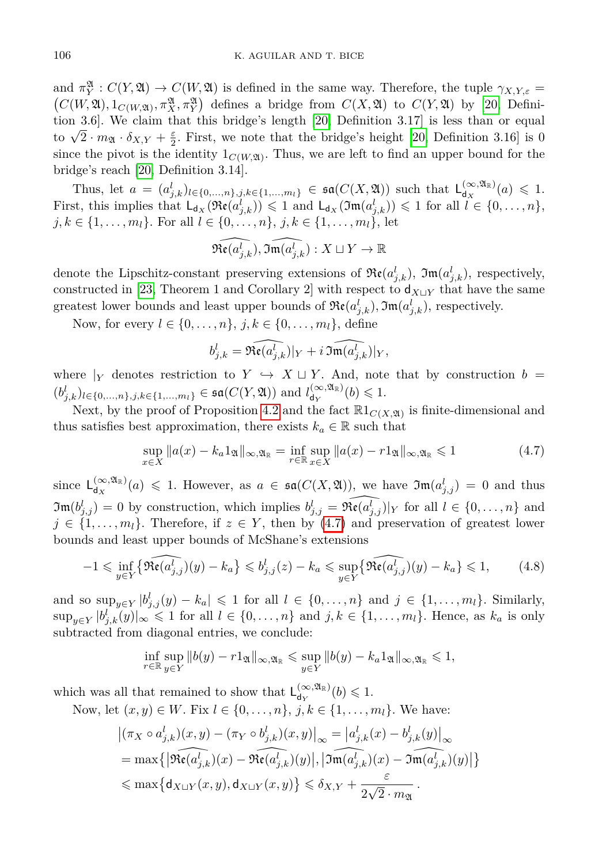and  $\pi_Y^{\mathfrak{A}}: C(Y, \mathfrak{A}) \to C(W, \mathfrak{A})$  is defined in the same way. Therefore, the tuple  $\gamma_{X,Y,\varepsilon} =$  $(C(W, \mathfrak{A}), 1_{C(W, \mathfrak{A})}, \pi_X^{\mathfrak{A}}, \pi_Y^{\mathfrak{A}})$  defines a bridge from  $C(X, \mathfrak{A})$  to  $C(Y, \mathfrak{A})$  by [\[20,](#page-29-4) Definition 3.6]. We claim that this bridge's length [\[20,](#page-29-4) Definition 3.17] is less than or equal to  $\sqrt{2} \cdot m_{\mathfrak{A}} \cdot \delta_{X,Y} + \frac{\varepsilon}{2}$ . First, we note that the bridge's height [\[20,](#page-29-4) Definition 3.16] is 0 since the pivot is the identity  $1_{C(W, \mathfrak{A})}$ . Thus, we are left to find an upper bound for the bridge's reach [\[20,](#page-29-4) Definition 3.14].

Thus, let  $a = (a_{j,k}^l)_{l \in \{0,\ldots,n\},j,k \in \{1,\ldots,m_l\}} \in \mathfrak{sa}(C(X, \mathfrak{A}))$  such that  $L_{d_X}^{(\infty, \mathfrak{A}_{\mathbb{R}})}$  $\frac{(\infty, \mathfrak{A}_{\mathbb{R}})}{d_X}(a) \leqslant 1.$ First, this implies that  $L_{d_X}(\mathfrak{Re}(a_{j,k}^l)) \leq 1$  and  $L_{d_X}(\mathfrak{Im}(a_{j,k}^l)) \leq 1$  for all  $l \in \{0, \ldots, n\}$ , *j*, *k* ∈ {1, . . . , *m*<sub>*l*</sub>}. For all *l* ∈ {0, . . . , *n*}, *j*, *k* ∈ {1, . . . , *m*<sub>*l*</sub>}, let

$$
\widehat{\mathfrak{Re}(a_{j,k}^l)}, \widehat{\mathfrak{Im}(a_{j,k}^l)}: X\sqcup Y \to \mathbb{R}
$$

denote the Lipschitz-constant preserving extensions of  $\Re(\alpha_{j,k}^l)$ ,  $\Im(\alpha_{j,k}^l)$ , respectively, constructed in [\[23,](#page-29-20) Theorem 1 and Corollary 2] with respect to  $d_{X\sqcup Y}$  that have the same greatest lower bounds and least upper bounds of  $\Re(\mathfrak{a}_{j,k}^l), \Im(\mathfrak{m}(a_{j,k}^l))$ , respectively.

Now, for every  $l \in \{0, ..., n\}$ ,  $j, k \in \{0, ..., m_l\}$ , define

<span id="page-25-0"></span>
$$
b_{j,k}^l = \widehat{\mathfrak{Re}(a_{j,k}^l)}|_Y + i \, \widehat{\mathfrak{Im}(a_{j,k}^l)}|_Y,
$$

where  $|_Y$  denotes restriction to  $Y \hookrightarrow X \sqcup Y$ . And, note that by construction  $b =$  $(b^l_{j,k})_{l \in \{0,\ldots,n\}, j,k \in \{1,\ldots,m_l\}} \in \mathfrak{sa}(C(Y, \mathfrak{A}))$  and  $l_{d_Y}^{(\infty, \mathfrak{A}_{\mathbb{R}})}$  $\frac{d}{d_Y}(b) \leqslant 1.$ 

Next, by the proof of Proposition [4.2](#page-23-1) and the fact  $\mathbb{R}1_{C(X, \mathfrak{A})}$  is finite-dimensional and thus satisfies best approximation, there exists  $k_a \in \mathbb{R}$  such that

<span id="page-25-1"></span>
$$
\sup_{x \in X} \|a(x) - k_a 1_{\mathfrak{A}}\|_{\infty, \mathfrak{A}_{\mathbb{R}}} = \inf_{r \in \mathbb{R}} \sup_{x \in X} \|a(x) - r 1_{\mathfrak{A}}\|_{\infty, \mathfrak{A}_{\mathbb{R}}} \leq 1
$$
\n(4.7)

since  $L_{dx}^{(\infty,\mathfrak{A}_{\mathbb{R}})}$  $\frac{d^{\infty, \mathfrak{A}_{\mathbb{R}}}}{d_X}(a) \leq 1$ . However, as  $a \in \mathfrak{sa}(C(X, \mathfrak{A}))$ , we have  $\mathfrak{Im}(a_{j,j}^l) = 0$  and thus  $\mathfrak{Im}(b_{j,j}^l) = 0$  by construction, which implies  $b_{j,j}^l = \widehat{\mathfrak{Re}(a_{j,j}^l)}|_Y$  for all  $l \in \{0,\ldots,n\}$  and  $j \in \{1, \ldots, m_l\}$ . Therefore, if  $z \in Y$ , then by [\(4.7\)](#page-25-0) and preservation of greatest lower bounds and least upper bounds of McShane's extensions

$$
-1 \leq \inf_{y \in Y} \{ \widehat{\operatorname{Re}(a_{j,j}^l)}(y) - k_a \} \leq b_{j,j}^l(z) - k_a \leq \sup_{y \in Y} \{ \widehat{\operatorname{Re}(a_{j,j}^l)}(y) - k_a \} \leq 1, \tag{4.8}
$$

and so  $\sup_{y \in Y} |b_{j,j}^l(y) - k_a| \leq 1$  for all  $l \in \{0, \ldots, n\}$  and  $j \in \{1, \ldots, m_l\}$ . Similarly,  $\sup_{y \in Y} |b_{j,k}^l(y)|_{\infty} \leq 1$  for all  $l \in \{0, \ldots, n\}$  and  $j, k \in \{1, \ldots, m_l\}$ . Hence, as  $k_a$  is only subtracted from diagonal entries, we conclude:

$$
\inf_{r \in \mathbb{R}} \sup_{y \in Y} \|b(y) - r1_{\mathfrak{A}}\|_{\infty, \mathfrak{A}_{\mathbb{R}}} \leq \sup_{y \in Y} \|b(y) - k_a 1_{\mathfrak{A}}\|_{\infty, \mathfrak{A}_{\mathbb{R}}} \leq 1,
$$

which was all that remained to show that  $L_{d_{\mathbf{X}}}^{(\infty, \mathfrak{A}_{\mathbb{R}})}$  $\frac{(\infty,\mathfrak{A}_{\mathbb{R}})}{\mathsf{d}_Y}(b) \leqslant 1.$ 

Now, let  $(x, y)$  ∈ *W*. Fix  $l$  ∈ {0, ..., *n*}, *j*,  $k$  ∈ {1, ..., *m*<sub>*l*</sub>}. We have:

$$
\begin{aligned} &\left|(\pi_X \circ a_{j,k}^l)(x,y) - (\pi_Y \circ b_{j,k}^l)(x,y)\right|_{\infty} = \left|a_{j,k}^l(x) - b_{j,k}^l(y)\right|_{\infty} \\ &= \max\left\{\left|\mathfrak{Re}(a_{j,k}^l)(x) - \mathfrak{Re}(a_{j,k}^l)(y)\right|, \left|\mathfrak{Im}(a_{j,k}^l)(x) - \mathfrak{Im}(a_{j,k}^l)(y)\right|\right\} \\ &\leqslant \max\left\{\mathsf{d}_{X \sqcup Y}(x,y), \mathsf{d}_{X \sqcup Y}(x,y)\right\} \leqslant \delta_{X,Y} + \frac{\varepsilon}{2\sqrt{2} \cdot m_{\mathfrak{A}}} \,. \end{aligned}
$$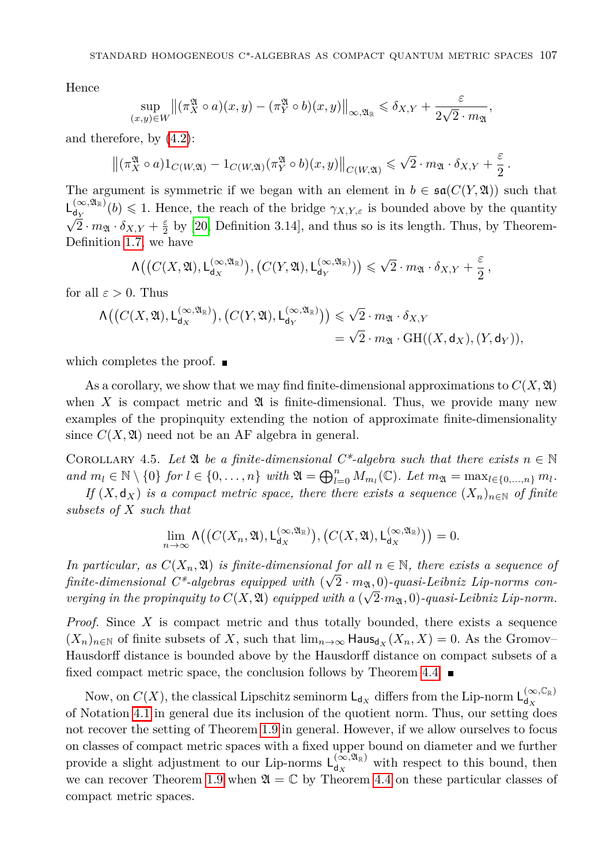Hence

$$
\sup_{(x,y)\in W} \left\| \left( \pi_X^{\mathfrak{A}} \circ a \right) (x,y) - \left( \pi_Y^{\mathfrak{A}} \circ b \right) (x,y) \right\|_{\infty, \mathfrak{A}_{\mathbb{R}}} \leq \delta_{X,Y} + \frac{\varepsilon}{2\sqrt{2} \cdot m_{\mathfrak{A}}},
$$

and therefore, by [\(4.2\)](#page-22-2):

$$
\left\| \left( \pi_X^{\mathfrak{A}} \circ a \right) 1_{C(W, \mathfrak{A})} - 1_{C(W, \mathfrak{A})} \left( \pi_Y^{\mathfrak{A}} \circ b \right) (x, y) \right\|_{C(W, \mathfrak{A})} \leqslant \sqrt{2} \cdot m_{\mathfrak{A}} \cdot \delta_{X, Y} + \frac{\varepsilon}{2} \, .
$$

The argument is symmetric if we began with an element in  $b \in \mathfrak{sa}(C(Y, \mathfrak{A}))$  such that  $L_{\text{dx}}^{(\infty, \mathfrak{A}_{\mathbb{R}})}$  $\mathsf{L}_{\mathsf{d}_Y}^{(\infty, \mathfrak{A}_\mathbb{R})}(b) \leq 1$ . Hence, the reach of the bridge  $\gamma_{X,Y,\varepsilon}$  is bounded above by the quantity  $\overline{2} \cdot m_{\mathfrak{A}} \cdot \delta_{X,Y} + \frac{\varepsilon}{2}$  by [\[20,](#page-29-4) Definition 3.14], and thus so is its length. Thus, by Theorem-Definition [1.7,](#page-4-1) we have

$$
\Lambda\big(\big(C(X,\mathfrak{A}),\mathsf{L}^{(\infty,\mathfrak{A}_{\mathbb{R}})}_{\mathrm{d}_X}\big),\big(C(Y,\mathfrak{A}),\mathsf{L}^{(\infty,\mathfrak{A}_{\mathbb{R}})}_{\mathrm{d}_Y})\big) \leqslant \sqrt{2}\cdot m_{\mathfrak{A}}\cdot \delta_{X,Y}+\frac{\varepsilon}{2}\,,
$$

for all  $\varepsilon > 0$ . Thus

$$
\begin{aligned} \Lambda \big(\big(C(X,\mathfrak{A}),\mathsf{L}^{(\infty,\mathfrak{A}_\mathbb{R})}_{\mathrm{d}_X}\big),\big(C(Y,\mathfrak{A}),\mathsf{L}^{(\infty,\mathfrak{A}_\mathbb{R})}_{\mathrm{d}_Y}\big)\big) &\leqslant \sqrt{2}\cdot m_{\mathfrak{A}}\cdot \delta_{X,Y} \\ &= \sqrt{2}\cdot m_{\mathfrak{A}}\cdot \mathrm{GH} \big((X,\mathsf{d}_X),(Y,\mathsf{d}_Y)\big), \end{aligned}
$$

which completes the proof.  $\blacksquare$ 

As a corollary, we show that we may find finite-dimensional approximations to  $C(X, \mathfrak{A})$ when  $X$  is compact metric and  $\mathfrak A$  is finite-dimensional. Thus, we provide many new examples of the propinquity extending the notion of approximate finite-dimensionality since  $C(X, \mathfrak{A})$  need not be an AF algebra in general.

COROLLARY 4.5. Let  $\mathfrak A$  be a finite-dimensional  $C^*$ -algebra such that there exists  $n \in \mathbb N$ and  $m_l \in \mathbb{N} \setminus \{0\}$  for  $l \in \{0, ..., n\}$  with  $\mathfrak{A} = \bigoplus_{l=0}^n M_{m_l}(\mathbb{C})$ . Let  $m_{\mathfrak{A}} = \max_{l \in \{0, ..., n\}} m_l$ .

*If*  $(X, d_X)$  *is a compact metric space, there there exists a sequence*  $(X_n)_{n \in \mathbb{N}}$  *of finite subsets of X such that*

$$
\lim_{n\to\infty}\Lambda\big(\big(C(X_n,\mathfrak{A}),\mathsf{L}^{(\infty,\mathfrak{A}_{\mathbb{R}})}_{\mathsf{d}_X}\big),\big(C(X,\mathfrak{A}),\mathsf{L}^{(\infty,\mathfrak{A}_{\mathbb{R}})}_{\mathsf{d}_X}\big)\big)=0.
$$

*In particular, as*  $C(X_n, \mathfrak{A})$  *is finite-dimensional for all*  $n \in \mathbb{N}$ *, there exists a sequence of*  $finite\text{-}dimensional C^*\text{-}algebras\ equipped\ with\ (\sqrt{2}\cdot m_{\mathfrak{A}},0)\text{-}quasi\text{-}Leibniz Lip-norms\ con\text{-}l.$ *verging in the propinquity to*  $C(X, \mathfrak{A})$  *equipped with a*  $(\sqrt{2} \cdot m_{\mathfrak{A}}, 0)$ *-quasi-Leibniz Lip-norm.* 

*Proof.* Since *X* is compact metric and thus totally bounded, there exists a sequence  $(X_n)_{n\in\mathbb{N}}$  of finite subsets of X, such that  $\lim_{n\to\infty}$  Haus<sub>dx</sub>  $(X_n, X) = 0$ . As the Gromov– Hausdorff distance is bounded above by the Hausdorff distance on compact subsets of a fixed compact metric space, the conclusion follows by Theorem [4.4.](#page-24-2)  $\blacksquare$ 

<span id="page-26-0"></span>Now, on  $C(X)$ , the classical Lipschitz seminorm  $\mathsf{L}_{\mathsf{d}_X}$  differs from the Lip-norm  $\mathsf{L}_{\mathsf{d}_X}^{(\infty,\mathbb{C}_{\mathbb{R}})}$ d*<sup>X</sup>* of Notation [4.1](#page-22-1) in general due its inclusion of the quotient norm. Thus, our setting does not recover the setting of Theorem [1.9](#page-5-3) in general. However, if we allow ourselves to focus on classes of compact metric spaces with a fixed upper bound on diameter and we further provide a slight adjustment to our Lip-norms  $L_{d_{\infty}}^{(\infty, \mathfrak{A}_{\mathbb{R}})}$  $\frac{d(x, a_{\mathbb{R}})}{d(x)}$  with respect to this bound, then we can recover Theorem [1.9](#page-5-3) when  $\mathfrak{A} = \mathbb{C}$  by Theorem [4.4](#page-24-2) on these particular classes of compact metric spaces.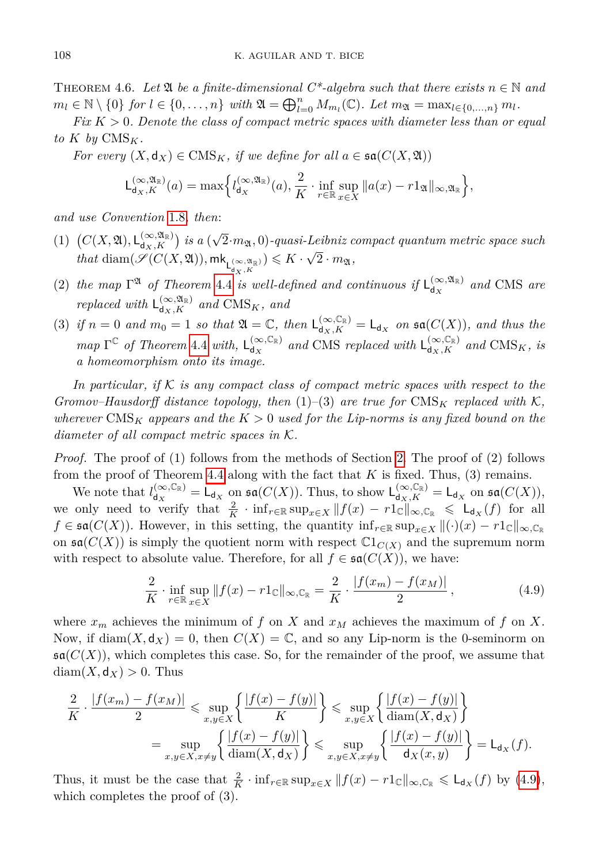THEOREM 4.6. Let  $\mathfrak{A}$  be a finite-dimensional  $C^*$ -algebra such that there exists  $n \in \mathbb{N}$  and  $m_l \in \mathbb{N} \setminus \{0\}$  *for*  $l \in \{0, ..., n\}$  *with*  $\mathfrak{A} = \bigoplus_{l=0}^n M_{m_l}(\mathbb{C})$ *. Let*  $m_{\mathfrak{A}} = \max_{l \in \{0, ..., n\}} m_l$ *.* 

*Fix K >* 0*. Denote the class of compact metric spaces with diameter less than or equal to*  $K$  *by*  $CMS_K$ *.* 

*For every*  $(X, d_X) \in \text{CMS}_K$ *, if we define for all*  $a \in \mathfrak{sa}(C(X, \mathfrak{A}))$ 

$$
\mathsf{L}^{(\infty,\mathfrak{A}_{\mathbb{R}})}_{\mathsf{d}_X,K}(a)=\max\Bigl\{l_{\mathsf{d}_X}^{(\infty,\mathfrak{A}_{\mathbb{R}})}(a),\frac{2}{K}\cdot\inf_{r\in\mathbb{R}}\sup_{x\in X}\|a(x)-r1_{\mathfrak{A}}\|_{\infty,\mathfrak{A}_{\mathbb{R}}}\Bigr\},
$$

*and use Convention* [1.8](#page-5-1)*, then*:

- (1)  $(C(X, \mathfrak{A}), \mathsf{L}_{\mathsf{d}_X, K}^{(\infty, \mathfrak{A}_{\mathbb{R}})})$  *is a* ( √  $(2 \cdot m_{\mathfrak{A}}, 0)$ -quasi-Leibniz compact quantum metric space such  $t$ *hat* diam( $\mathscr{S}(C(X, \mathfrak{A})), \mathsf{mk}_{\mathsf{L}_{d_X,K}^{(\infty, \mathfrak{A}_\mathbb{R})}}) \leqslant K \cdot \sqrt{2}$  $2 \cdot m_{\mathfrak{A}},$
- (2) the map  $\Gamma^{\mathfrak{A}}$  of Theorem [4.4](#page-24-2) is well-defined and continuous if  $\mathsf{L}_{d_{\infty}}^{(\infty,\mathfrak{A}_{\mathbb{R}})}$  $\int_{d_X}^{(\infty, 24\mathbb{R})}$  and CMS are *replaced with*  $L_{d_X,K}^{(\infty, \mathfrak{A}_{\mathbb{R}})}$  and  $CMS_K$ , and
- (3) if  $n = 0$  and  $m_0 = 1$  so that  $\mathfrak{A} = \mathbb{C}$ , then  $\mathsf{L}_{d_X,K}^{(\infty,\mathbb{C}_{\mathbb{R}})} = \mathsf{L}_{d_X}$  on  $\mathfrak{sa}(C(X))$ , and thus the  $map \Gamma^{\mathbb{C}}$  *of Theorem* [4.4](#page-24-2) *with*,  $L_{d_{\mathcal{X}}}^{(\infty,\mathbb{C}_{\mathbb{R}})}$  $\int_{d_X}^{(\infty, \mathbb{C}_{\mathbb{R}})}$  and CMS *replaced with*  $L_{d_X,K}^{(\infty, \mathbb{C}_{\mathbb{R}})}$  and CMS<sub>K</sub>, is *a homeomorphism onto its image.*

*In particular, if* K *is any compact class of compact metric spaces with respect to the Gromov–Hausdorff distance topology, then*  $(1)$ – $(3)$  *are true for* CMS<sub>K</sub> *replaced with* K, *wherever* CMS*<sup>K</sup> appears and the K >* 0 *used for the Lip-norms is any fixed bound on the diameter of all compact metric spaces in* K*.*

*Proof.* The proof of (1) follows from the methods of Section [2.](#page-5-0) The proof of (2) follows from the proof of Theorem [4.4](#page-24-2) along with the fact that  $K$  is fixed. Thus, (3) remains.

We note that  $l_{d_{\infty}}^{(\infty,\mathbb{C}_{\mathbb{R}})}$  $\mathsf{d}_{\mathsf{d}_X}^{(\infty,\mathbb{C}_\mathbb{R})} = \mathsf{L}_{\mathsf{d}_X}$  on  $\mathfrak{sa}(C(X))$ . Thus, to show  $\mathsf{L}_{\mathsf{d}_X,K}^{(\infty,\mathbb{C}_\mathbb{R})} = \mathsf{L}_{\mathsf{d}_X}$  on  $\mathfrak{sa}(C(X))$ , we only need to verify that  $\frac{2}{K} \cdot \inf_{r \in \mathbb{R}} \sup_{x \in X} ||f(x) - r1_c||_{\infty, \mathbb{C}_{\mathbb{R}}} \leq \mathsf{L}_{d_X}(f)$  for all *f* ∈  $\mathfrak{sa}(C(X))$ . However, in this setting, the quantity  $\inf_{r \in \mathbb{R}} \sup_{x \in X} ||(\cdot)(x) - r1_{\mathbb{C}}||_{\infty, \mathbb{C}_{\mathbb{R}}}$ on  $\mathfrak{sa}(C(X))$  is simply the quotient norm with respect  $\mathbb{C}1_{C(X)}$  and the supremum norm with respect to absolute value. Therefore, for all  $f \in \mathfrak{sa}(C(X))$ , we have:

<span id="page-27-0"></span>
$$
\frac{2}{K} \cdot \inf_{r \in \mathbb{R}} \sup_{x \in X} ||f(x) - r1_{\mathbb{C}}||_{\infty, \mathbb{C}_{\mathbb{R}}} = \frac{2}{K} \cdot \frac{|f(x_m) - f(x_M)|}{2}, \tag{4.9}
$$

where  $x_m$  achieves the minimum of f on X and  $x_M$  achieves the maximum of f on X. Now, if  $\text{diam}(X, \text{d}_X) = 0$ , then  $C(X) = \mathbb{C}$ , and so any Lip-norm is the 0-seminorm on  $\mathfrak{sa}(C(X))$ , which completes this case. So, for the remainder of the proof, we assume that  $diam(X, d_X) > 0$ . Thus

$$
\frac{2}{K} \cdot \frac{|f(x_m) - f(x_M)|}{2} \leqslant \sup_{x,y \in X} \left\{ \frac{|f(x) - f(y)|}{K} \right\} \leqslant \sup_{x,y \in X} \left\{ \frac{|f(x) - f(y)|}{\text{diam}(X, \mathbf{d}_X)} \right\}
$$
\n
$$
= \sup_{x,y \in X, x \neq y} \left\{ \frac{|f(x) - f(y)|}{\text{diam}(X, \mathbf{d}_X)} \right\} \leqslant \sup_{x,y \in X, x \neq y} \left\{ \frac{|f(x) - f(y)|}{\mathbf{d}_X(x, y)} \right\} = \mathsf{L}_{\mathbf{d}_X}(f).
$$

Thus, it must be the case that  $\frac{2}{K} \cdot \inf_{r \in \mathbb{R}} \sup_{x \in X} ||f(x) - r1_{\mathbb{C}}||_{\infty, \mathbb{C}_{\mathbb{R}}} \leq \mathsf{L}_{d_X}(f)$  by [\(4.9\)](#page-27-0), which completes the proof of (3).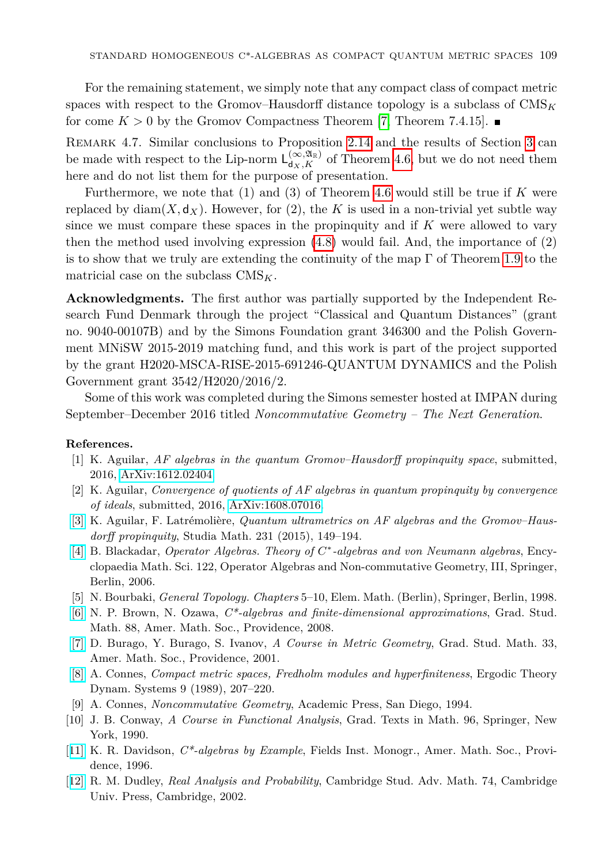For the remaining statement, we simply note that any compact class of compact metric spaces with respect to the Gromov–Hausdorff distance topology is a subclass of  $\text{CMS}_K$ for come  $K > 0$  by the Gromov Compactness Theorem [\[7,](#page-28-6) Theorem 7.4.15].

Remark 4.7. Similar conclusions to Proposition [2.14](#page-14-0) and the results of Section [3](#page-15-0) can be made with respect to the Lip-norm  $L_{d_X,K}^{(\infty,\mathfrak{A}_R)}$  of Theorem [4.6,](#page-26-0) but we do not need them here and do not list them for the purpose of presentation.

Furthermore, we note that (1) and (3) of Theorem [4.6](#page-26-0) would still be true if *K* were replaced by diam $(X, d_X)$ . However, for (2), the K is used in a non-trivial yet subtle way since we must compare these spaces in the propinquity and if *K* were allowed to vary then the method used involving expression [\(4.8\)](#page-25-1) would fail. And, the importance of (2) is to show that we truly are extending the continuity of the map Γ of Theorem [1.9](#page-5-3) to the matricial case on the subclass CMS*K*.

**Acknowledgments.** The first author was partially supported by the Independent Research Fund Denmark through the project "Classical and Quantum Distances" (grant no. 9040-00107B) and by the Simons Foundation grant 346300 and the Polish Government MNiSW 2015-2019 matching fund, and this work is part of the project supported by the grant H2020-MSCA-RISE-2015-691246-QUANTUM DYNAMICS and the Polish Government grant 3542/H2020/2016/2.

Some of this work was completed during the Simons semester hosted at IMPAN during September–December 2016 titled *Noncommutative Geometry – The Next Generation*.

## **References.**

- <span id="page-28-2"></span>[1] K. Aguilar, *AF algebras in the quantum Gromov–Hausdorff propinquity space*, submitted, 2016, [ArXiv:1612.02404.](http://arxiv.org/abs/1612.02404)
- [2] K. Aguilar, *Convergence of quotients of AF algebras in quantum propinquity by convergence of ideals*, submitted, 2016, [ArXiv:1608.07016.](http://arxiv.org/abs/1608.07016)
- <span id="page-28-3"></span>[\[3\]](http://dx.doi.org/10.4064/sm8478-2-2016) K. Aguilar, F. Latrémolière, *Quantum ultrametrics on AF algebras and the Gromov–Hausdorff propinquity*, Studia Math. 231 (2015), 149–194.
- <span id="page-28-7"></span>[\[4\]](http://dx.doi.org/10.1007/3-540-28517-2) B. Blackadar, *Operator Algebras. Theory of C* ∗ *-algebras and von Neumann algebras*, Encyclopaedia Math. Sci. 122, Operator Algebras and Non-commutative Geometry, III, Springer, Berlin, 2006.
- <span id="page-28-8"></span>[5] N. Bourbaki, *General Topology. Chapters* 5–10, Elem. Math. (Berlin), Springer, Berlin, 1998.
- <span id="page-28-9"></span>[\[6\]](http://dx.doi.org/10.1090/gsm/088) N. P. Brown, N. Ozawa, *C\*-algebras and finite-dimensional approximations*, Grad. Stud. Math. 88, Amer. Math. Soc., Providence, 2008.
- <span id="page-28-6"></span>[\[7\]](http://dx.doi.org/10.1090/gsm/033) D. Burago, Y. Burago, S. Ivanov, *A Course in Metric Geometry*, Grad. Stud. Math. 33, Amer. Math. Soc., Providence, 2001.
- <span id="page-28-0"></span>[\[8\]](http://dx.doi.org/10.1017/S0143385700004934) A. Connes, *Compact metric spaces, Fredholm modules and hyperfiniteness*, Ergodic Theory Dynam. Systems 9 (1989), 207–220.
- <span id="page-28-1"></span>[9] A. Connes, *Noncommutative Geometry*, Academic Press, San Diego, 1994.
- <span id="page-28-10"></span>[10] J. B. Conway, *A Course in Functional Analysis*, Grad. Texts in Math. 96, Springer, New York, 1990.
- <span id="page-28-4"></span>[[11\]](http://dx.doi.org/10.1090/fim/006) K. R. Davidson, *C\*-algebras by Example*, Fields Inst. Monogr., Amer. Math. Soc., Providence, 1996.
- <span id="page-28-5"></span>[[12\]](http://dx.doi.org/10.1017/CBO9780511755347) R. M. Dudley, *Real Analysis and Probability*, Cambridge Stud. Adv. Math. 74, Cambridge Univ. Press, Cambridge, 2002.